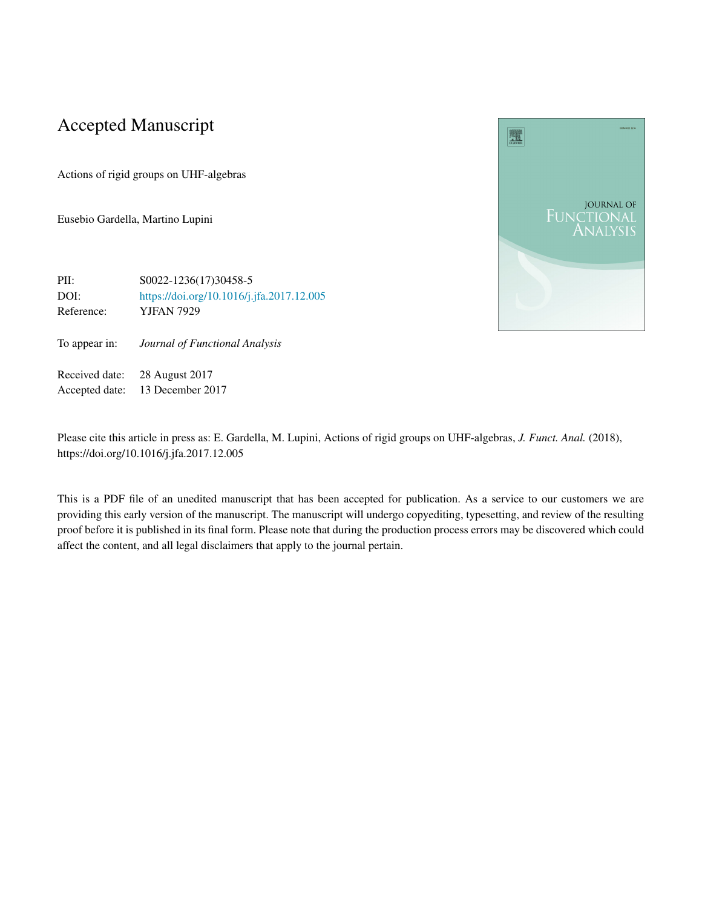# Accepted Manuscript

Actions of rigid groups on UHF-algebras

Eusebio Gardella, Martino Lupini



PII: S0022-1236(17)30458-5 DOI: <https://doi.org/10.1016/j.jfa.2017.12.005> Reference: YJFAN 7929

To appear in: *Journal of Functional Analysis*

Received date: 28 August 2017 Accepted date: 13 December 2017

Please cite this article in press as: E. Gardella, M. Lupini, Actions of rigid groups on UHF-algebras, *J. Funct. Anal.* (2018), https://doi.org/10.1016/j.jfa.2017.12.005

This is a PDF file of an unedited manuscript that has been accepted for publication. As a service to our customers we are providing this early version of the manuscript. The manuscript will undergo copyediting, typesetting, and review of the resulting proof before it is published in its final form. Please note that during the production process errors may be discovered which could affect the content, and all legal disclaimers that apply to the journal pertain.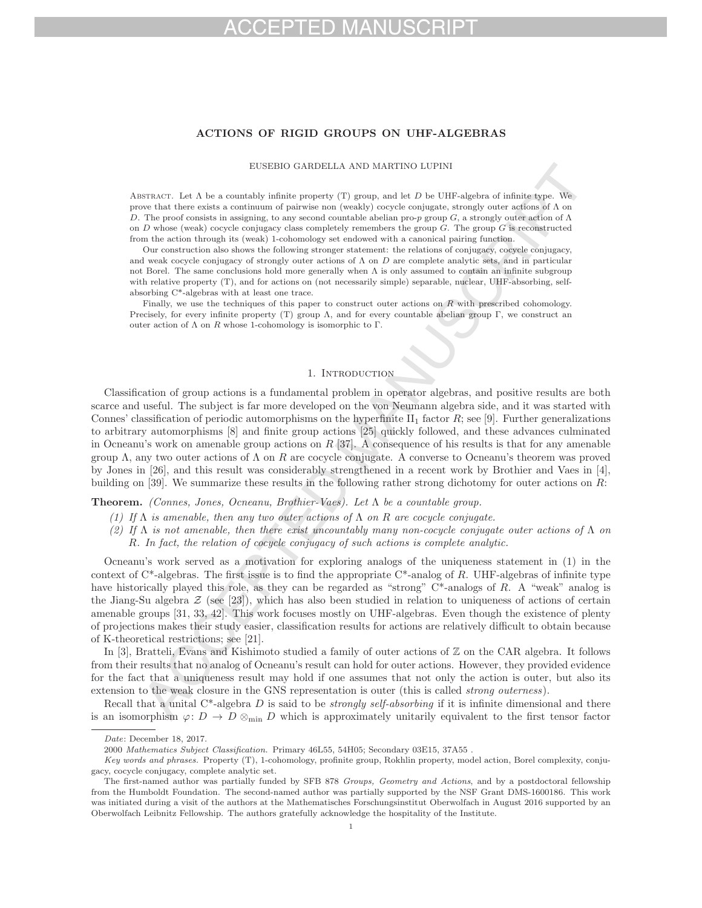# FD MA

# **ACTIONS OF RIGID GROUPS ON UHF-ALGEBRAS**

EUSEBIO GARDELLA AND MARTINO LUPINI

ABSTRACT. Let  $\Lambda$  be a countably infinite property (T) group, and let  $D$  be UHF-algebra of infinite type. We prove that there exists a continuum of pairwise non (weakly) cocycle conjugate, strongly outer actions of Λ on D. The proof consists in assigning, to any second countable abelian pro-p group G, a strongly outer action of  $\Lambda$ on  $D$  whose (weak) cocycle conjugacy class completely remembers the group  $G$ . The group  $G$  is reconstructed from the action through its (weak) 1-cohomology set endowed with a canonical pairing function.

Our construction also shows the following stronger statement: the relations of conjugacy, cocycle conjugacy, and weak cocycle conjugacy of strongly outer actions of  $\Lambda$  on  $D$  are complete analytic sets, and in particular not Borel. The same conclusions hold more generally when  $\Lambda$  is only assumed to contain an infinite subgroup with relative property (T), and for actions on (not necessarily simple) separable, nuclear, UHF-absorbing, selfabsorbing C\*-algebras with at least one trace.

Finally, we use the techniques of this paper to construct outer actions on  $R$  with prescribed cohomology. Precisely, for every infinite property (T) group  $\Lambda$ , and for every countable abelian group Γ, we construct an outer action of  $\Lambda$  on R whose 1-cohomology is isomorphic to  $\Gamma$ .

# 1. INTRODUCTION

Classification of group actions is a fundamental problem in operator algebras, and positive results are both scarce and useful. The subject is far more developed on the von Neumann algebra side, and it was started with Connes' classification of periodic automorphisms on the hyperfinite  $II_1$  factor  $R$ ; see [9]. Further generalizations to arbitrary automorphisms [8] and finite group actions [25] quickly followed, and these advances culminated in Ocneanu's work on amenable group actions on  $R$  [37]. A consequence of his results is that for any amenable group  $\Lambda$ , any two outer actions of  $\Lambda$  on R are cocycle conjugate. A converse to Ocneanu's theorem was proved by Jones in [26], and this result was considerably strengthened in a recent work by Brothier and Vaes in [4], building on [39]. We summarize these results in the following rather strong dichotomy for outer actions on R:

**Theorem.** (Connes, Jones, Ocneanu, Brothier-Vaes). Let  $\Lambda$  be a countable group.

- (1) If  $\Lambda$  is amenable, then any two outer actions of  $\Lambda$  on  $R$  are cocycle conjugate.
- (2) If  $\Lambda$  is not amenable, then there exist uncountably many non-cocycle conjugate outer actions of  $\Lambda$  on R. In fact, the relation of cocycle conjugacy of such actions is complete analytic.

Ocneanu's work served as a motivation for exploring analogs of the uniqueness statement in (1) in the context of  $C^*$ -algebras. The first issue is to find the appropriate  $C^*$ -analog of R. UHF-algebras of infinite type have historically played this role, as they can be regarded as "strong" C\*-analogs of R. A "weak" analog is the Jiang-Su algebra  $\mathcal{Z}$  (see [23]), which has also been studied in relation to uniqueness of actions of certain amenable groups [31, 33, 42]. This work focuses mostly on UHF-algebras. Even though the existence of plenty of projections makes their study easier, classification results for actions are relatively difficult to obtain because of K-theoretical restrictions; see [21].

In [3], Bratteli, Evans and Kishimoto studied a family of outer actions of  $\mathbb Z$  on the CAR algebra. It follows from their results that no analog of Ocneanu's result can hold for outer actions. However, they provided evidence for the fact that a uniqueness result may hold if one assumes that not only the action is outer, but also its extension to the weak closure in the GNS representation is outer (this is called strong outerness).

Recall that a unital  $C^*$ -algebra D is said to be *strongly self-absorbing* if it is infinite dimensional and there is an isomorphism  $\varphi: D \to D \otimes_{\min} D$  which is approximately unitarily equivalent to the first tensor factor

*Date*: December 18, 2017.

<sup>2000</sup> *Mathematics Subject Classification.* Primary 46L55, 54H05; Secondary 03E15, 37A55 .

*Key words and phrases.* Property (T), 1-cohomology, profinite group, Rokhlin property, model action, Borel complexity, conjugacy, cocycle conjugacy, complete analytic set.

The first-named author was partially funded by SFB 878 *Groups, Geometry and Actions*, and by a postdoctoral fellowship from the Humboldt Foundation. The second-named author was partially supported by the NSF Grant DMS-1600186. This work was initiated during a visit of the authors at the Mathematisches Forschungsinstitut Oberwolfach in August 2016 supported by an Oberwolfach Leibnitz Fellowship. The authors gratefully acknowledge the hospitality of the Institute.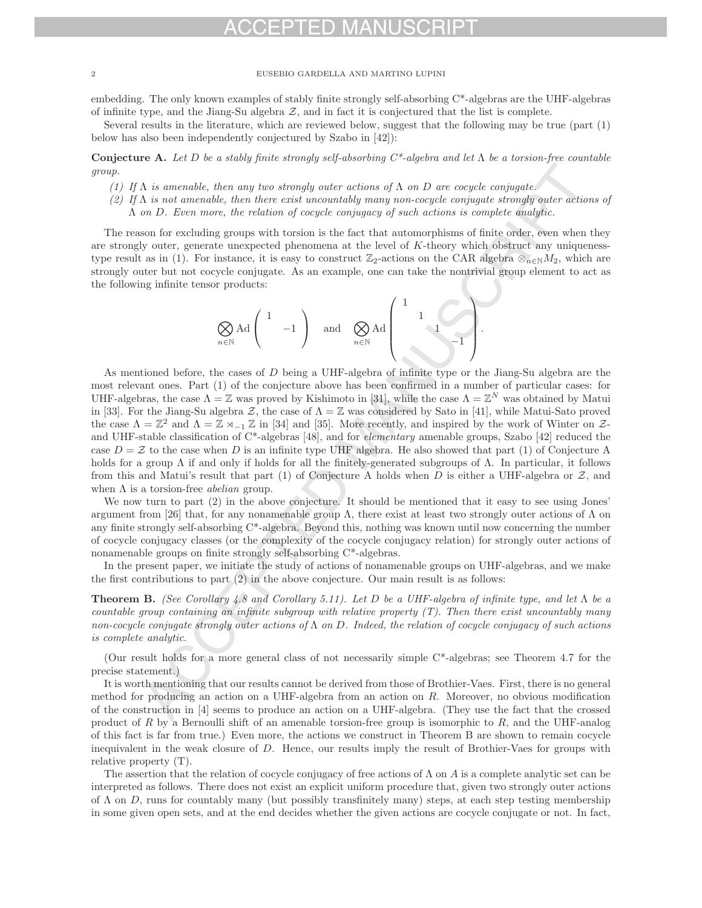embedding. The only known examples of stably finite strongly self-absorbing C\*-algebras are the UHF-algebras of infinite type, and the Jiang-Su algebra  $Z$ , and in fact it is conjectured that the list is complete.

Several results in the literature, which are reviewed below, suggest that the following may be true (part (1) below has also been independently conjectured by Szabo in [42]):

**Conjecture A.** Let D be a stably finite strongly self-absorbing  $C^*$ -algebra and let  $\Lambda$  be a torsion-free countable group.

- (1) If  $\Lambda$  is amenable, then any two strongly outer actions of  $\Lambda$  on D are cocycle conjugate.
- (2) If  $\Lambda$  is not amenable, then there exist uncountably many non-cocycle conjugate strongly outer actions of  $\Lambda$  on  $D$ . Even more, the relation of cocycle conjugacy of such actions is complete analytic.

The reason for excluding groups with torsion is the fact that automorphisms of finite order, even when they are strongly outer, generate unexpected phenomena at the level of K-theory which obstruct any uniquenesstype result as in (1). For instance, it is easy to construct  $\mathbb{Z}_2$ -actions on the CAR algebra  $\otimes_{n\in\mathbb{N}}M_2$ , which are strongly outer but not cocycle conjugate. As an example, one can take the nontrivial group element to act as the following infinite tensor products:

$$
\bigotimes_{n\in\mathbb{N}}\mathrm{Ad}\left(\begin{array}{ccc}1&\\&-1\\&&\end{array}\right)\quad\text{and}\quad\bigotimes_{n\in\mathbb{N}}\mathrm{Ad}\left(\begin{array}{ccc}1&\\&1\\&&1\\&&-1\end{array}\right).
$$

As mentioned before, the cases of D being a UHF-algebra of infinite type or the Jiang-Su algebra are the most relevant ones. Part (1) of the conjecture above has been confirmed in a number of particular cases: for UHF-algebras, the case  $\Lambda = \mathbb{Z}$  was proved by Kishimoto in [31], while the case  $\Lambda = \mathbb{Z}^N$  was obtained by Matui in [33]. For the Jiang-Su algebra Z, the case of  $\Lambda = \mathbb{Z}$  was considered by Sato in [41], while Matui-Sato proved the case  $\Lambda = \mathbb{Z}^2$  and  $\Lambda = \mathbb{Z} \rtimes_{-1} \mathbb{Z}$  in [34] and [35]. More recently, and inspired by the work of Winter on  $\mathcal{Z}$ and UHF-stable classification of  $C^*$ -algebras [48], and for *elementary* amenable groups, Szabo [42] reduced the case  $D = \mathcal{Z}$  to the case when D is an infinite type UHF algebra. He also showed that part (1) of Conjecture A holds for a group Λ if and only if holds for all the finitely-generated subgroups of Λ. In particular, it follows from this and Matui's result that part (1) of Conjecture A holds when D is either a UHF-algebra or  $Z$ , and when  $\Lambda$  is a torsion-free *abelian* group.

We now turn to part (2) in the above conjecture. It should be mentioned that it easy to see using Jones' argument from [26] that, for any nonamenable group Λ, there exist at least two strongly outer actions of  $Λ$  on any finite strongly self-absorbing C\*-algebra. Beyond this, nothing was known until now concerning the number of cocycle conjugacy classes (or the complexity of the cocycle conjugacy relation) for strongly outer actions of nonamenable groups on finite strongly self-absorbing C\*-algebras.

In the present paper, we initiate the study of actions of nonamenable groups on UHF-algebras, and we make the first contributions to part (2) in the above conjecture. Our main result is as follows:

**Theorem B.** (See Corollary 4.8 and Corollary 5.11). Let D be a UHF-algebra of infinite type, and let  $\Lambda$  be a countable group containing an infinite subgroup with relative property  $(T)$ . Then there exist uncountably many non-cocycle conjugate strongly outer actions of  $\Lambda$  on D. Indeed, the relation of cocycle conjugacy of such actions is complete analytic.

(Our result holds for a more general class of not necessarily simple C\*-algebras; see Theorem 4.7 for the precise statement.)

It is worth mentioning that our results cannot be derived from those of Brothier-Vaes. First, there is no general method for producing an action on a UHF-algebra from an action on  $R$ . Moreover, no obvious modification of the construction in [4] seems to produce an action on a UHF-algebra. (They use the fact that the crossed product of R by a Bernoulli shift of an amenable torsion-free group is isomorphic to R, and the UHF-analog of this fact is far from true.) Even more, the actions we construct in Theorem B are shown to remain cocycle inequivalent in the weak closure of D. Hence, our results imply the result of Brothier-Vaes for groups with relative property (T).

The assertion that the relation of cocycle conjugacy of free actions of  $\Lambda$  on A is a complete analytic set can be interpreted as follows. There does not exist an explicit uniform procedure that, given two strongly outer actions of  $\Lambda$  on  $D$ , runs for countably many (but possibly transfinitely many) steps, at each step testing membership in some given open sets, and at the end decides whether the given actions are cocycle conjugate or not. In fact,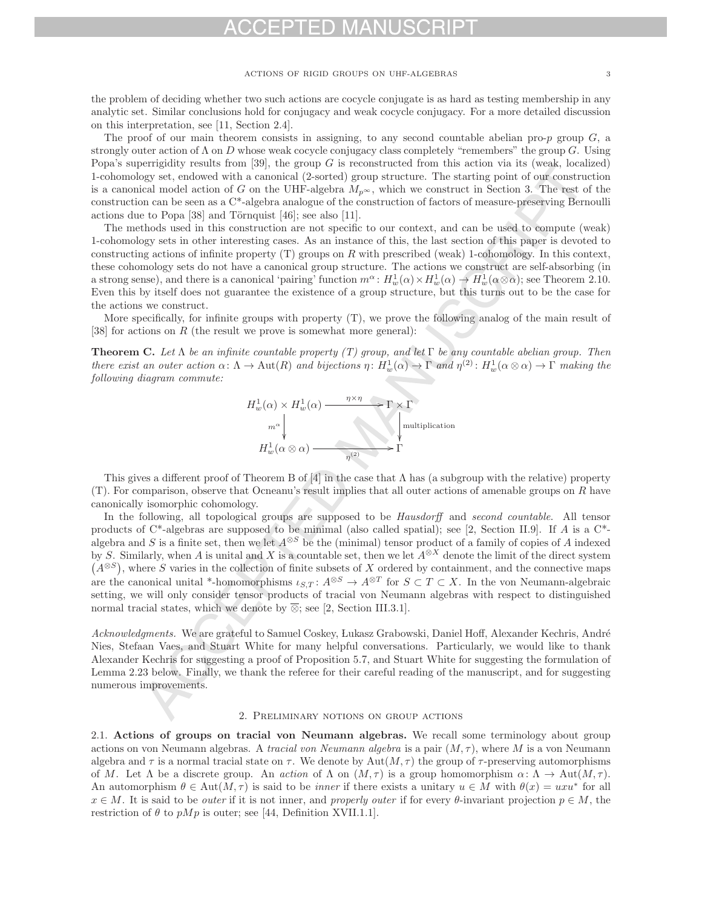the problem of deciding whether two such actions are cocycle conjugate is as hard as testing membership in any analytic set. Similar conclusions hold for conjugacy and weak cocycle conjugacy. For a more detailed discussion on this interpretation, see [11, Section 2.4].

The proof of our main theorem consists in assigning, to any second countable abelian pro-p group  $G$ , a strongly outer action of  $\Lambda$  on D whose weak cocycle conjugacy class completely "remembers" the group G. Using Popa's superrigidity results from [39], the group  $G$  is reconstructed from this action via its (weak, localized) 1-cohomology set, endowed with a canonical (2-sorted) group structure. The starting point of our construction is a canonical model action of G on the UHF-algebra  $M_{p^{\infty}}$ , which we construct in Section 3. The rest of the construction can be seen as a C\*-algebra analogue of the construction of factors of measure-preserving Bernoulli actions due to Popa  $[38]$  and Törnquist  $[46]$ ; see also  $[11]$ .

The methods used in this construction are not specific to our context, and can be used to compute (weak) 1-cohomology sets in other interesting cases. As an instance of this, the last section of this paper is devoted to constructing actions of infinite property  $(T)$  groups on R with prescribed (weak) 1-cohomology. In this context, these cohomology sets do not have a canonical group structure. The actions we construct are self-absorbing (in a strong sense), and there is a canonical 'pairing' function  $m^{\alpha}$ :  $H_w^1(\alpha) \times H_w^1(\alpha) \to H_w^1(\alpha \otimes \alpha)$ ; see Theorem 2.10.<br>Even this by itself does not guarantee the existence of a group structure, but this turns out to be Even this by itself does not guarantee the existence of a group structure, but this turns out to be the case for the actions we construct.

More specifically, for infinite groups with property (T), we prove the following analog of the main result of [38] for actions on R (the result we prove is somewhat more general):

**Theorem C.** Let  $\Lambda$  be an infinite countable property (T) group, and let  $\Gamma$  be any countable abelian group. Then there exist an outer action  $\alpha \colon \Lambda \to \text{Aut}(R)$  and bijections  $\eta \colon H_w^1(\alpha) \to \Gamma$  and  $\eta^{(2)} \colon H_w^1(\alpha \otimes \alpha) \to \Gamma$  making the following diagram commute: following diagram commute:



This gives a different proof of Theorem B of [4] in the case that  $\Lambda$  has (a subgroup with the relative) property  $(T)$ . For comparison, observe that Ocneanu's result implies that all outer actions of amenable groups on R have canonically isomorphic cohomology.

In the following, all topological groups are supposed to be *Hausdorff* and *second countable*. All tensor products of  $C^*$ -algebras are supposed to be minimal (also called spatial); see [2, Section II.9]. If A is a  $C^*$ algebra and S is a finite set, then we let  $A^{\otimes S}$  be the (minimal) tensor product of a family of copies of A indexed by S. Similarly, when A is unital and X is a countable set, then we let  $A^{\otimes X}$  denote the limit of the direct system  $(A^{\otimes S})$ , where S varies in the collection of finite subsets of X ordered by containment, and the connective maps are the canonical unital \*-homomorphisms  $\iota_{S,T} : A^{\otimes S} \to A^{\otimes T}$  for  $S \subset T \subset X$ . In the von Neumann-algebraic setting, we will only consider tensor products of tracial von Neumann algebras with respect to distinguished normal tracial states, which we denote by  $\overline{\otimes}$ ; see [2, Section III.3.1].

Acknowledgments. We are grateful to Samuel Coskey, Lukasz Grabowski, Daniel Hoff, Alexander Kechris, André Nies, Stefaan Vaes, and Stuart White for many helpful conversations. Particularly, we would like to thank Alexander Kechris for suggesting a proof of Proposition 5.7, and Stuart White for suggesting the formulation of Lemma 2.23 below. Finally, we thank the referee for their careful reading of the manuscript, and for suggesting numerous improvements.

# 2. Preliminary notions on group actions

2.1. **Actions of groups on tracial von Neumann algebras.** We recall some terminology about group actions on von Neumann algebras. A tracial von Neumann algebra is a pair  $(M, \tau)$ , where M is a von Neumann algebra and  $\tau$  is a normal tracial state on  $\tau$ . We denote by Aut $(M, \tau)$  the group of  $\tau$ -preserving automorphisms of M. Let  $\Lambda$  be a discrete group. An action of  $\Lambda$  on  $(M, \tau)$  is a group homomorphism  $\alpha: \Lambda \to \text{Aut}(M, \tau)$ . An automorphism  $\theta \in \text{Aut}(M, \tau)$  is said to be *inner* if there exists a unitary  $u \in M$  with  $\theta(x) = uxu^*$  for all  $x \in M$ . It is said to be *outer* if it is not inner, and *properly outer* if for every  $\theta$ -invariant projection  $p \in M$ , the restriction of  $\theta$  to  $pMp$  is outer; see [44, Definition XVII.1.1].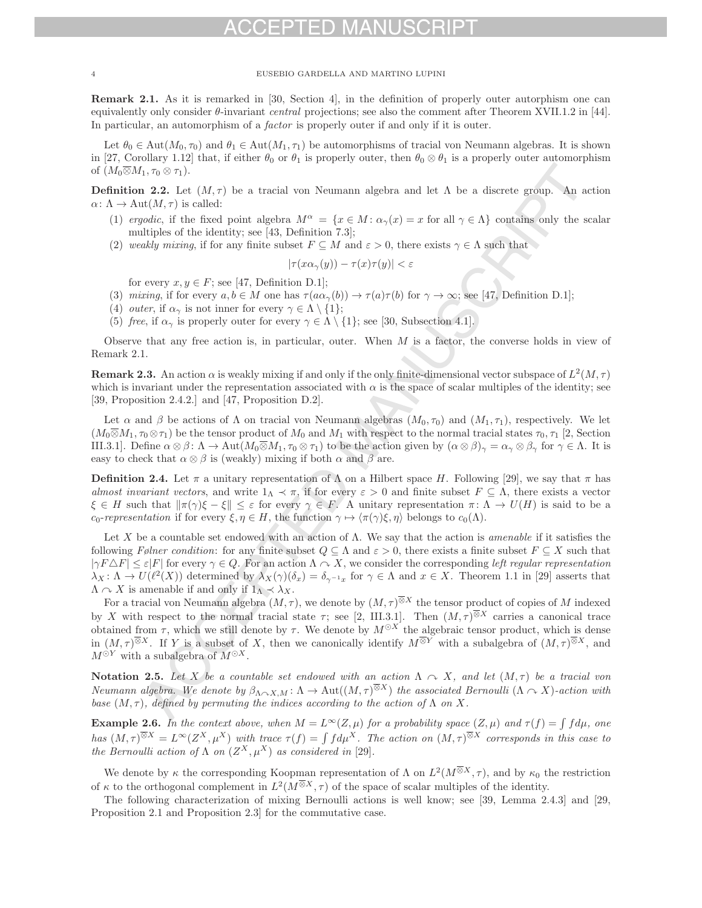**Remark 2.1.** As it is remarked in [30, Section 4], in the definition of properly outer autorphism one can equivalently only consider  $\theta$ -invariant *central* projections; see also the comment after Theorem XVII.1.2 in [44]. In particular, an automorphism of a *factor* is properly outer if and only if it is outer.

Let  $\theta_0 \in \text{Aut}(M_0, \tau_0)$  and  $\theta_1 \in \text{Aut}(M_1, \tau_1)$  be automorphisms of tracial von Neumann algebras. It is shown in [27, Corollary 1.12] that, if either  $\theta_0$  or  $\theta_1$  is properly outer, then  $\theta_0 \otimes \theta_1$  is a properly outer automorphism of  $(M_0\overline{\otimes}M_1,\tau_0\otimes\tau_1).$ 

**Definition 2.2.** Let  $(M, \tau)$  be a tracial von Neumann algebra and let  $\Lambda$  be a discrete group. An action  $\alpha\colon \Lambda \to \text{Aut}(M,\tau)$  is called:

- (1) ergodic, if the fixed point algebra  $M^{\alpha} = \{x \in M : \alpha_{\gamma}(x) = x \text{ for all } \gamma \in \Lambda\}$  contains only the scalar multiples of the identity; see [43, Definition 7.3];
- (2) weakly mixing, if for any finite subset  $F \subseteq M$  and  $\varepsilon > 0$ , there exists  $\gamma \in \Lambda$  such that

$$
|\tau(x\alpha_{\gamma}(y)) - \tau(x)\tau(y)| < \varepsilon
$$

for every  $x, y \in F$ ; see [47, Definition D.1];

- (3) mixing, if for every  $a, b \in M$  one has  $\tau(a\alpha_{\gamma}(b)) \to \tau(a)\tau(b)$  for  $\gamma \to \infty$ ; see [47, Definition D.1];
- (4) *outer*, if  $\alpha_{\gamma}$  is not inner for every  $\gamma \in \Lambda \setminus \{1\};$
- (5) free, if  $\alpha_{\gamma}$  is properly outer for every  $\gamma \in \Lambda \setminus \{1\}$ ; see [30, Subsection 4.1].

Observe that any free action is, in particular, outer. When  $M$  is a factor, the converse holds in view of Remark 2.1.

**Remark 2.3.** An action  $\alpha$  is weakly mixing if and only if the only finite-dimensional vector subspace of  $L^2(M, \tau)$ which is invariant under the representation associated with  $\alpha$  is the space of scalar multiples of the identity; see [39, Proposition 2.4.2.] and [47, Proposition D.2].

Let  $\alpha$  and  $\beta$  be actions of  $\Lambda$  on tracial von Neumann algebras  $(M_0, \tau_0)$  and  $(M_1, \tau_1)$ , respectively. We let  $(M_0\overline{\otimes}M_1,\tau_0\otimes\tau_1)$  be the tensor product of  $M_0$  and  $M_1$  with respect to the normal tracial states  $\tau_0,\tau_1$  [2, Section III.3.1]. Define  $\alpha \otimes \beta : \Lambda \to \text{Aut}(M_0 \overline{\otimes} M_1, \tau_0 \otimes \tau_1)$  to be the action given by  $(\alpha \otimes \beta)_\gamma = \alpha_\gamma \otimes \beta_\gamma$  for  $\gamma \in \Lambda$ . It is easy to check that  $\alpha \otimes \beta$  is (weakly) mixing if both  $\alpha$  and  $\beta$  are.

**Definition 2.4.** Let  $\pi$  a unitary representation of  $\Lambda$  on a Hilbert space H. Following [29], we say that  $\pi$  has almost invariant vectors, and write  $1_\Lambda \prec \pi$ , if for every  $\varepsilon > 0$  and finite subset  $F \subseteq \Lambda$ , there exists a vector  $\xi \in H$  such that  $\|\pi(\gamma)\xi - \xi\| \leq \varepsilon$  for every  $\gamma \in F$ . A unitary representation  $\pi \colon \Lambda \to U(H)$  is said to be a  $c_0$ -representation if for every  $\xi, \eta \in H$ , the function  $\gamma \mapsto \langle \pi(\gamma)\xi, \eta \rangle$  belongs to  $c_0(\Lambda)$ .

Let X be a countable set endowed with an action of  $\Lambda$ . We say that the action is *amenable* if it satisfies the following Følner condition: for any finite subset  $Q \subseteq \Lambda$  and  $\varepsilon > 0$ , there exists a finite subset  $F \subseteq X$  such that  $|\gamma F \triangle F| \leq \varepsilon |F|$  for every  $\gamma \in Q$ . For an action  $\Lambda \curvearrowright X$ , we consider the corresponding left regular representation  $\lambda_X : \Lambda \to U(\ell^2(X))$  determined by  $\lambda_X(\gamma)(\delta_x) = \delta_{\gamma^{-1}x}$  for  $\gamma \in \Lambda$  and  $x \in X$ . Theorem 1.1 in [29] asserts that  $\Lambda \curvearrowright X$  is amenable if and only if  $1_\Lambda \prec \lambda_X$ .

For a tracial von Neumann algebra  $(M, \tau)$ , we denote by  $(M, \tau)^{\overline{\otimes}X}$  the tensor product of copies of M indexed by X with respect to the normal tracial state  $\tau$ ; see [2, III.3.1]. Then  $(M, \tau)^{\overline{\otimes}X}$  carries a canonical trace obtained from  $\tau$ , which we still denote by  $\tau$ . We denote by  $M^{\odot X}$  the algebraic tensor product, which is dense in  $(M, \tau)^{\overline{\otimes}X}$ . If Y is a subset of X, then we canonically identify  $M^{\overline{\otimes}Y}$  with a subalgebra of  $(M, \tau)^{\overline{\otimes}X}$ , and  $M^{\odot Y}$  with a subalgebra of  $M^{\odot X}$ .

**Notation 2.5.** Let X be a countable set endowed with an action  $\Lambda \sim X$ , and let  $(M, \tau)$  be a tracial von Neumann algebra. We denote by  $\beta_{\Lambda\sim X,M}$ :  $\Lambda \to \text{Aut}((M,\tau)^{\otimes X})$  the associated Bernoulli  $(\Lambda \sim X)$ -action with base  $(M, \tau)$ , defined by permuting the indices according to the action of  $\Lambda$  on X.

**Example 2.6.** In the context above, when  $M = L^{\infty}(Z, \mu)$  for a probability space  $(Z, \mu)$  and  $\tau(f) = \int f d\mu$ , one has  $(M, \tau)^{\overline{\otimes}X} = L^{\infty}(Z^X, \mu^X)$  with trace  $\tau(f) = \int f d\mu^X$ . The action on  $(M, \tau)^{\overline{\otimes}X}$  corresponds in this case to the Bernoulli action of  $\Lambda$  on  $(Z^X, \mu^X)$  as considered in [29].

We denote by  $\kappa$  the corresponding Koopman representation of  $\Lambda$  on  $L^2(M^{\overline{\otimes} X}, \tau)$ , and by  $\kappa_0$  the restriction of  $\kappa$  to the orthogonal complement in  $L^2(M^{\overline{\otimes}X}, \tau)$  of the space of scalar multiples of the identity.

The following characterization of mixing Bernoulli actions is well know; see [39, Lemma 2.4.3] and [29, Proposition 2.1 and Proposition 2.3] for the commutative case.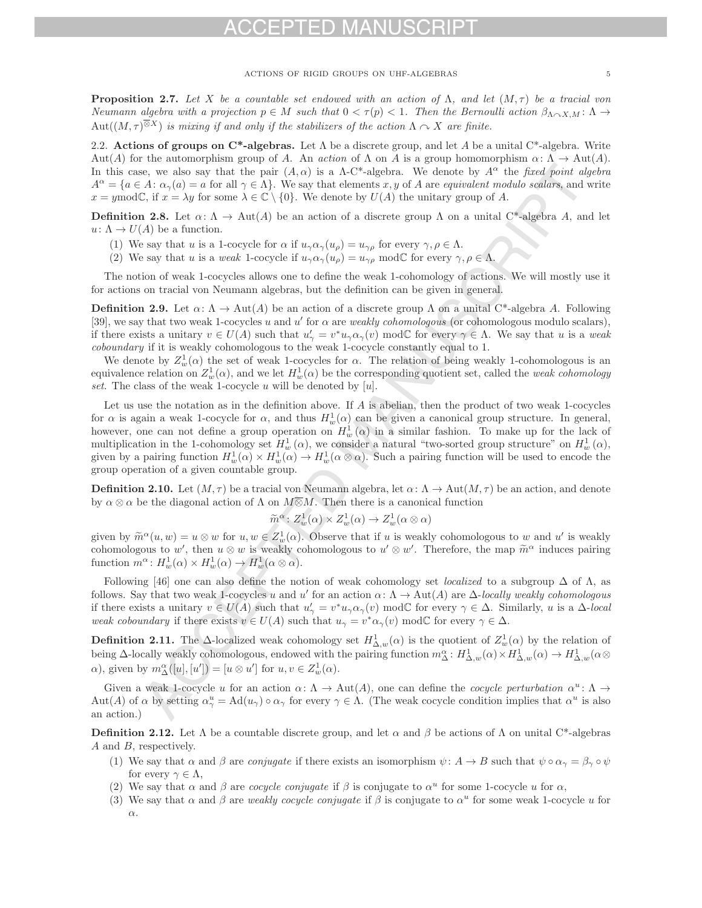**Proposition 2.7.** Let X be a countable set endowed with an action of  $\Lambda$ , and let  $(M, \tau)$  be a tracial von Neumann algebra with a projection  $p \in M$  such that  $0 < \tau(p) < 1$ . Then the Bernoulli action  $\beta_{\Lambda \sim X,M} : \Lambda \to$ Aut $((M, \tau)^{\overline{\otimes}X})$  is mixing if and only if the stabilizers of the action  $\Lambda \curvearrowright X$  are finite.

2.2. **Actions of groups on C\*-algebras.** Let  $\Lambda$  be a discrete group, and let A be a unital C\*-algebra. Write Aut(A) for the automorphism group of A. An action of  $\Lambda$  on A is a group homomorphism  $\alpha: \Lambda \to \text{Aut}(A)$ . In this case, we also say that the pair  $(A, \alpha)$  is a  $\Lambda$ -C\*-algebra. We denote by  $A^{\alpha}$  the fixed point algebra  $A^{\alpha} = \{a \in A : \alpha_{\gamma}(a) = a \text{ for all } \gamma \in \Lambda\}.$  We say that elements x, y of A are equivalent modulo scalars, and write  $x = y \mod \mathbb{C}$ , if  $x = \lambda y$  for some  $\lambda \in \mathbb{C} \setminus \{0\}$ . We denote by  $U(A)$  the unitary group of A.

**Definition 2.8.** Let  $\alpha: \Lambda \to \text{Aut}(A)$  be an action of a discrete group  $\Lambda$  on a unital C<sup>\*</sup>-algebra A, and let  $u: \Lambda \to U(\Lambda)$  be a function.

- (1) We say that u is a 1-cocycle for  $\alpha$  if  $u_{\gamma}\alpha_{\gamma}(u_{\rho}) = u_{\gamma\rho}$  for every  $\gamma, \rho \in \Lambda$ .
- (2) We say that u is a weak 1-cocycle if  $u_{\gamma}\alpha_{\gamma}(u_{\rho}) = u_{\gamma\rho} \mod \mathbb{C}$  for every  $\gamma, \rho \in \Lambda$ .

The notion of weak 1-cocycles allows one to define the weak 1-cohomology of actions. We will mostly use it for actions on tracial von Neumann algebras, but the definition can be given in general.

**Definition 2.9.** Let  $\alpha: \Lambda \to \text{Aut}(A)$  be an action of a discrete group  $\Lambda$  on a unital C<sup>\*</sup>-algebra A. Following [39], we say that two weak 1-cocycles u and u' for  $\alpha$  are weakly cohomologous (or cohomologous modulo scalars), if there exists a unitary  $v \in U(A)$  such that  $u'_{\gamma} = v^*u_{\gamma}\alpha_{\gamma}(v) \mod C$  for every  $\gamma \in \Lambda$ . We say that u is a weak<br>cohoundary if it is weakly cohomologous to the weak 1-cocycle constantly equal to 1 coboundary if it is weakly cohomologous to the weak 1-cocycle constantly equal to 1.

We denote by  $Z_{w}^{1}(\alpha)$  the set of weak 1-cocycles for  $\alpha$ . The relation of being weakly 1-cohomologous is an univelence relation on  $Z^{1}(\alpha)$  and we let  $H^{1}(\alpha)$  be the corresponding quotient set, called the weak coh equivalence relation on  $Z_w^1(\alpha)$ , and we let  $H_w^1(\alpha)$  be the corresponding quotient set, called the *weak cohomology*<br>set. The class of the weak 1-cocycle is will be denoted by [ii] set. The class of the weak 1-cocycle u will be denoted by  $[u]$ .

Let us use the notation as in the definition above. If A is abelian, then the product of two weak 1-cocycles for  $\alpha$  is again a weak 1-cocycle for  $\alpha$ , and thus  $H_w^1(\alpha)$  can be given a canonical group structure. In general, however, one can not define a group operation on  $H_w^1(\alpha)$  in a similar fashion. To make up for the lack of multiplication in the 1 cohomology set  $H^1(\alpha)$ , we consider a natural "two sexted group structure" on  $H^1(\alpha)$ multiplication in the 1-cohomology set  $H_w^1(\alpha)$ , we consider a natural "two-sorted group structure" on  $H_w^1(\alpha)$ , given by a pairing function will be used to appeal the given by a pairing function  $H_w^1(\alpha) \times H_w^1(\alpha) \to H_w^1(\alpha \otimes \alpha)$ . Such a pairing function will be used to encode the group operation of a given countable group.

**Definition 2.10.** Let  $(M, \tau)$  be a tracial von Neumann algebra, let  $\alpha: \Lambda \to \text{Aut}(M, \tau)$  be an action, and denote by  $\alpha \otimes \alpha$  be the diagonal action of  $\Lambda$  on  $M \overline{\otimes} M$ . Then there is a canonical function

$$
\widetilde{m}^{\alpha} : Z_w^1(\alpha) \times Z_w^1(\alpha) \to Z_w^1(\alpha \otimes \alpha)
$$

given by  $\widetilde{m}^{\alpha}(u, w) = u \otimes w$  for  $u, w \in Z_w^1(\alpha)$ . Observe that if u is weakly cohomologous to w and u' is weakly cohomologous to w', then  $u \otimes w$  is weakly cohomologous to  $u' \otimes w'$ . Therefore, the map  $\widetilde{m}^{\alpha}$  induces pairing function  $m^{\alpha} \cdot H^1(\alpha) \times H^1(\alpha) \to H^1(\alpha \otimes \alpha)$ function  $m^{\alpha}$ :  $H_w^1(\alpha) \times H_w^1(\alpha) \to H_w^1(\alpha \otimes \alpha)$ .

Following [46] one can also define the notion of weak cohomology set *localized* to a subgroup  $\Delta$  of  $\Lambda$ , as follows. Say that two weak 1-cocycles u and u' for an action  $\alpha: \Lambda \to \text{Aut}(A)$  are  $\Delta$ -locally weakly cohomologous if there exists a unitary  $v \in U(A)$  such that  $u'_{\gamma} = v^*u_{\gamma}\alpha_{\gamma}(v) \mod C$  for every  $\gamma \in \Delta$ . Similarly, u is a  $\Delta$ -local<br>weak cohomoders if there exists  $v \in U(A)$  such that  $u_{\gamma} = v^* \alpha_{\gamma}(v) \mod C$  for every  $\alpha \in \Delta$ . weak coboundary if there exists  $v \in U(A)$  such that  $u_{\gamma} = v^* \alpha_{\gamma}(v) \mod \mathbb{C}$  for every  $\gamma \in \Delta$ .

**Definition 2.11.** The  $\Delta$ -localized weak cohomology set  $H^1_{\Delta,w}(\alpha)$  is the quotient of  $Z^1_w(\alpha)$  by the relation of heights as a set of  $Z^1_w(\alpha)$  by the relation of heights as a set of  $Z^1_w(\alpha)$  by the relation of hei being  $\Delta$ -locally weakly cohomologous, endowed with the pairing function  $m^{\alpha}_{\Delta} : H^1_{\Delta,w}(\alpha) \times H^1_{\Delta,w}(\alpha) \to H^1_{\Delta,w}(\alpha)$  $\alpha$ ), given by  $m_{\Delta}^{\alpha}([u],[u']) = [u \otimes u']$  for  $u, v \in Z_w^1(\alpha)$ .

Given a weak 1-cocycle u for an action  $\alpha: \Lambda \to Aut(A)$ , one can define the *cocycle perturbation*  $\alpha^u: \Lambda \to Aut(A)$  $\text{Aut}(A)$  of  $\alpha$  by setting  $\alpha_{\gamma}^{u} = \text{Ad}(u_{\gamma}) \circ \alpha_{\gamma}$  for every  $\gamma \in \Lambda$ . (The weak cocycle condition implies that  $\alpha^{u}$  is also an action.)

**Definition 2.12.** Let  $\Lambda$  be a countable discrete group, and let  $\alpha$  and  $\beta$  be actions of  $\Lambda$  on unital C\*-algebras A and B, respectively.

- (1) We say that  $\alpha$  and  $\beta$  are *conjugate* if there exists an isomorphism  $\psi: A \to B$  such that  $\psi \circ \alpha_{\gamma} = \beta_{\gamma} \circ \psi$ for every  $\gamma \in \Lambda$ ,
- (2) We say that  $\alpha$  and  $\beta$  are *cocycle conjugate* if  $\beta$  is conjugate to  $\alpha^u$  for some 1-cocycle u for  $\alpha$ .
- (3) We say that  $\alpha$  and  $\beta$  are weakly cocycle conjugate if  $\beta$  is conjugate to  $\alpha^u$  for some weak 1-cocycle u for α.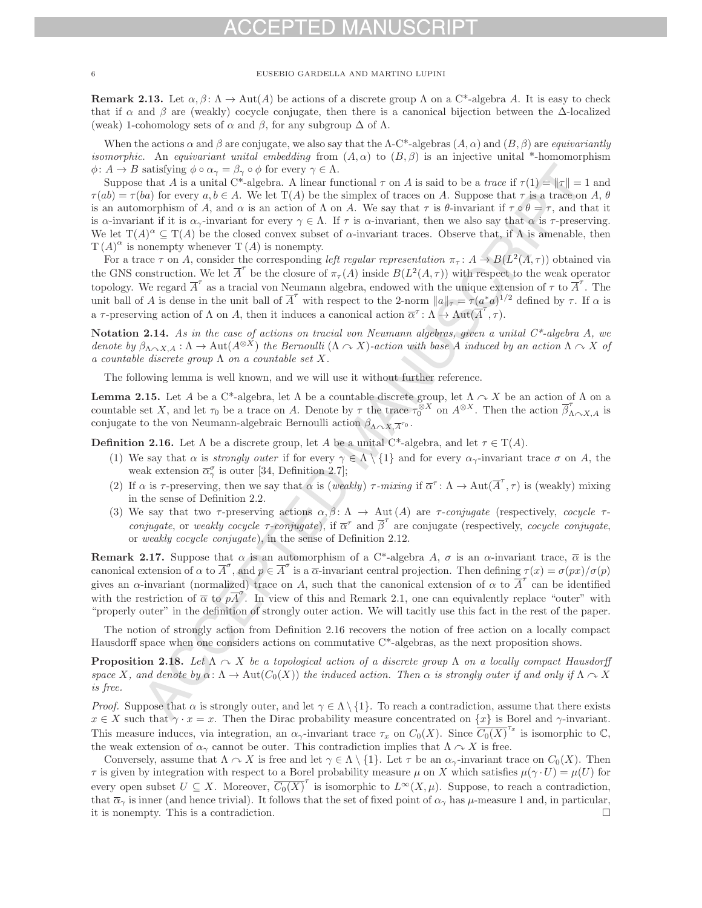**Remark 2.13.** Let  $\alpha, \beta \colon \Lambda \to \text{Aut}(A)$  be actions of a discrete group  $\Lambda$  on a C<sup>\*</sup>-algebra A. It is easy to check that if  $\alpha$  and  $\beta$  are (weakly) cocycle conjugate, then there is a canonical bijection between the  $\Delta$ -localized (weak) 1-cohomology sets of  $\alpha$  and  $\beta$ , for any subgroup  $\Delta$  of  $\Lambda$ .

When the actions  $\alpha$  and  $\beta$  are conjugate, we also say that the  $\Lambda$ -C\*-algebras  $(A, \alpha)$  and  $(B, \beta)$  are *equivariantly isomorphic.* An equivariant unital embedding from  $(A, \alpha)$  to  $(B, \beta)$  is an injective unital \*-homomorphism  $\phi: A \to B$  satisfying  $\phi \circ \alpha_{\gamma} = \beta_{\gamma} \circ \phi$  for every  $\gamma \in \Lambda$ .

Suppose that A is a unital C\*-algebra. A linear functional  $\tau$  on A is said to be a *trace* if  $\tau(1) = \|\tau\| = 1$  and  $\tau(ab) = \tau(ba)$  for every  $a, b \in A$ . We let  $T(A)$  be the simplex of traces on A. Suppose that  $\tau$  is a trace on A,  $\theta$ is an automorphism of A, and  $\alpha$  is an action of  $\Lambda$  on A. We say that  $\tau$  is  $\theta$ -invariant if  $\tau \circ \theta = \tau$ , and that it is  $\alpha$ -invariant if it is  $\alpha_{\gamma}$ -invariant for every  $\gamma \in \Lambda$ . If  $\tau$  is  $\alpha$ -invariant, then we also say that  $\alpha$  is  $\tau$ -preserving. We let  $T(A)^{\alpha} \subseteq T(A)$  be the closed convex subset of  $\alpha$ -invariant traces. Observe that, if  $\Lambda$  is amenable, then  $T(A)^{\alpha}$  is nonempty whenever  $T(A)$  is nonempty.

For a trace  $\tau$  on A, consider the corresponding left regular representation  $\pi_{\tau}: A \to B(L^2(A, \tau))$  obtained via the GNS construction. We let  $\overline{A}^{\tau}$  be the closure of  $\pi_{\tau}(A)$  inside  $B(L^{2}(A, \tau))$  with respect to the weak operator topology. We regard  $\overline{A}'$  as a tracial von Neumann algebra, endowed with the unique extension of  $\tau$  to  $\overline{A}'$ . The unit ball of A is dense in the unit ball of  $\overline{A}^{\tau}$  with respect to the 2-norm  $||a||_{\tau} = \tau (a^*a)^{1/2}$  defined by  $\tau$ . If  $\alpha$  is a  $\tau$ -preserving action of  $\Lambda$  on  $A$ , then it induces a canonical action  $\overline{\alpha}^{\tau} : \Lambda \to \text{Aut}(\overline{A}', \tau)$ .

**Notation 2.14.** As in the case of actions on tracial von Neumann algebras, given a unital C\*-algebra A, we denote by  $\beta_{\Lambda \sim X,A}: \Lambda \to \text{Aut}(A^{\otimes X})$  the Bernoulli  $(\Lambda \sim X)$ -action with base A induced by an action  $\Lambda \sim X$  of a countable discrete group  $\Lambda$  on a countable set X.

The following lemma is well known, and we will use it without further reference.

**Lemma 2.15.** Let A be a C<sup>\*</sup>-algebra, let  $\Lambda$  be a countable discrete group, let  $\Lambda \sim X$  be an action of  $\Lambda$  on a countable set X, and let  $\tau_0$  be a trace on A. Denote by  $\tau$  the trace  $\tau_0^{\otimes X}$  on  $A^{\otimes X}$ . Then the action  $\beta'_{\Lambda \curvearrowright X,A}$  is conjugate to the von Neumann-algebraic Bernoulli action  $\beta_{\Lambda \curvearrowright X, \overline{A}^{\tau_0}}$ .

**Definition 2.16.** Let  $\Lambda$  be a discrete group, let A be a unital C<sup>\*</sup>-algebra, and let  $\tau \in T(A)$ .

- (1) We say that  $\alpha$  is *strongly outer* if for every  $\gamma \in \Lambda \setminus \{1\}$  and for every  $\alpha_{\gamma}$ -invariant trace  $\sigma$  on A, the weak extension  $\overline{\alpha}_{\gamma}^{\sigma}$  is outer [34, Definition 2.7];
- (2) If  $\alpha$  is  $\tau$ -preserving, then we say that  $\alpha$  is (weakly)  $\tau$ -mixing if  $\overline{\alpha}^{\tau}$ :  $\Lambda \to \text{Aut}(\overline{A}', \tau)$  is (weakly) mixing in the sense of Definition 2.2.
- (3) We say that two  $\tau$ -preserving actions  $\alpha, \beta \colon \Lambda \to \text{Aut}(A)$  are  $\tau$ -conjugate (respectively, cocycle  $\tau$ conjugate, or weakly cocycle  $\tau$ -conjugate), if  $\overline{\alpha}^{\tau}$  and  $\beta'$  are conjugate (respectively, cocycle conjugate, or weakly cocycle conjugate), in the sense of Definition 2.12.

**Remark 2.17.** Suppose that  $\alpha$  is an automorphism of a C<sup>\*</sup>-algebra A,  $\sigma$  is an  $\alpha$ -invariant trace,  $\overline{\alpha}$  is the canonical extension of  $\alpha$  to  $\overline{A}^{\sigma}$ , and  $p \in \overline{A}^{\sigma}$  is a  $\overline{\alpha}$ -invariant central projection. Then defining  $\tau(x) = \sigma(px)/\sigma(p)$ gives an  $\alpha$ -invariant (normalized) trace on A, such that the canonical extension of  $\alpha$  to  $\overline{A}^{\tau}$  can be identified with the restriction of  $\overline{\alpha}$  to  $pA$ . In view of this and Remark 2.1, one can equivalently replace "outer" with "properly outer" in the definition of strongly outer action. We will tacitly use this fact in the rest of the paper.

The notion of strongly action from Definition 2.16 recovers the notion of free action on a locally compact Hausdorff space when one considers actions on commutative C\*-algebras, as the next proposition shows.

**Proposition 2.18.** Let  $\Lambda \sim X$  be a topological action of a discrete group  $\Lambda$  on a locally compact Hausdorff space X, and denote by  $\alpha: \Lambda \to Aut(C_0(X))$  the induced action. Then  $\alpha$  is strongly outer if and only if  $\Lambda \sim X$ is free.

*Proof.* Suppose that  $\alpha$  is strongly outer, and let  $\gamma \in \Lambda \setminus \{1\}$ . To reach a contradiction, assume that there exists  $x \in X$  such that  $\gamma \cdot x = x$ . Then the Dirac probability measure concentrated on  $\{x\}$  is Borel and  $\gamma$ -invariant. This measure induces, via integration, an  $\alpha_{\gamma}$ -invariant trace  $\tau_x$  on  $C_0(X)$ . Since  $\overline{C_0(X)}^{\tau_x}$  is isomorphic to  $\mathbb{C}$ , the weak extension of a second be enter. This contradiction involves that  $\Lambda \subset Y$  is f the weak extension of  $\alpha_{\gamma}$  cannot be outer. This contradiction implies that  $\Lambda \curvearrowright X$  is free.

Conversely, assume that  $\Lambda \cap X$  is free and let  $\gamma \in \Lambda \setminus \{1\}$ . Let  $\tau$  be an  $\alpha_{\gamma}$ -invariant trace on  $C_0(X)$ . Then  $\tau$  is given by integration with respect to a Borel probability measure  $\mu$  on X which satisfies  $\mu(\gamma \cdot U) = \mu(U)$  for every open subset  $U \subseteq X$ . Moreover,  $C_0(X)$  is isomorphic to  $L^{\infty}(X, \mu)$ . Suppose, to reach a contradiction, that  $\overline{\alpha}_{\gamma}$  is inner (and hence trivial). It follows that the set of fixed point of  $\alpha_{\gamma}$  has  $\mu$ -measure 1 and, in particular, it is nonempty. This is a contradiction it is nonempty. This is a contradiction.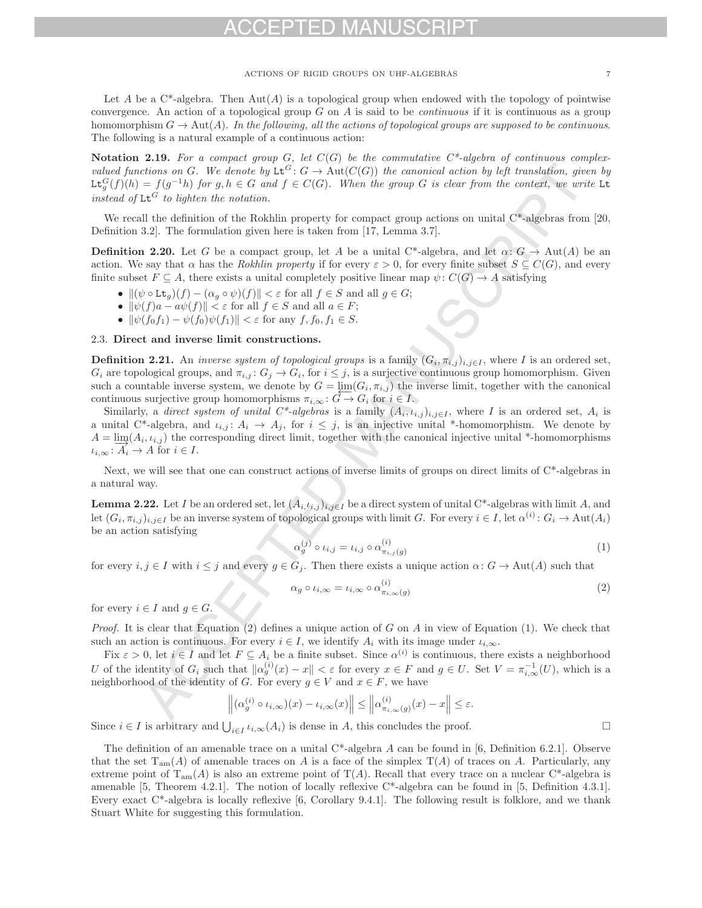Let A be a  $C^*$ -algebra. Then Aut $(A)$  is a topological group when endowed with the topology of pointwise convergence. An action of a topological group  $G$  on  $A$  is said to be *continuous* if it is continuous as a group homomorphism  $G \to \text{Aut}(A)$ . In the following, all the actions of topological groups are supposed to be continuous. The following is a natural example of a continuous action:

**Notation 2.19.** For a compact group  $G$ , let  $C(G)$  be the commutative  $C^*$ -algebra of continuous complexvalued functions on G. We denote by  $\text{Lt}^G: G \to \text{Aut}(C(G))$  the canonical action by left translation, given by  $\texttt{Lt}_g^G(f)(h) = f(g^{-1}h)$  for g,  $h \in G$  and  $f \in C(G)$ . When the group G is clear from the context, we write Lt<br>indeed of LG to lighter the position instead of  $\mathsf{Lt}^G$  to lighten the notation.

We recall the definition of the Rokhlin property for compact group actions on unital  $C^*$ -algebras from [20, Definition 3.2]. The formulation given here is taken from [17, Lemma 3.7].

**Definition 2.20.** Let G be a compact group, let A be a unital C\*-algebra, and let  $\alpha: G \to \text{Aut}(A)$  be an action. We say that  $\alpha$  has the Rokhlin property if for every  $\varepsilon > 0$ , for every finite subset  $S \subseteq C(G)$ , and every finite subset  $F \subseteq A$ , there exists a unital completely positive linear map  $\psi: C(G) \to A$  satisfying

- $\|(\psi \circ \mathsf{Lt}_g)(f) (\alpha_g \circ \psi)(f)\| < \varepsilon$  for all  $f \in S$  and all  $g \in G$ ;
- $\|\psi(f)a a\psi(f)\| < \varepsilon$  for all  $f \in S$  and all  $a \in F$ ;
- $\|\psi(f_0f_1) \psi(f_0)\psi(f_1)\| < \varepsilon$  for any  $f, f_0, f_1 \in S$ .

# 2.3. **Direct and inverse limit constructions.**

**Definition 2.21.** An *inverse system of topological groups* is a family  $(G_i, \pi_{i,j})_{i,j\in I}$ , where I is an ordered set,  $G_i$  are topological groups, and  $\pi_{i,j} : G_j \to G_i$ , for  $i \leq j$ , is a surjective continuous group homomorphism. Given such a countable inverse system, we denote by  $G = \varprojlim(G_i, \pi_{i,j})$  the inverse limit, together with the canonical continuous surjective group homomorphisms  $\pi_{i+1}: \widetilde{G} \to G$ : for  $i \in I$ continuous surjective group homomorphisms  $\pi_{i,\infty} : G \to G_i$  for  $i \in I$ .

Similarly, a direct system of unital C<sup>\*</sup>-algebras is a family  $(A_i, \iota_{i,j})_{i,j\in I}$ , where I is an ordered set,  $A_i$  is a unital C\*-algebra, and  $\iota_{i,j}: A_i \to A_j$ , for  $i \leq j$ , is an injective unital \*-homomorphism. We denote by  $A = \lim_{i} (A_i, \iota_{i,j})$  the corresponding direct limit, together with the canonical injective unital \*-homomorphisms  $\iota_{i,\infty} : A_i \to A$  for  $i \in I$ .

Next, we will see that one can construct actions of inverse limits of groups on direct limits of C\*-algebras in a natural way.

**Lemma 2.22.** Let I be an ordered set, let  $(A_i,t_i,j)_{i,j\in I}$  be a direct system of unital C\*-algebras with limit A, and let  $(G_i, \pi_{i,j})_{i,j\in I}$  be an inverse system of topological groups with limit G. For every  $i \in I$ , let  $\alpha^{(i)}: G_i \to \text{Aut}(A_i)$ be an action satisfying

$$
\alpha_g^{(j)} \circ \iota_{i,j} = \iota_{i,j} \circ \alpha_{\pi_{i,j}(g)}^{(i)} \tag{1}
$$

for every  $i, j \in I$  with  $i \leq j$  and every  $g \in G_j$ . Then there exists a unique action  $\alpha : G \to \text{Aut}(A)$  such that

$$
\alpha_g \circ \iota_{i,\infty} = \iota_{i,\infty} \circ \alpha_{\pi_{i,\infty}(g)}^{(i)} \tag{2}
$$

for every  $i \in I$  and  $q \in G$ .

*Proof.* It is clear that Equation (2) defines a unique action of G on A in view of Equation (1). We check that such an action is continuous. For every  $i \in I$ , we identify  $A_i$  with its image under  $\iota_{i,\infty}$ .

Fix  $\varepsilon > 0$ , let  $i \in I$  and let  $F \subseteq A_i$  be a finite subset. Since  $\alpha^{(i)}$  is continuous, there exists a neighborhood U of the identity of  $G_i$  such that  $\|\alpha_g^{(i)}(x) - x\| < \varepsilon$  for every  $x \in F$  and  $g \in U$ . Set  $V = \pi_{i,\infty}^{-1}(U)$ , which is a neighborhood of the identity of  $G$ . For every  $g \in V$  and  $x \in F$  we have neighborhood of the identity of G. For every  $g \in V$  and  $x \in F$ , we have

$$
\left\|(\alpha_g^{(i)} \circ \iota_{i,\infty})(x) - \iota_{i,\infty}(x)\right\| \le \left\|\alpha_{\pi_{i,\infty}(g)}^{(i)}(x) - x\right\| \le \varepsilon.
$$

Since  $i \in I$  is arbitrary and  $\bigcup_{i \in I} \iota_{i,\infty}(A_i)$  is dense in A, this concludes the proof.  $\Box$ 

The definition of an amenable trace on a unital  $C^*$ -algebra A can be found in [6, Definition 6.2.1]. Observe that the set  $T_{am}(A)$  of amenable traces on A is a face of the simplex  $T(A)$  of traces on A. Particularly, any extreme point of  $T_{am}(A)$  is also an extreme point of  $T(A)$ . Recall that every trace on a nuclear C\*-algebra is amenable [5, Theorem 4.2.1]. The notion of locally reflexive C\*-algebra can be found in [5, Definition 4.3.1]. Every exact C\*-algebra is locally reflexive [6, Corollary 9.4.1]. The following result is folklore, and we thank Stuart White for suggesting this formulation.

 $\Box$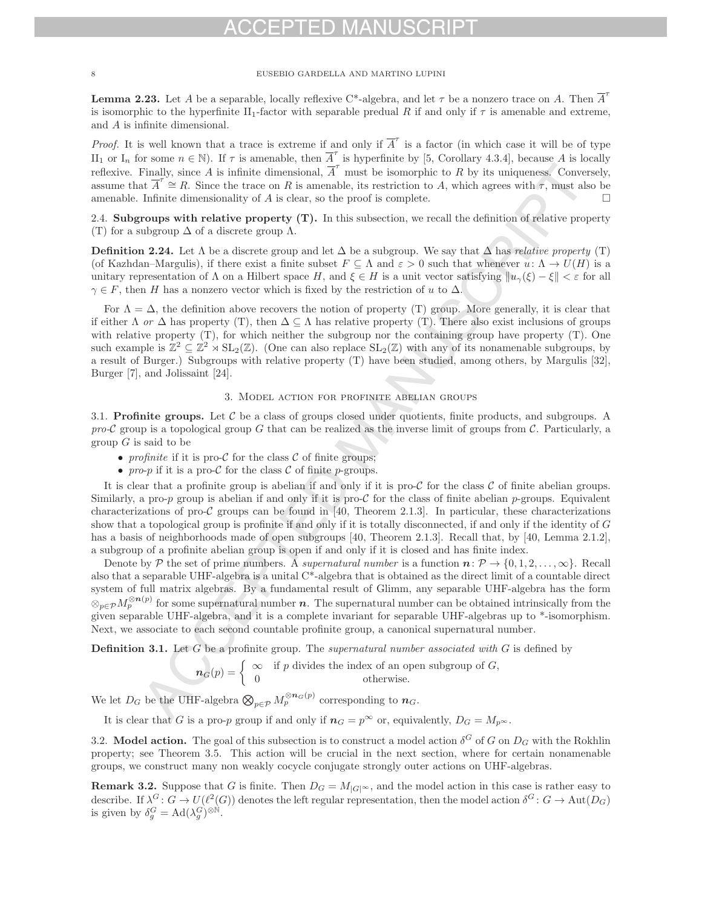**Lemma 2.23.** Let A be a separable, locally reflexive C\*-algebra, and let  $\tau$  be a nonzero trace on A. Then  $\overline{A}'$ is isomorphic to the hyperfinite II<sub>1</sub>-factor with separable predual R if and only if  $\tau$  is amenable and extreme, and A is infinite dimensional.

*Proof.* It is well known that a trace is extreme if and only if  $\overline{A}^{\tau}$  is a factor (in which case it will be of type II<sub>1</sub> or I<sub>n</sub> for some  $n \in \mathbb{N}$ ). If  $\tau$  is amenable, then  $\overline{A}^{\tau}$  is hyperfinite by [5, Corollary 4.3.4], because A is locally reflexive. Finally, since A is infinite dimensional,  $\overline{A}^{\tau}$  must be isomorphic to R by its uniqueness. Conversely, assume that  $\overline{A}^{\tau} \cong R$ . Since the trace on R is amenable, its restriction to A, which agrees with  $\tau$ , must also be amenable. Infinite dimensionality of  $A$  is clear, so the proof is complete.

2.4. **Subgroups with relative property (T).** In this subsection, we recall the definition of relative property (T) for a subgroup  $\Delta$  of a discrete group  $\Lambda$ .

**Definition 2.24.** Let  $\Lambda$  be a discrete group and let  $\Delta$  be a subgroup. We say that  $\Delta$  has *relative property* (T) (of Kazhdan–Margulis), if there exist a finite subset  $F \subseteq \Lambda$  and  $\varepsilon > 0$  such that whenever  $u: \Lambda \to U(H)$  is a unitary representation of  $\Lambda$  on a Hilbert space H, and  $\xi \in H$  is a unit vector satisfying  $\|u_{\gamma}(\xi) - \xi\| < \varepsilon$  for all  $\gamma \in F$ , then H has a nonzero vector which is fixed by the restriction of u to  $\Delta$ .

For  $\Lambda = \Delta$ , the definition above recovers the notion of property (T) group. More generally, it is clear that if either  $\Lambda$  or  $\Delta$  has property (T), then  $\Delta \subseteq \Lambda$  has relative property (T). There also exist inclusions of groups with relative property (T), for which neither the subgroup nor the containing group have property (T). One such example is  $\mathbb{Z}^2 \subseteq \mathbb{Z}^2 \rtimes SL_2(\mathbb{Z})$ . (One can also replace  $SL_2(\mathbb{Z})$  with any of its nonamenable subgroups, by a result of Burger.) Subgroups with relative property (T) have been studied, among others, by Margulis [32], Burger [7], and Jolissaint [24].

# 3. Model action for profinite abelian groups

3.1. **Profinite groups.** Let  $C$  be a class of groups closed under quotients, finite products, and subgroups. A pro-C group is a topological group G that can be realized as the inverse limit of groups from C. Particularly, a group  $G$  is said to be

- profinite if it is pro- $\mathcal C$  for the class  $\mathcal C$  of finite groups;
- pro-p if it is a pro-C for the class C of finite p-groups.

It is clear that a profinite group is abelian if and only if it is pro-C for the class C of finite abelian groups. Similarly, a pro-p group is abelian if and only if it is pro- $\mathcal C$  for the class of finite abelian p-groups. Equivalent characterizations of pro-C groups can be found in [40, Theorem 2.1.3]. In particular, these characterizations show that a topological group is profinite if and only if it is totally disconnected, if and only if the identity of G has a basis of neighborhoods made of open subgroups [40, Theorem 2.1.3]. Recall that, by [40, Lemma 2.1.2], a subgroup of a profinite abelian group is open if and only if it is closed and has finite index.

Denote by P the set of prime numbers. A *supernatural number* is a function  $n: \mathcal{P} \to \{0, 1, 2, \ldots, \infty\}$ . Recall also that a separable UHF-algebra is a unital  $C^*$ -algebra that is obtained as the direct limit of a countable direct system of full matrix algebras. By a fundamental result of Glimm, any separable UHF-algebra has the form  $\otimes_{p \in \mathcal{P}} M_p^{\otimes n(p)}$  for some supernatural number *n*. The supernatural number can be obtained intrinsically from the given separable UHF-algebra, and it is a complete invariant for separable UHF-algebras up to \*-isomorphism. Next, we associate to each second countable profinite group, a canonical supernatural number.

**Definition 3.1.** Let G be a profinite group. The supernatural number associated with G is defined by

$$
n_G(p) = \begin{cases} \infty & \text{if } p \text{ divides the index of an open subgroup of } G, \\ 0 & \text{otherwise.} \end{cases}
$$

We let  $D_G$  be the UHF-algebra  $\bigotimes_{p \in \mathcal{P}} M_p^{\otimes n_G(p)}$  corresponding to  $n_G$ .

It is clear that G is a pro-p group if and only if  $n_G = p^{\infty}$  or, equivalently,  $D_G = M_{p^{\infty}}$ .

3.2. **Model action.** The goal of this subsection is to construct a model action  $\delta^G$  of G on  $D_G$  with the Rokhlin property; see Theorem 3.5. This action will be crucial in the next section, where for certain nonamenable groups, we construct many non weakly cocycle conjugate strongly outer actions on UHF-algebras.

**Remark 3.2.** Suppose that G is finite. Then  $D_G = M_{|G|^\infty}$ , and the model action in this case is rather easy to describe. If  $\lambda^G$ :  $G \to U(l^2(G))$  denotes the left regular representation, then the model action  $\delta^G$ :  $G \to Aut(D_G)$ is given by  $\delta_g^G = \text{Ad}(\lambda_g^G)^{\otimes \mathbb{N}}$ .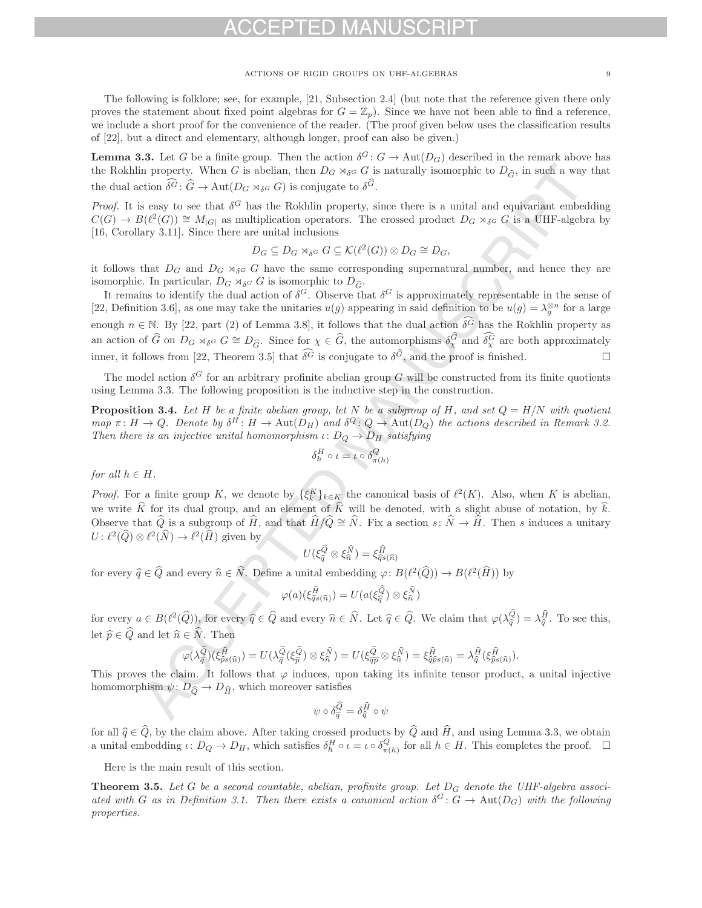The following is folklore; see, for example, [21, Subsection 2.4] (but note that the reference given there only proves the statement about fixed point algebras for  $G = \mathbb{Z}_n$ ). Since we have not been able to find a reference, we include a short proof for the convenience of the reader. (The proof given below uses the classification results of [22], but a direct and elementary, although longer, proof can also be given.)

**Lemma 3.3.** Let G be a finite group. Then the action  $\delta^G: G \to \text{Aut}(D_G)$  described in the remark above has **Lemma 3.3.** Let G be a finite group. Then the action  $\delta^G : G \to \text{Aut}(D_G)$  described in the remark above has the Rokhlin property. When G is abelian, then  $D_G \rtimes_{\delta^G} G$  is naturally isomorphic to  $D_{\widehat{G}}$ , in such a way the dual action  $\delta^G \colon G \to \text{Aut}(D_G \rtimes_{\delta^G} G)$  is conjugate to  $\delta^G$ . is up. Then the action  $\delta^G$ :<br>belian, then  $D_G \rtimes_{\delta^G} G$ <br> $_{\delta^G} G$ ) is conjugate to  $\delta^{\widehat{G}}$ 

*Proof.* It is easy to see that  $\delta^G$  has the Rokhlin property, since there is a unital and equivariant embedding  $C(G) \to B(\ell^2(G)) \cong M_{|G|}$  as multiplication operators. The crossed product  $D_G \rtimes_{\delta^G} G$  is a UHF-algebra by [16, Corollary 3.11]. Since there are unital inclusions

$$
D_G \subseteq D_G \rtimes_{\delta^G} G \subseteq \mathcal{K}(\ell^2(G)) \otimes D_G \cong D_G,
$$

it follows that  $D_G$  and  $D_G \rtimes_{\delta} G$  have the same corresponding supernatural number, and hence they are<br>isomorphic In particular,  $D_G \rtimes_{\delta} G$  is isomorphic to  $D_G$ . it follows that  $D_G$  and  $D_G \rtimes_{\delta} G$  have the same corres<br>isomorphic. In particular,  $D_G \rtimes_{\delta} G$  is isomorphic to  $D_{\hat{G}}$ .<br>It remains to identify the dual action of  $\delta^G$ . Observe the

It remains to identify the dual action of  $\delta^G$ . Observe that  $\delta^G$  is approximately representable in the sense of [22, Definition 3.6], as one may take the unitaries  $u(g)$  appearing in said definition to be  $u(g) = \lambda_0^{\otimes n}$  for a large enough  $n \in \mathbb{N}$ . By [22, part (2) of Lemma 3.8], it follows that the dual action  $\delta^G$  has the Rokhlin property as an action of  $\hat{G}$  on  $D_G \rtimes_{\delta^G} G \cong D_{\hat{G}}$ . Since for  $\chi \in \hat{G}$ , the automorphisms  $\delta_{\chi}^{\hat{G}}$ <br>an action of  $\hat{G}$  on  $D_G \rtimes_{\delta^G} G \cong D_{\hat{G}}$ . Since for  $\chi \in \hat{G}$ , the automorphisms  $\delta_{\chi}^{\hat{G}}$ enough  $n \in \mathbb{N}$ . By [22, part (2) or Lemma 3.8], it follows that the dual action  $\delta^C$  has the Nokimir property as<br>an action of  $\hat{G}$  on  $D_G \rtimes_{\delta^G} G \cong D_{\hat{G}}$ . Since for  $\chi \in \hat{G}$ , the automorphisms  $\delta^{\hat{G}}_{\$  $\mathcal{G}$ , and the proof is finished.  $\Box$ 

The model action  $\delta^G$  for an arbitrary profinite abelian group G will be constructed from its finite quotients using Lemma 3.3. The following proposition is the inductive step in the construction.

**Proposition 3.4.** Let H be a finite abelian group, let N be a subgroup of H, and set  $Q = H/N$  with quotient map  $\pi: H \to Q$ . Denote by  $\delta^H: H \to \text{Aut}(D_H)$  and  $\delta^Q: Q \to \text{Aut}(D_Q)$  the actions described in Remark 3.2. Then there is an injective unital homomorphism  $\iota: D_Q \to D_H$  satisfying

$$
\delta_h^H \circ \iota = \iota \circ \delta_{\pi(h)}^Q
$$

for all  $h \in H$ .

*Proof.* For a finite group K, we denote by  $\{\xi_k^K\}_{k\in K}$  the canonical basis of  $\ell^2(K)$ . Also, when K is abelian, we write  $\hat{K}$  for its dual group, and an element of  $\hat{K}$  will be denoted, with a slight abuse of notation, by  $\hat{k}$ . Observe that  $Q$  is a subgroup of  $H$ , and that  $H/Q \cong N$ . Fix a section  $s: N \to H$ . Then s induces a unitary  $U: \ell^2(\widehat{Q}) \otimes \ell^2(\widehat{N}) \to \ell^2(\widehat{H})$  given by  $U(\xi^{\widehat{Q}}_q \otimes \xi^{\widehat{N}}_n) = \xi^{\widehat{H}}_{\widehat{q}s(\widehat{n})}$  $U: \ell^2(\widehat{Q}) \otimes \ell^2(\widehat{N}) \to \ell^2(\widehat{H})$  given by

$$
U(\xi_{\widehat{q}}^{\widehat{Q}} \otimes \xi_{\widehat{n}}^{\widehat{N}}) = \xi_{\widehat{q}s(\widehat{n})}^{\widehat{H}}
$$

for every  $\widehat{q} \in \widehat{Q}$  and every  $\widehat{n} \in \widehat{N}$ . Define a unital embedding  $\varphi: B(\ell^2(\widehat{Q})) \to B(\ell^2(\widehat{H}))$  by  $\varphi(a)(\xi_{\widehat{q}s(\widehat{n})}^{\widehat{H}}) = U(a(\xi_{\widehat{q}}^{\widehat{Q}}) \otimes \xi_{\widehat{n}}^{\widehat{N}})$ 

e a unital embedding 
$$
\varphi: B(\ell^2)
$$
  

$$
\varphi(a)(\xi_{\widehat{q}s(\widehat{n})}^{\widehat{H}}) = U(a(\xi_{\widehat{q}}^{\widehat{Q}}) \otimes \xi_{\widehat{n}}^{\widehat{N}})
$$

 $\varphi(a)(\xi_{\widehat{q}s(\widehat{n})}^{\widehat{H}}) = U(a(\xi_{\widehat{q}}^{\widehat{Q}}) \otimes \xi_{\widehat{n}}^{\widehat{N}})$ <br>for every  $a \in B(\ell^2(\widehat{Q}))$ , for every  $\widehat{q} \in \widehat{Q}$  and every  $\widehat{n} \in \widehat{N}$ . Let  $\widehat{q} \in \widehat{Q}$ . We claim that  $\varphi(\lambda_{\widehat{q}}^{\widehat{Q}})$  $\begin{matrix} \widehat{Q} \ \widehat{q} \end{matrix}$  $\widehat{Q}$ <sub> $\widehat{\widehat{q}}$ </sub>) =  $\lambda \widehat{H}$ . To see this,  $\tilde{f}_q$ let  $\hat{p} \in \hat{Q}$  and let  $\hat{n} \in \hat{N}$ . Then<br>  $\varphi(\lambda_{\hat{q}}^{\hat{Q}})(\xi_{\hat{p}s(\hat{n}}^{\hat{H}}))$  $\frac{\widehat{Q}}{\widehat{\sigma}}(\xi_{\widehat{n}}^{\widehat{Q}})$  $\hat{N}$ <sub> $\hat{n}$ </sub>) =  $U(\xi_{\hat{\alpha}\hat{\beta}}^{\hat{Q}})$ 

$$
\begin{aligned}\n\widehat{\mathbb{R}} \widehat{N}.\n\end{aligned}\n\text{ Then }\n\widehat{\varphi(\lambda_{\widehat{q}}^{\widehat{G}})}(\xi_{\widehat{p}s(\widehat{n})}^{\widehat{R}}) = U(\lambda_{\widehat{q}}^{\widehat{Q}}(\xi_{\widehat{p}}^{\widehat{Q}}) \otimes \xi_{\widehat{n}}^{\widehat{N}}) = U(\xi_{\widehat{q}\widehat{p}}^{\widehat{Q}} \otimes \xi_{\widehat{n}}^{\widehat{N}}) = \xi_{\widehat{q}\widehat{p}s(\widehat{n})}^{\widehat{H}} = \lambda_{\widehat{q}}^{\widehat{H}}(\xi_{\widehat{p}s(\widehat{n})}^{\widehat{H}}).
$$

This proves the claim. It follows that  $\varphi$  induces, upon taking its infinite tensor product, a unital injective homomorphism  $\psi \colon D_{\widehat{Q}} \to D_{\widehat{H}}$ , which moreover satisfies homomorphism  $\psi : D_{\widehat{Q}} \to D_{\widehat{H}}$ , which moreover satisfies<br>  $\psi \circ \delta_{\widehat{q}}^{\widehat{Q}} = \delta_{\widehat{q}}^{\widehat{H}}$ n.

satisfies  

$$
\psi \circ \delta_{\widehat{q}}^{\widehat{Q}} = \delta_{\widehat{q}}^{\widehat{H}} \circ \psi
$$

for all  $\hat{q} \in \hat{Q}$ , by the claim above. After taking crossed products by  $\hat{Q}$  and  $\hat{H}$ , and using Lemma 3.3, we obtain a unital embedding  $\iota: D_Q \to D_H$ , which satisfies  $\delta_h^H \circ \iota = \iota \circ \delta_{\pi(h)}^Q$  for all  $h \in H$ . This completes the proof.  $\Box$ 

Here is the main result of this section.

**Theorem 3.5.** Let G be a second countable, abelian, profinite group. Let  $D_G$  denote the UHF-algebra associated with G as in Definition 3.1. Then there exists a canonical action  $\delta^G: G \to \text{Aut}(D_G)$  with the following properties.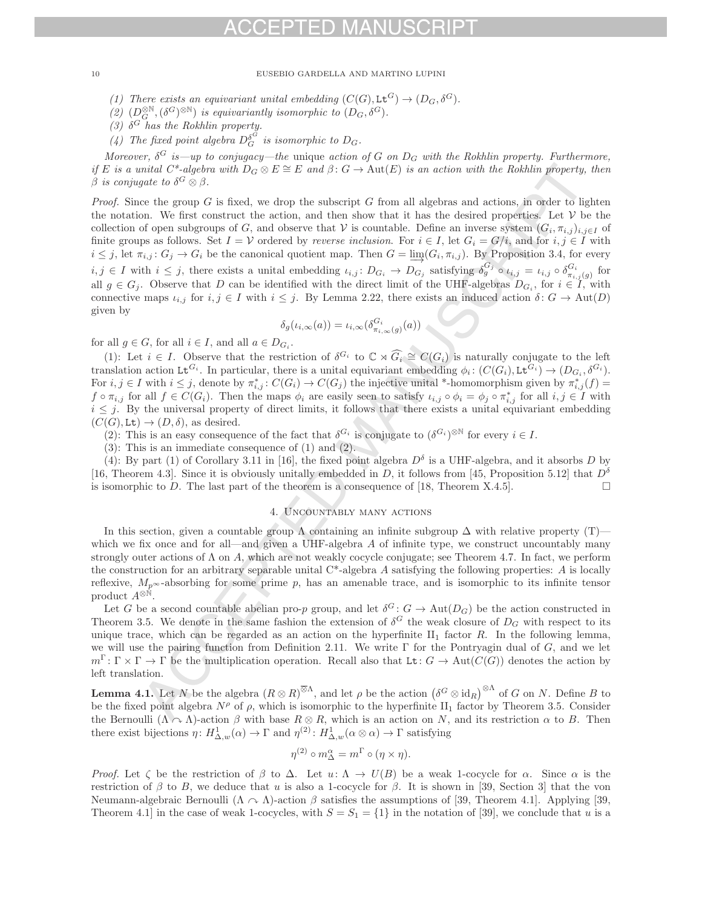(1) There exists an equivariant unital embedding  $(C(G), L^G) \to (D_G, \delta^G)$ .

 $\begin{pmatrix} 2 \end{pmatrix}$   $(D_G^{\otimes N}, (\delta^G)^{\otimes N})$  is equivariantly isomorphic to  $(D_G, \delta^G)$ .<br>  $\begin{pmatrix} 2 \end{pmatrix}$  of heather Bobblin property.

(3)  $\delta^G$  has the Rokhlin property.

(4) The fixed point algebra  $D_G^{\delta^G}$  is isomorphic to  $D_G$ .

Moreover,  $\delta^G$  is—up to conjugacy—the unique action of G on  $D_G$  with the Rokhlin property. Furthermore, if E is a unital C\*-algebra with  $D_G \otimes E \cong E$  and  $\beta: G \to \text{Aut}(E)$  is an action with the Rokhlin property, then β is conjugate to  $\delta^G \otimes \beta$ .

*Proof.* Since the group  $G$  is fixed, we drop the subscript  $G$  from all algebras and actions, in order to lighten the notation. We first construct the action, and then show that it has the desired properties. Let  $V$  be the collection of open subgroups of G, and observe that V is countable. Define an inverse system  $(G_i, \pi_{i,j})_{i,j\in I}$  of finite groups as follows. Set  $I = V$  ordered by *reverse inclusion*. For  $i \in I$ , let  $G_i = G/i$ , and for  $i, j \in I$  with  $i \leq j$ , let  $\pi_{i,j}$ :  $G_j \to G_i$  be the canonical quotient map. Then  $G = \varinjlim_{i} (G_i, \pi_{i,j})$ . By Proposition 3.4, for every  $i, j \in I$  with  $i \leq j$ , there exists a unital embedding  $\iota_{i,j} : D_{G_i} \to D_{G_j}$  satisfying  $\delta_g^{G_j} \circ \iota_{i,j} = \iota_{i,j} \circ \delta_{\pi_{i,j}(g)}^{G_i}$  for  $\iota_{i,j} \in C$ . Observe that  $D$  are be identified with the direct limit of the UHE el all  $g \in G_j$ . Observe that D can be identified with the direct limit of the UHF-algebras  $D_{G_i}$ , for  $i \in I$ , with connective maps  $\iota_{i,j}$  for  $i,j \in I$  with  $i \leq j$ . By Lemma 2.22, there exists an induced action  $\delta: G \to \text{Aut}(D)$ given by

$$
\delta_g(\iota_{i,\infty}(a)) = \iota_{i,\infty}(\delta^{G_i}_{\pi_{i,\infty}(g)}(a))
$$

for all  $g \in G$ , for all  $i \in I$ , and all  $a \in D_{G_i}$ .

(1): Let  $i \in I$ . Observe that the restriction of  $\delta^{G_i}$  to  $\mathbb{C} \rtimes G_i \cong C(G_i)$  is naturally conjugate to the left explicit explicitly existent  $G(G)$ . Let  $G_i$  and  $G_i$ translation action Lt<sup>G<sub>i</sub></sup>. In particular, there is a unital equivariant embedding  $\phi_i: (C(G_i), L^{\mathcal{G}_i}) \to (D_{G_i}, \delta^{G_i})$ . For  $i, j \in I$  with  $i \leq j$ , denote by  $\pi_{i,j}^* : C(G_i) \to C(G_j)$  the injective unital \*-homomorphism given by  $\pi_{i,j}^*(f) =$ <br>f e.g. for all f  $\subset C(C_i)$ . Then the maps  $\phi$  are easily seen to satisfy  $\phi$ ,  $\phi \phi = \phi \circ \sigma^*$ , for all  $f \circ \pi_{i,j}$  for all  $f \in C(G_i)$ . Then the maps  $\phi_i$  are easily seen to satisfy  $\iota_{i,j} \circ \phi_i = \phi_j \circ \pi_{i,j}^*$  for all  $i, j \in I$  with  $i < i$ . By the universal property of direct limits, it follows that there exists a unital equ  $i \leq j$ . By the universal property of direct limits, it follows that there exists a unital equivariant embedding  $(C(G), \text{Lt}) \to (D, \delta)$ , as desired.

(2): This is an easy consequence of the fact that  $\delta^{G_i}$  is conjugate to  $(\delta^{G_i})^{\otimes N}$  for every  $i \in I$ .

(3): This is an immediate consequence of (1) and (2).

(4): By part (1) of Corollary 3.11 in [16], the fixed point algebra  $D^{\delta}$  is a UHF-algebra, and it absorbs D by [16, Theorem 4.3]. Since it is obviously unitally embedded in D, it follows from [45, Proposition 5.12] that  $D^{\delta}$ is isomorphic to D. The last part of the theorem is a consequence of  $[18,$  Theorem X.4.5].  $\Box$ 

# 4. Uncountably many actions

In this section, given a countable group  $\Lambda$  containing an infinite subgroup  $\Delta$  with relative property (T) which we fix once and for all—and given a UHF-algebra  $A$  of infinite type, we construct uncountably many strongly outer actions of  $\Lambda$  on A, which are not weakly cocycle conjugate; see Theorem 4.7. In fact, we perform the construction for an arbitrary separable unital  $C^*$ -algebra A satisfying the following properties: A is locally reflexive,  $M_{p^{\infty}}$ -absorbing for some prime p, has an amenable trace, and is isomorphic to its infinite tensor product  $A^{\otimes \hat{\mathbb{N}}}$ .

Let G be a second countable abelian pro-p group, and let  $\delta^G: G \to \text{Aut}(D_G)$  be the action constructed in Theorem 3.5. We denote in the same fashion the extension of  $\delta^G$  the weak closure of  $D_G$  with respect to its unique trace, which can be regarded as an action on the hyperfinite  $II_1$  factor R. In the following lemma, we will use the pairing function from Definition 2.11. We write  $\Gamma$  for the Pontryagin dual of G, and we let  $m^{\Gamma} \colon \Gamma \times \Gamma \to \Gamma$  be the multiplication operation. Recall also that Lt:  $G \to \text{Aut}(C(G))$  denotes the action by left translation.

**Lemma 4.1.** Let N be the algebra  $(R \otimes R)^{\otimes \Lambda}$ , and let  $\rho$  be the action  $(\delta^G \otimes \mathrm{id}_R)^{\otimes \Lambda}$  of G on N. Define B to the the first substitution of  $\Lambda$  or  $\Lambda$ . be the fixed point algebra  $N^{\rho}$  of  $\rho$ , which is isomorphic to the hyperfinite II<sub>1</sub> factor by Theorem 3.5. Consider the Bernoulli  $(\Lambda \cap \Lambda)$ -action  $\beta$  with base  $R \otimes R$ , which is an action on N, and its restriction  $\alpha$  to B. Then there exist bijections  $\eta: H^1_{\Delta,w}(\alpha) \to \Gamma$  and  $\eta^{(2)}: H^1_{\Delta,w}(\alpha \otimes \alpha) \to \Gamma$  satisfying

$$
\eta^{(2)} \circ m^{\alpha}_{\Delta} = m^{\Gamma} \circ (\eta \times \eta).
$$

Proof. Let  $\zeta$  be the restriction of  $\beta$  to  $\Delta$ . Let  $u: \Lambda \to U(B)$  be a weak 1-cocycle for  $\alpha$ . Since  $\alpha$  is the restriction of β to B, we deduce that u is also a 1-cocycle for β. It is shown in [39, Section 3] that the von Neumann-algebraic Bernoulli ( $\Lambda \sim \Lambda$ )-action  $\beta$  satisfies the assumptions of [39, Theorem 4.1]. Applying [39, Theorem 4.1 in the case of weak 1-cocycles, with  $S = S_1 = \{1\}$  in the notation of [39], we conclude that u is a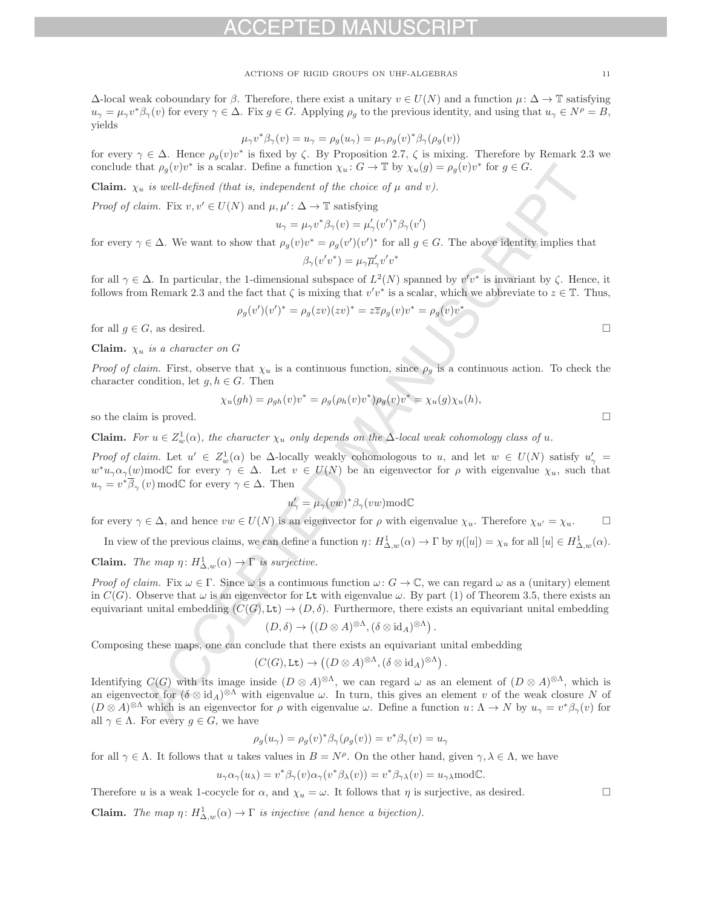$Δ$ -local weak coboundary for β. Therefore, there exist a unitary  $v ∈ U(N)$  and a function  $μ: Δ → T$  satisfying  $u_{\gamma} = \mu_{\gamma} v^* \beta_{\gamma}(v)$  for every  $\gamma \in \Delta$ . Fix  $g \in G$ . Applying  $\rho_g$  to the previous identity, and using that  $u_{\gamma} \in N^{\rho} = B$ , yields

$$
\mu_{\gamma}v^*\beta_{\gamma}(v) = u_{\gamma} = \rho_g(u_{\gamma}) = \mu_{\gamma}\rho_g(v)^*\beta_{\gamma}(\rho_g(v))
$$

for every  $\gamma \in \Delta$ . Hence  $\rho_g(v)v^*$  is fixed by  $\zeta$ . By Proposition 2.7,  $\zeta$  is mixing. Therefore by Remark 2.3 we<br>conclude that a (v)v<sup>\*</sup> is a scalar. Define a function  $\chi : C \to \mathbb{T}$  by  $\chi$  (e)  $-\varepsilon$  (v)v<sup>\*</sup> for  $\$ conclude that  $\rho_g(v)v^*$  is a scalar. Define a function  $\chi_u : G \to \mathbb{T}$  by  $\chi_u(g) = \rho_g(v)v^*$  for  $g \in G$ .

**Claim.**  $\chi_u$  is well-defined (that is, independent of the choice of  $\mu$  and  $v$ ).

*Proof of claim.* Fix  $v, v' \in U(N)$  and  $\mu, \mu' : \Delta \to \mathbb{T}$  satisfying

$$
u_{\gamma} = \mu_{\gamma} v^* \beta_{\gamma}(v) = \mu'_{\gamma}(v')^* \beta_{\gamma}(v')
$$

for every  $\gamma \in \Delta$ . We want to show that  $\rho_g(v)v^* = \rho_g(v')(v')^*$  for all  $g \in G$ . The above identity implies that

$$
\beta_{\gamma}(v'v^*) = \mu_{\gamma}\overline{\mu}'_{\gamma}v'v^*
$$

for all  $\gamma \in \Delta$ . In particular, the 1-dimensional subspace of  $L^2(N)$  spanned by  $v'v^*$  is invariant by  $\zeta$ . Hence, it follows from Remark 2.3 and the fact that  $\zeta$  is mixing that  $v'v^*$  is a scalar, which we abbreviate to  $z \in \mathbb{T}$ . Thus,

$$
\rho_g(v')(v')^* = \rho_g(zv)(zv)^* = z\overline{z}\rho_g(v)v^* = \rho_g(v)v^*
$$

for all  $g \in G$ , as desired.

**Claim.**  $\chi_u$  is a character on G

*Proof of claim.* First, observe that  $\chi_u$  is a continuous function, since  $\rho_g$  is a continuous action. To check the character condition, let  $g, h \in G$ . Then

$$
\chi_u(gh) = \rho_{gh}(v)v^* = \rho_g(\rho_h(v)v^*)\rho_g(v)v^* = \chi_u(g)\chi_u(h),
$$

so the claim is proved.

**Claim.** For  $u \in Z_w^1(\alpha)$ , the character  $\chi_u$  only depends on the  $\Delta$ -local weak cohomology class of u.

Proof of claim. Let  $u' \in Z_w^1(\alpha)$  be  $\Delta$ -locally weakly cohomologous to u, and let  $w \in U(N)$  satisfy  $u'_{\gamma} = u^{*}_{\gamma}$  $w^*u_\gamma\alpha_\gamma(w)$ modC for every  $\gamma \in \Delta$ . Let  $v \in U(N)$  be an eigenvector for  $\rho$  with eigenvalue  $\chi_u$ , such that  $u_{\gamma} = v^* \overline{\beta}_{\gamma}(v) \mod \mathbb{C}$  for every  $\gamma \in \Delta$ . Then

$$
u'_{\gamma} = \mu_{\gamma}(vw)^{*}\beta_{\gamma}(vw) \text{mod} \mathbb{C}
$$

for every  $\gamma \in \Delta$ , and hence  $vw \in U(N)$  is an eigenvector for  $\rho$  with eigenvalue  $\chi_u$ . Therefore  $\chi_{u'} = \chi_u$ .

In view of the previous claims, we can define a function  $\eta: H^1_{\Delta,w}(\alpha) \to \Gamma$  by  $\eta([u]) = \chi_u$  for all  $[u] \in H^1_{\Delta,w}(\alpha)$ .

**Claim.** The map  $\eta: H^1_{\Delta,w}(\alpha) \to \Gamma$  is surjective.

Proof of claim. Fix  $\omega \in \Gamma$ . Since  $\omega$  is a continuous function  $\omega: G \to \mathbb{C}$ , we can regard  $\omega$  as a (unitary) element in  $C(G)$ . Observe that  $\omega$  is an eigenvector for Lt with eigenvalue  $\omega$ . By part (1) of Theorem 3.5, there exists an equivariant unital embedding  $(C(G), \text{Lt}) \to (D, \delta)$ . Furthermore, there exists an equivariant unital embedding

$$
(D,\delta) \to ((D \otimes A)^{\otimes \Lambda}, (\delta \otimes id_A)^{\otimes \Lambda}).
$$

Composing these maps, one can conclude that there exists an equivariant unital embedding

$$
(C(G), \text{Lt}) \to ((D \otimes A)^{\otimes \Lambda}, (\delta \otimes \text{id}_A)^{\otimes \Lambda}).
$$

Identifying  $C(G)$  with its image inside  $(D \otimes A)^{\otimes \Lambda}$ , we can regard  $\omega$  as an element of  $(D \otimes A)^{\otimes \Lambda}$ , which is an eigenvector for  $(\delta \otimes id_A)^{\otimes \Lambda}$  with eigenvalue  $\omega$ . In turn, this gives an element v of the weak closure N of  $(D \otimes A)^{\otimes \Lambda}$  which is an eigenvector for  $\rho$  with eigenvalue  $\omega$ . Define a function  $u: \Lambda \to N$  by  $u_{\gamma} = v^* \beta_{\gamma}(v)$  for all  $\gamma \in \Lambda$ . For every  $g \in G$ , we have

$$
\rho_g(u_\gamma) = \rho_g(v)^* \beta_\gamma(\rho_g(v)) = v^* \beta_\gamma(v) = u_\gamma
$$

for all  $\gamma \in \Lambda$ . It follows that u takes values in  $B = N^{\rho}$ . On the other hand, given  $\gamma, \lambda \in \Lambda$ , we have

$$
u_{\gamma}\alpha_{\gamma}(u_{\lambda})=v^*\beta_{\gamma}(v)\alpha_{\gamma}(v^*\beta_{\lambda}(v))=v^*\beta_{\gamma\lambda}(v)=u_{\gamma\lambda}\mathrm{mod}\mathbb{C}.
$$

Therefore u is a weak 1-cocycle for  $\alpha$ , and  $\chi_u = \omega$ . It follows that  $\eta$  is surjective, as desired.

**Claim.** The map  $\eta: H^1_{\Delta,w}(\alpha) \to \Gamma$  is injective (and hence a bijection).

 $\Box$ 

 $\Box$ 

 $\Box$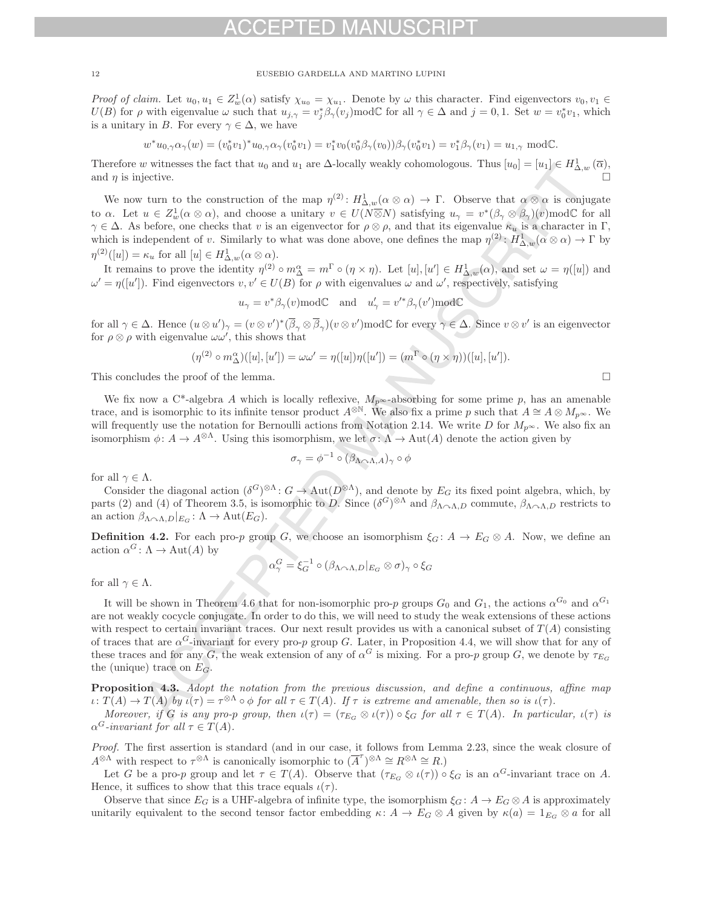Proof of claim. Let  $u_0, u_1 \in Z_{w}^{1}(\alpha)$  satisfy  $\chi_{u_0} = \chi_{u_1}$ . Denote by  $\omega$  this character. Find eigenvectors  $v_0, v_1 \in$ <br> $U(R)$  for a with eigenvalue  $\omega$  such that  $u_1 = v^* \beta$  (w) mod(f for all  $\alpha \in A$  and  $i = 0,$  $U(B)$  for  $\rho$  with eigenvalue  $\omega$  such that  $u_{j,\gamma} = v_j^* \beta_\gamma(v_j) \text{mod} \mathbb{C}$  for all  $\gamma \in \Delta$  and  $j = 0, 1$ . Set  $w = v_0^* v_1$ , which is a unitary in B. For every  $\gamma \in \Delta$ , we have

$$
w^*u_{0,\gamma}\alpha_\gamma(w)=(v_0^*v_1)^*u_{0,\gamma}\alpha_\gamma(v_0^*v_1)=v_1^*v_0(v_0^*\beta_\gamma(v_0))\beta_\gamma(v_0^*v_1)=v_1^*\beta_\gamma(v_1)=u_{1,\gamma}\text{ mod }\mathbb{C}.
$$

Therefore w witnesses the fact that  $u_0$  and  $u_1$  are  $\Delta$ -locally weakly cohomologous. Thus  $[u_0] = [u_1] \in H^1_{\Delta,w}(\overline{\alpha})$ , and n is injective. and  $\eta$  is injective.

We now turn to the construction of the map  $\eta^{(2)}$ :  $H^1_{\Delta,w}(\alpha \otimes \alpha) \to \Gamma$ . Observe that  $\alpha \otimes \alpha$  is conjugate to  $\alpha$ . Let  $u \in Z^1_w(\alpha \otimes \alpha)$ , and choose a unitary  $v \in U(N \overline{\otimes} N)$  satisfying  $u_\gamma = v^*(\beta_\gamma \otimes \beta_\gamma)(v)$ modC for all<br> $\alpha \in \Delta$ . As before one chocks that u is an eigenvector for  $\alpha \otimes \alpha$  and that its eigenvalue  $\kappa$ , is  $\gamma \in \Delta$ . As before, one checks that v is an eigenvector for  $\rho \otimes \rho$ , and that its eigenvalue  $\kappa_u$  is a character in Γ, which is independent of v. Similarly to what was done above, one defines the map  $\eta^{(2)}: H^1_{\Delta,w}(\alpha \otimes \alpha) \to \Gamma$  by  $\eta^{(2)}([u]) = \kappa_u$  for all  $[u] \in H^1_{\Delta,w}(\alpha \otimes \alpha)$ .

It remains to prove the identity  $\eta^{(2)} \circ m^{\alpha}_{\alpha} = m^{\Gamma} \circ (\eta \times \eta)$ . Let  $[u], [u'] \in H^1_{\Delta,w}(\alpha)$ , and set  $\omega = \eta([u])$  and  $-\eta([u'])$  and  $-\eta([u'])$ .  $\omega' = \eta([u'])$ . Find eigenvectors  $v, v' \in U(B)$  for  $\rho$  with eigenvalues  $\omega$  and  $\omega'$ , respectively, satisfying

$$
u_{\gamma} = v^* \beta_{\gamma}(v) \mod C
$$
 and  $u'_{\gamma} = v'^* \beta_{\gamma}(v') \mod C$ 

for all  $\gamma \in \Delta$ . Hence  $(u \otimes u')_{\gamma} = (v \otimes v')^*(\overline{\beta}_{\gamma} \otimes \overline{\beta}_{\gamma})(v \otimes v') \mod C$  for every  $\gamma \in \Delta$ . Since  $v \otimes v'$  is an eigenvector for  $\rho \otimes \rho$  with eigenvalue  $\omega \omega'$ , this shows that

$$
(\eta^{(2)} \circ m_{\Delta}^{\alpha})([u],[u']) = \omega \omega' = \eta([u])\eta([u']) = (m^{\Gamma} \circ (\eta \times \eta))([u],[u']).
$$

This concludes the proof of the lemma.  $\Box$ 

We fix now a C<sup>\*</sup>-algebra A which is locally reflexive,  $M_{p^{\infty}}$ -absorbing for some prime p, has an amenable trace, and is isomorphic to its infinite tensor product  $A^{\otimes N}$ . We also fix a prime p such that  $A \cong A \otimes M_{p^{\infty}}$ . We will frequently use the notation for Bernoulli actions from Notation 2.14. We write D for  $M_{p^{\infty}}$ . We also fix an isomorphism  $\phi: A \to A^{\otimes \Lambda}$ . Using this isomorphism, we let  $\sigma: \Lambda \to \text{Aut}(A)$  denote the action given by

$$
\sigma_{\gamma} = \phi^{-1} \circ (\beta_{\Lambda \cap \Lambda, A})_{\gamma} \circ \phi
$$

for all  $\gamma \in \Lambda$ .

Consider the diagonal action  $(\delta^G)^{\otimes \Lambda}: G \to \text{Aut}(D^{\otimes \Lambda})$ , and denote by  $E_G$  its fixed point algebra, which, by parts (2) and (4) of Theorem 3.5, is isomorphic to D. Since  $(\delta^G)^{\otimes \Lambda}$  and  $\beta_{\Lambda \curvearrowright \Lambda, D}$  commute,  $\beta_{\Lambda \curvearrowright \Lambda, D}$  restricts to an action  $\beta_{\Lambda \cap \Lambda,D}|_{E_G} : \Lambda \to \text{Aut}(E_G)$ .

**Definition 4.2.** For each pro-p group G, we choose an isomorphism  $\xi_G$ :  $A \to E_G \otimes A$ . Now, we define an action  $\alpha^G \colon \Lambda \to \text{Aut}(A)$  by

$$
\alpha_{\gamma}^{G} = \xi_{G}^{-1} \circ (\beta_{\Lambda \cap \Lambda,D}|_{E_G} \otimes \sigma)_{\gamma} \circ \xi_{G}
$$

for all  $\gamma \in \Lambda$ .

It will be shown in Theorem 4.6 that for non-isomorphic pro-p groups  $G_0$  and  $G_1$ , the actions  $\alpha^{G_0}$  and  $\alpha^{G_1}$ are not weakly cocycle conjugate. In order to do this, we will need to study the weak extensions of these actions with respect to certain invariant traces. Our next result provides us with a canonical subset of  $T(A)$  consisting of traces that are  $\alpha^G$ -invariant for every pro-p group G. Later, in Proposition 4.4, we will show that for any of these traces and for any G, the weak extension of any of  $\alpha^G$  is mixing. For a pro-p group G, we denote by  $\tau_{E_G}$ the (unique) trace on  $E_G$ .

**Proposition 4.3.** Adopt the notation from the previous discussion, and define a continuous, affine map  $\iota: T(A) \to T(A)$  by  $\iota(\tau) = \tau^{\otimes \Lambda} \circ \phi$  for all  $\tau \in T(A)$ . If  $\tau$  is extreme and amenable, then so is  $\iota(\tau)$ .

Moreover, if G is any pro-p group, then  $\iota(\tau) = (\tau_{E_G} \otimes \iota(\tau)) \circ \xi_G$  for all  $\tau \in T(A)$ . In particular,  $\iota(\tau)$  is  $\alpha^G$ -invariant for all  $\tau \in T(A)$ .

Proof. The first assertion is standard (and in our case, it follows from Lemma 2.23, since the weak closure of  $A^{\otimes \Lambda}$  with respect to  $\tau^{\otimes \Lambda}$  is canonically isomorphic to  $(\overline{A}^{\tau})^{\otimes \Lambda} \cong R^{\otimes \Lambda} \cong R$ .)

Let G be a pro-p group and let  $\tau \in T(A)$ . Observe that  $(\tau_{E_G} \otimes \iota(\tau)) \circ \xi_G$  is an  $\alpha^G$ -invariant trace on A. Hence, it suffices to show that this trace equals  $\iota(\tau)$ .

Observe that since  $E_G$  is a UHF-algebra of infinite type, the isomorphism  $\xi_G: A \to E_G \otimes A$  is approximately unitarily equivalent to the second tensor factor embedding  $\kappa: A \to E_G \otimes A$  given by  $\kappa(a)=1_{E_G} \otimes a$  for all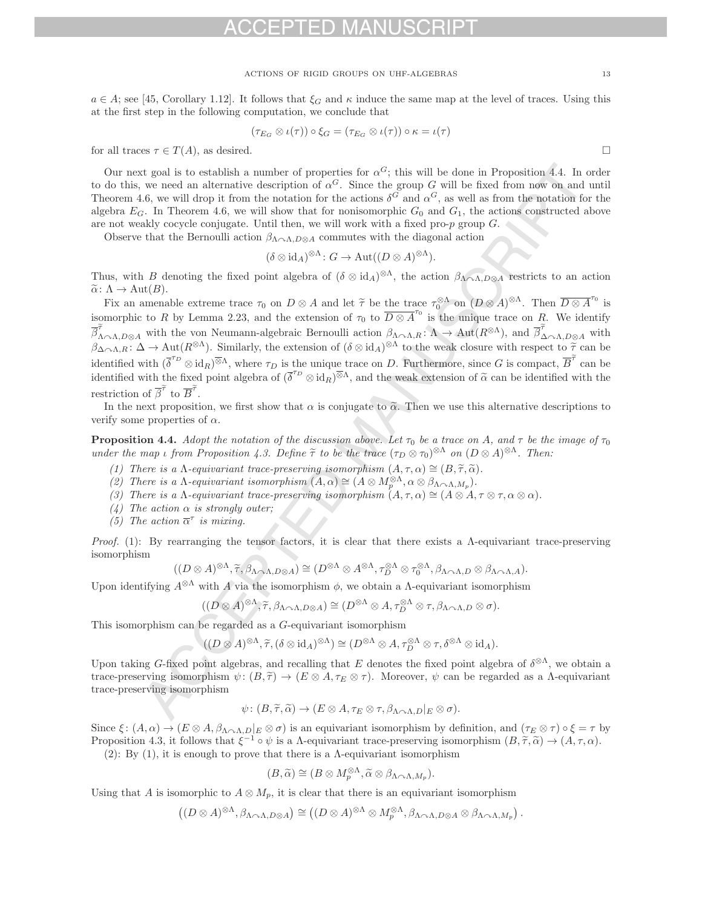$a \in A$ ; see [45, Corollary 1.12]. It follows that  $\xi_G$  and  $\kappa$  induce the same map at the level of traces. Using this at the first step in the following computation, we conclude that

$$
(\tau_{E_G} \otimes \iota(\tau)) \circ \xi_G = (\tau_{E_G} \otimes \iota(\tau)) \circ \kappa = \iota(\tau)
$$

for all traces  $\tau \in T(A)$ , as desired.

Our next goal is to establish a number of properties for  $\alpha^G$ ; this will be done in Proposition 4.4. In order to do this, we need an alternative description of  $\alpha^G$ . Since the group G will be fixed from now on and until Theorem 4.6, we will drop it from the notation for the actions  $\delta^G$  and  $\alpha^G$ , as well as from the notation for the algebra  $E_G$ . In Theorem 4.6, we will show that for nonisomorphic  $G_0$  and  $G_1$ , the actions constructed above are not weakly cocycle conjugate. Until then, we will work with a fixed pro- $p$  group  $G$ .

Observe that the Bernoulli action  $\beta_{\Lambda \cap \Lambda,D\otimes A}$  commutes with the diagonal action

$$
(\delta \otimes id_A)^{\otimes \Lambda} : G \to \text{Aut}((D \otimes A)^{\otimes \Lambda}).
$$

Thus, with B denoting the fixed point algebra of  $(\delta \otimes id_A)^{\otimes \Lambda}$ , the action  $\beta_{\Lambda \curvearrowright \Lambda, D\otimes A}$  restricts to an action  $\widetilde{\alpha}$ :  $\Lambda \to \text{Aut}(B)$ .

Fix an amenable extreme trace  $\tau_0$  on  $D \otimes A$  and let  $\tilde{\tau}$  be the trace  $\tau_0^{\otimes A}$  on  $(D \otimes A)^{\otimes A}$ . Then  $\overline{D \otimes A}^{\tau_0}$  is<br>morphic to B by Lamma 2.22, and the extension of  $\tau$  to  $\overline{D \otimes A}^{\tau_0}$  is the un isomorphic to R by Lemma 2.23, and the extension of  $\tau_0$  to  $\overline{D \otimes A}^{\tau_0}$  is the unique trace on  $\overline{R}$ . We identify  $\overline{\beta}_{\Lambda \cap \Lambda, D\otimes A}'$  with the von Neumann-algebraic Bernoulli action  $\beta_{\Lambda \cap \Lambda, R} \colon \Lambda \to \text{Aut}(R^{\otimes \Lambda})$ , and  $\overline{\beta}_{\Lambda \cap \Lambda, D\otimes A}'$  with  $\beta_{\Lambda \cap \Lambda, R} \colon \Delta \to \text{Aut}(R^{\otimes \Lambda})$ . Similarly, the extension of  $(\delta \otimes id_A)^{\otimes \Lambda}$  to th  $\frac{1}{\tilde{\tau}}$ h<br>R<br>v<br>^ identified with  $\left(\overline{\delta}^{\tau_D}\right)$ solution  $\beta_{\Lambda \sim \Lambda, R}: \Lambda \to \text{Aut}(R^{\otimes \Lambda})$ , and  $\beta_{\Delta \sim \Lambda, D\otimes A}$  with  $R^{\otimes \Lambda}$ . Similarly, the extension of  $(\delta \otimes id_A)^{\otimes \Lambda}$  to the weak closure with respect to  $\widetilde{\tau}$  can be  $\otimes id_R^{\overline{\otimes} \Lambda}$ , where  $\tau_D$  is the un identified with  $(\delta \tilde{\sigma}^{\alpha} \otimes id_R)^{\otimes \Lambda}$ , where  $\tau_D$  is the unique trace on *D*. Furthermore, since *G* is compact, *B* can be identified with the identified with the restriction of  $\tilde{\beta}^{\tilde{\tau}}$  to  $\overline{B}^{\tilde{\tau}}$ . restriction of  $\beta'$  to  $\overline{B}'$ .

In the next proposition, we first show that  $\alpha$  is conjugate to  $\tilde{\alpha}$ . Then we use this alternative descriptions to verify some properties of  $\alpha$ .

**Proposition 4.4.** Adopt the notation of the discussion above. Let  $\tau_0$  be a trace on A, and  $\tau$  be the image of  $\tau_0$ under the map ι from Proposition 4.3. Define  $\tilde{\tau}$  to be the trace  $(\tau_D \otimes \tau_0)^{\otimes \Lambda}$  on  $(D \otimes A)^{\otimes \Lambda}$ . Then:

- (1) There is a  $\Lambda$ -equivariant trace-preserving isomorphism  $(A, \tau, \alpha) \cong (B, \widetilde{\tau}, \widetilde{\alpha})$ .
- (2) There is a  $\Lambda$ -equivariant isomorphism  $(A, \alpha) \cong (A \otimes M_{\rho}^{\otimes \Lambda}, \alpha \otimes \beta_{\Lambda \curvearrowright \Lambda, M_p}).$ <br>(2) There is a  $\Lambda$ -equivariant trace preserving isomorphism  $(A \subset \alpha) \cong (A \otimes A)$
- (3) There is a  $\Lambda$ -equivariant trace-preserving isomorphism  $(A, \tau, \alpha) \cong (A \otimes A, \tau \otimes \tau, \alpha \otimes \alpha)$ .
- (4) The action  $\alpha$  is strongly outer;
- (5) The action  $\overline{\alpha}^{\tau}$  is mixing.

Proof. (1): By rearranging the tensor factors, it is clear that there exists a Λ-equivariant trace-preserving isomorphism

$$
((D\otimes A)^{\otimes\Lambda}, \widetilde{\tau}, \beta_{\Lambda\curvearrowright\Lambda, D\otimes A}) \cong (D^{\otimes\Lambda}\otimes A^{\otimes\Lambda}, \tau_D^{\otimes\Lambda}\otimes \tau_0^{\otimes\Lambda}, \beta_{\Lambda\curvearrowright\Lambda, D}\otimes \beta_{\Lambda\curvearrowright\Lambda, A}).
$$

Upon identifying  $A^{\otimes \Lambda}$  with A via the isomorphism  $\phi$ , we obtain a  $\Lambda$ -equivariant isomorphism

$$
((D\otimes A)^{\otimes\Lambda}, \widetilde{\tau}, \beta_{\Lambda\cap\Lambda, D\otimes A}) \cong (D^{\otimes\Lambda}\otimes A, \tau_D^{\otimes\Lambda}\otimes \tau, \beta_{\Lambda\cap\Lambda, D}\otimes \sigma).
$$

This isomorphism can be regarded as a G-equivariant isomorphism

$$
((D\otimes A)^{\otimes\Lambda}, \widetilde{\tau}, (\delta\otimes id_A)^{\otimes\Lambda}) \cong (D^{\otimes\Lambda}\otimes A, \tau_D^{\otimes\Lambda}\otimes \tau, \delta^{\otimes\Lambda}\otimes id_A).
$$

Upon taking G-fixed point algebras, and recalling that E denotes the fixed point algebra of  $\delta^{\otimes\Lambda}$ , we obtain a trace-preserving isomorphism  $\psi: (B, \tilde{\tau}) \to (E \otimes A, \tau_E \otimes \tau)$ . Moreover,  $\psi$  can be regarded as a *Λ*-equivariant trace-preserving isomorphism

$$
\psi: (B, \widetilde{\tau}, \widetilde{\alpha}) \to (E \otimes A, \tau_E \otimes \tau, \beta_{\Lambda \cap \Lambda, D} |_{E} \otimes \sigma).
$$

Since  $\xi: (A, \alpha) \to (E \otimes A, \beta_{\Lambda \cap \Lambda, D} |_{E} \otimes \sigma)$  is an equivariant isomorphism by definition, and  $(\tau_E \otimes \tau) \circ \xi = \tau$  by<br>Proposition 4.2, it follows that  $\xi^{-1} \circ \psi$  is a 4 conjugation trace precenting isomorphism  $(B \ncong \n$ Proposition 4.3, it follows that  $\xi^{-1} \circ \psi$  is a  $\Lambda$ -equivariant trace-preserving isomorphism  $(B, \tilde{\tau}, \tilde{\alpha}) \to (A, \tau, \alpha)$ .

(2): By (1), it is enough to prove that there is a  $\Lambda$ -equivariant isomorphism

$$
(B,\widetilde{\alpha}) \cong (B \otimes M_p^{\otimes \Lambda}, \widetilde{\alpha} \otimes \beta_{\Lambda \cap \Lambda, M_p}).
$$

Using that A is isomorphic to  $A \otimes M_p$ , it is clear that there is an equivariant isomorphism

$$
((D\otimes A)^{\otimes\Lambda},\beta_{\Lambda\curvearrowright\Lambda,D\otimes A})\cong ((D\otimes A)^{\otimes\Lambda}\otimes M_p^{\otimes\Lambda},\beta_{\Lambda\curvearrowright\Lambda,D\otimes A}\otimes \beta_{\Lambda\curvearrowright\Lambda,M_p}).
$$

 $\Box$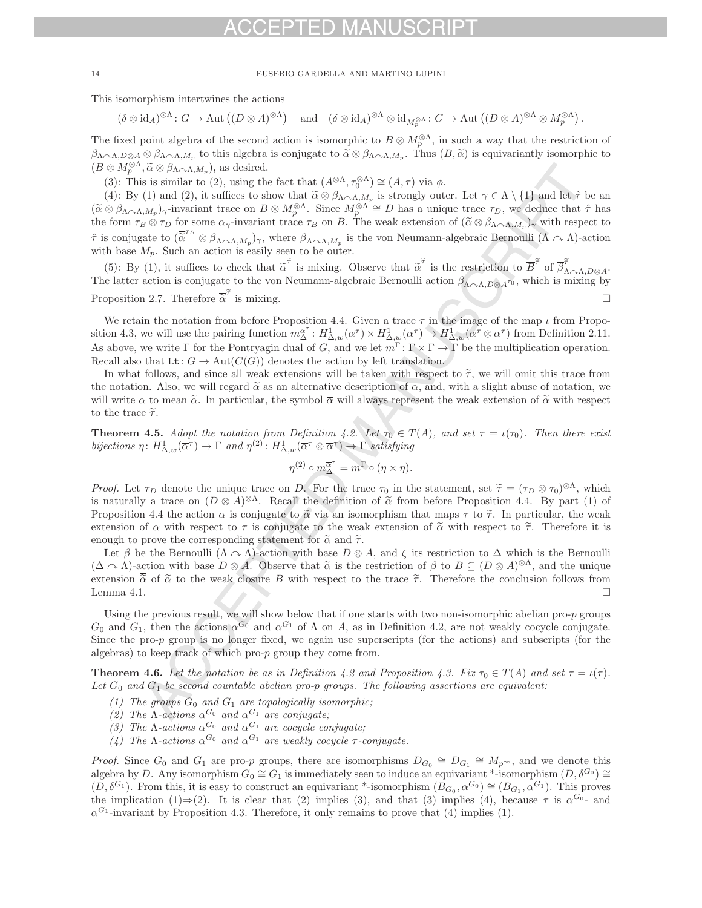This isomorphism intertwines the actions

$$
(\delta \otimes id_A)^{\otimes \Lambda} \colon G \to \text{Aut}\left((D \otimes A)^{\otimes \Lambda}\right) \quad \text{and} \quad (\delta \otimes id_A)^{\otimes \Lambda} \otimes id_{M_p^{\otimes \Lambda}} \colon G \to \text{Aut}\left((D \otimes A)^{\otimes \Lambda} \otimes M_p^{\otimes \Lambda}\right).
$$

The fixed point algebra of the second action is isomorphic to  $B \otimes M_{\infty}^{\otimes \Lambda}$ , in such a way that the restriction of  $\beta_{\Lambda\sim\Lambda,D\otimes A}\otimes\beta_{\Lambda\sim\Lambda,M_p}$  to this algebra is conjugate to  $\tilde{\alpha}\otimes\beta_{\Lambda\sim\Lambda,M_p}$ . Thus  $(B,\tilde{\alpha})$  is equivariantly isomorphic to  $(P\otimes M\otimes\Lambda \otimes \alpha)$  as desired  $(B \otimes M_p^{\otimes \Lambda}, \widetilde{\alpha} \otimes \beta_{\Lambda \curvearrowright \Lambda, M_p}),$  as desired.

(3): This is similar to (2), using the fact that  $(A^{\otimes \Lambda}, \tau_0^{\otimes \Lambda}) \cong (A, \tau)$  via  $\phi$ .

(4): By (1) and (2), it suffices to show that  $\tilde{\alpha} \otimes \beta_{\Lambda \cap \Lambda, M_p}$  is strongly outer. Let  $\gamma \in \Lambda \setminus \{1\}$  and let  $\hat{\tau}$  be an  $\otimes \beta$ .  $(\widetilde{\alpha} \otimes \beta_{\Lambda \cap \Lambda, M_p})_{\gamma}$ -invariant trace on  $B \otimes M_p^{\otimes \Lambda}$ . Since  $M_p^{\otimes \Lambda} \cong D$  has a unique trace  $\tau_D$ , we deduce that  $\hat{\tau}$  has the form  $\tau \otimes \tau_{\gamma}$  for some  $\alpha$ , invariant trace  $\tau_{\gamma}$  on  $B$ . The weak the form  $\tau_B \otimes \tau_D$  for some  $\alpha_{\gamma}$ -invariant trace  $\tau_B$  on B. The weak extension of  $(\tilde{\alpha} \otimes \beta_{\Lambda \cap \Lambda, M_p})_{\gamma}$  with respect to  $\hat{\tau}$  is conjugate to  $(\overline{\alpha}^{TB} \otimes \overline{\beta}_{\Lambda \sim \Lambda, M_p})_{\gamma}$ , where  $\overline{\beta}_{\Lambda \sim \Lambda, M_p}$  is the von Neumann-algebraic Bernoulli  $(\Lambda \sim \Lambda)$ -action with base  $M_p$ . Such an action is easily seen to be outer. τε  $\beta_{\Lambda \sim \Lambda, M_p}$  is the von Neumann-algebraic Bernoulli ( $\Lambda \sim$ <br>
<sup>7</sup> is mixing. Observe that  $\overline{\alpha}^{\tilde{\tau}}$  is the restriction to  $\overline{B}^{\tilde{\tau}}$  of  $\overline{\beta}$ <br>
Neumann-algebraic Bernoulli action  $\beta$  $rac{1}{\tau}$ 

(5): By (1), it suffices to check that  $\tilde{\alpha}'$  is mixing. Observe that  $\tilde{\alpha}'$  is the restriction to  $\overline{B}'$  of  $\overline{\beta}'_{\Lambda \curvearrowright \Lambda, D\otimes A}$ . The latter action is conjugate to the von Neumann-algebraic Bernoulli action  $\beta_{\Lambda \sim \Lambda, \overline{D \otimes A}^{r_0}}$ , which is mixing by Proposition 2.7. Therefore  $\overline{\tilde{\alpha}}^{\tilde{\tau}}$  is mixing. check that  $\alpha$  is mixing. Observe that  $\alpha$  is the restriction to  $B$  of  $\beta_{\Lambda \sim \Lambda, D\otimes A}$ .<br>
e to the von Neumann-algebraic Bernoulli action  $\beta_{\Lambda \sim \Lambda, \overline{D\otimes A}^{r_0}}$ , which is mixing by<br>  $\widetilde{\tau}$  is mixing.  $\Box$ 

We retain the notation from before Proposition 4.4. Given a trace  $\tau$  in the image of the map  $\iota$  from Proposition 4.3, we will use the pairing function  $m_{\Delta}^{\overline{\alpha}^*} : H^1_{\Delta,w}(\overline{\alpha}^r) \times H^1_{\Delta,w}(\overline{\alpha}^r) \to H^1_{\Delta,w}(\overline{\alpha}^r \otimes \overline{\alpha}^r)$  from Definition 2.11. As above, we write Γ for the Pontryagin dual of G, and we let  $m^{\Gamma} \colon \Gamma \times \Gamma \to \Gamma$  be the multiplication operation. Recall also that  $\texttt{Lt}: G \to \text{Aut}(C(G))$  denotes the action by left translation.

In what follows, and since all weak extensions will be taken with respect to  $\tilde{\tau}$ , we will omit this trace from the notation. Also, we will regard  $\tilde{\alpha}$  as an alternative description of  $\alpha$ , and, with a slight abuse of notation, we will write  $\alpha$  to mean  $\tilde{\alpha}$ . In particular, the symbol  $\overline{\alpha}$  will always represent the weak extension of  $\tilde{\alpha}$  with respect to the trace  $\tilde{\tau}$ .

**Theorem 4.5.** Adopt the notation from Definition 4.2. Let  $\tau_0 \in T(A)$ , and set  $\tau = \iota(\tau_0)$ . Then there exist bijections  $\eta: H^1_{\Delta,w}(\overline{\alpha}^{\tau}) \to \Gamma$  and  $\eta^{(2)}: H^1_{\Delta,w}(\overline{\alpha}^{\tau} \otimes \overline{\alpha}^{\tau}) \to \Gamma$  satisfying

$$
\eta^{(2)} \circ m_{\Delta}^{\overline{\alpha}^{\tau}} = m^{\Gamma} \circ (\eta \times \eta).
$$

Proof. Let  $\tau_D$  denote the unique trace on D. For the trace  $\tau_0$  in the statement, set  $\tilde{\tau} = (\tau_D \otimes \tau_0)^{\otimes \Lambda}$ , which is naturally a trace on  $(D \otimes A)^{\otimes \Lambda}$ . Recall the definition of  $\tilde{\alpha}$  from before Proposition 4.4. By part (1) of Proposition 4.4 the action  $\alpha$  is conjugate to  $\tilde{\alpha}$  via an isomorphism that maps  $\tau$  to  $\tilde{\tau}$ . In particular, the weak extension of  $\alpha$  with respect to  $\tau$  is conjugate to the weak extension of  $\tilde{\alpha}$  with respect to  $\tilde{\tau}$ . Therefore it is enough to prove the corresponding statement for  $\tilde{\alpha}$  and  $\tilde{\tau}$ .

Let  $\beta$  be the Bernoulli  $(\Lambda \cap \Lambda)$ -action with base  $D \otimes A$ , and  $\zeta$  its restriction to  $\Delta$  which is the Bernoulli  $(\Delta \cap \Lambda)$ -action with base  $D \otimes A$ . Observe that  $\tilde{\alpha}$  is the restriction of  $\beta$  to  $B \subseteq (D \otimes A)^{\otimes \Lambda}$ , and the unique extension  $\frac{\overline{\alpha}}{\alpha}$  of  $\alpha$  to the weak closure  $\overline{B}$  with respect to the trace  $\tilde{\tau}$ . Therefore the conclusion follows from Lemma 4.1. Lemma 4.1.  $\Box$ 

Using the previous result, we will show below that if one starts with two non-isomorphic abelian pro-p groups  $G_0$  and  $G_1$ , then the actions  $\alpha^{G_0}$  and  $\alpha^{G_1}$  of  $\Lambda$  on A, as in Definition 4.2, are not weakly cocycle conjugate. Since the pro-p group is no longer fixed, we again use superscripts (for the actions) and subscripts (for the algebras) to keep track of which pro-p group they come from.

**Theorem 4.6.** Let the notation be as in Definition 4.2 and Proposition 4.3. Fix  $\tau_0 \in T(A)$  and set  $\tau = \iota(\tau)$ . Let  $G_0$  and  $G_1$  be second countable abelian pro-p groups. The following assertions are equivalent:

- (1) The groups  $G_0$  and  $G_1$  are topologically isomorphic;
- (2) The  $\Lambda$ -actions  $\alpha^{G_0}$  and  $\alpha^{G_1}$  are conjugate;
- (3) The  $\Lambda$ -actions  $\alpha^{G_0}$  and  $\alpha^{G_1}$  are cocycle conjugate:
- (4) The  $\Lambda$ -actions  $\alpha^{G_0}$  and  $\alpha^{G_1}$  are weakly cocycle  $\tau$ -conjugate.

*Proof.* Since  $G_0$  and  $G_1$  are pro-p groups, there are isomorphisms  $D_{G_0} \cong D_{G_1} \cong M_{p^{\infty}}$ , and we denote this algebra by D. Any isomorphism  $G_0 \cong G_1$  is immediately seen to induce an equivariant \*-isomorphism  $(D, \delta^{G_0}) \cong$  $(D, \delta^{G_1})$ . From this, it is easy to construct an equivariant \*-isomorphism  $(B_{G_0}, \alpha^{G_0}) \cong (B_{G_1}, \alpha^{G_1})$ . This proves the implication (1)⇒(2). It is clear that (2) implies (3), and that (3) implies (4), because  $\tau$  is  $\alpha^{G_0}$ - and  $\alpha^{G_1}$ -invariant by Proposition 4.3. Therefore, it only remains to prove that (4) implies (1).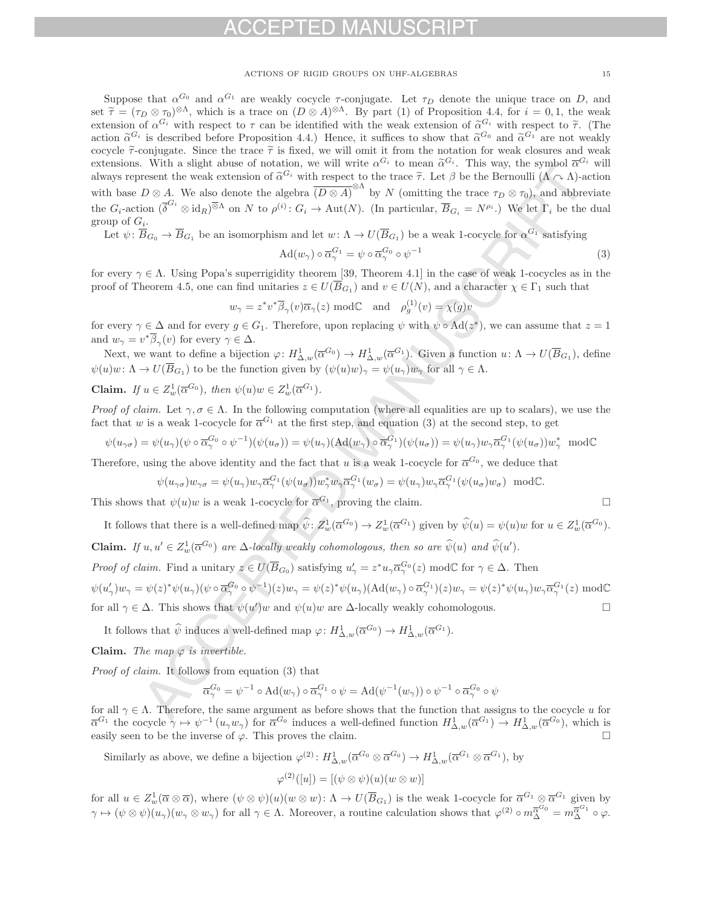Suppose that  $\alpha^{G_0}$  and  $\alpha^{G_1}$  are weakly cocycle  $\tau$ -conjugate. Let  $\tau_D$  denote the unique trace on D, and set  $\tilde{\tau} = (\tau_D \otimes \tau_0)^{\otimes \Lambda}$ , which is a trace on  $(D \otimes A)^{\otimes \Lambda}$ . By part (1) of Proposition 4.4, for  $i = 0, 1$ , the weak extension of  $\alpha^{G_i}$  with respect to  $\tau$  can be identified with the weak extension of  $\tilde{\alpha}^{G_i}$  with respect to  $\tilde{\tau}$ . (The action  $\tilde{\alpha}^{G_i}$  is described before Proposition 4.4.) Hence, it suffices to show that  $\tilde{\alpha}^{G_0}$  and  $\tilde{\alpha}^{G_1}$  are not weakly cocycle  $\tilde{\tau}$ -conjugate. Since the trace  $\tilde{\tau}$  is fixed, we will omit it from the notation for weak closures and weak extensions. With a slight abuse of notation, we will write  $\alpha^{G_i}$  to mean  $\tilde{\alpha}^{G_i}$ . This way, the symbol  $\overline{\alpha}^{G_i}$  will always represent the weak extension of  $\tilde{\alpha}^{G_i}$  with respect to the trace  $\tilde{\tau}$ . Let  $\beta$  be the Bernoulli ( $\Lambda \cap \Lambda$ )-action with base  $D \otimes A$ . We also denote the algebra  $\overline{(D \otimes A)}^{\otimes \Lambda}$  by N (omitting the trace  $\tau_D \otimes \tau_0$ ), and abbreviate the  $G_i$ -action  $(\overline{\delta}^{G_i} \otimes id_R)^{\overline{\otimes} \Lambda}$  on N to  $\rho^{(i)} \colon G_i \to Aut(N)$ . (In particular,  $\overline{B}_{G_i} = N^{\rho_i}$ .) We let  $\Gamma_i$  be the dual group of  $G_i$ .

Let  $\psi: \overline{B}_{G_0} \to \overline{B}_{G_1}$  be an isomorphism and let  $w: \Lambda \to U(\overline{B}_{G_1})$  be a weak 1-cocycle for  $\alpha^{G_1}$  satisfying

$$
\operatorname{Ad}(w_{\gamma}) \circ \overline{\alpha}_{\gamma}^{G_1} = \psi \circ \overline{\alpha}_{\gamma}^{G_0} \circ \psi^{-1}
$$
\n(3)

for every  $\gamma \in \Lambda$ . Using Popa's superrigidity theorem [39, Theorem 4.1] in the case of weak 1-cocycles as in the proof of Theorem 4.5, one can find unitaries  $z \in U(\overline{B}_{G_1})$  and  $v \in U(N)$ , and a character  $\chi \in \Gamma_1$  such that

$$
w_{\gamma} = z^* v^* \overline{\beta}_{\gamma}(v) \overline{\alpha}_{\gamma}(z) \mod \mathbb{C}
$$
 and  $\rho_g^{(1)}(v) = \chi(g)v$ 

for every  $\gamma \in \Delta$  and for every  $g \in G_1$ . Therefore, upon replacing  $\psi$  with  $\psi \circ \text{Ad}(z^*)$ , we can assume that  $z = 1$ and  $w_{\gamma} = v^* \overline{\beta}_{\gamma}(v)$  for every  $\gamma \in \Delta$ .

Next, we want to define a bijection  $\varphi: H^1_{\Delta,w}(\overline{\alpha}^{G_0}) \to H^1_{\Delta,w}(\overline{\alpha}^{G_1})$ . Given a function  $u: \Lambda \to U(\overline{B}_{G_1})$ , define  $\psi(u)w: \Lambda \to U(\overline{B}_{G_1})$  to be the function given by  $(\psi(u)w)_{\gamma} = \psi(u_{\gamma})w_{\gamma}$  for all  $\gamma \in \Lambda$ .

**Claim.** If 
$$
u \in Z_w^1(\overline{\alpha}^{G_0})
$$
, then  $\psi(u)w \in Z_w^1(\overline{\alpha}^{G_1})$ .

Proof of claim. Let  $\gamma, \sigma \in \Lambda$ . In the following computation (where all equalities are up to scalars), we use the fact that w is a weak 1-cocycle for  $\overline{\alpha}^{G_1}$  at the first step, and equation (3) at the second step, to get

$$
\psi(u_{\gamma\sigma}) = \psi(u_{\gamma})(\psi \circ \overline{\alpha}_{\gamma}^{G_0} \circ \psi^{-1})(\psi(u_{\sigma})) = \psi(u_{\gamma})(\text{Ad}(w_{\gamma}) \circ \overline{\alpha}_{\gamma}^{G_1})(\psi(u_{\sigma})) = \psi(u_{\gamma})w_{\gamma}\overline{\alpha}_{\gamma}^{G_1}(\psi(u_{\sigma}))w_{\gamma}^* \text{ mod } \mathbb{C}
$$

Therefore, using the above identity and the fact that u is a weak 1-cocycle for  $\overline{\alpha}^{G_0}$ , we deduce that

$$
\psi(u_{\gamma\sigma})w_{\gamma\sigma} = \psi(u_{\gamma})w_{\gamma}\overline{\alpha}_{\gamma}^{G_1}(\psi(u_{\sigma}))w_{\gamma}^*w_{\gamma}\overline{\alpha}_{\gamma}^{G_1}(w_{\sigma}) = \psi(u_{\gamma})w_{\gamma}\overline{\alpha}_{\gamma}^{G_1}(\psi(u_{\sigma})w_{\sigma}) \mod \mathbb{C}.
$$

This shows that  $\psi(u)w$  is a weak 1-cocycle for  $\overline{\alpha}^{G_1}$ , proving the claim.  $\Box$ 

It follows that there is a well-defined map  $\hat{\psi}$ :  $Z_w^1(\overline{\alpha}^{G_0}) \to Z_w^1(\overline{\alpha}^{G_1})$  given by  $\hat{\psi}(u) = \psi(u)w$  for  $u \in Z_w^1(\overline{\alpha}^{G_0})$ .

**Claim.** If  $u, u' \in Z_w^1(\overline{\alpha}^{G_0})$  are  $\Delta$ -locally weakly cohomologous, then so are  $\hat{\psi}(u)$  and  $\hat{\psi}(u')$ .

*Proof of claim.* Find a unitary  $z \in U(\overline{B}_{G_0})$  satisfying  $u'_\gamma = z^* u_\gamma \overline{\alpha}_\gamma^{G_0}(z) \mod \mathbb{C}$  for  $\gamma \in \Delta$ . Then

 $\psi(u'_\gamma)w_\gamma = \psi(z)^*\psi(u_\gamma)(\psi \circ \overline{\alpha}_{\gamma}^{G_0} \circ \psi^{-1})(z)w_\gamma = \psi(z)^*\psi(u_\gamma)(\text{Ad}(w_\gamma) \circ \overline{\alpha}_{\gamma}^{G_1})(z)w_\gamma = \psi(z)^*\psi(u_\gamma)w_\gamma \overline{\alpha}_{\gamma}^{G_1}(z) \text{ mod } \mathbb{C}$ for all  $\gamma \in \Delta$ . This shows that  $\psi(u')w$  and  $\psi(u)w$  are  $\Delta$ -locally weakly cohomologous.

It follows that  $\hat{\psi}$  induces a well-defined map  $\varphi: H^1_{\Delta,w}(\overline{\alpha}^{G_0}) \to H^1_{\Delta,w}(\overline{\alpha}^{G_1})$ .

**Claim.** The map  $\varphi$  is invertible.

Proof of claim. It follows from equation (3) that

$$
\overline{\alpha}_{\gamma}^{G_0} = \psi^{-1} \circ \mathrm{Ad}(w_{\gamma}) \circ \overline{\alpha}_{\gamma}^{G_1} \circ \psi = \mathrm{Ad}(\psi^{-1}(w_{\gamma})) \circ \psi^{-1} \circ \overline{\alpha}_{\gamma}^{G_0} \circ \psi
$$

for all  $\gamma \in \Lambda$ . Therefore, the same argument as before shows that the function that assigns to the cocycle u for  $\overline{\alpha}^{G_1}$  the cocycle  $\gamma \mapsto \psi^{-1}(u_\gamma w_\gamma)$  for  $\overline{\alpha}^{G_0}$  induces a well-defined function  $H^1_{\Delta,w}(\overline{\alpha}^{G_1}) \to H^1_{\Delta,w}(\overline{\alpha}^{G_0})$ , which is easily seen to be the inverse of  $\varphi$ . This proves the claim.  $\Box$ 

Similarly as above, we define a bijection  $\varphi^{(2)}$ :  $H^1_{\Delta,w}(\overline{\alpha}^{G_0} \otimes \overline{\alpha}^{G_0}) \to H^1_{\Delta,w}(\overline{\alpha}^{G_1} \otimes \overline{\alpha}^{G_1})$ , by

$$
\varphi^{(2)}([u]) = [(\psi \otimes \psi)(u)(w \otimes w)]
$$

for all  $u \in Z^1_w(\overline{\alpha} \otimes \overline{\alpha})$ , where  $(\psi \otimes \psi)(u)(w \otimes w)$ :  $\Lambda \to U(\overline{B}_{G_1})$  is the weak 1-cocycle for  $\overline{\alpha}^{G_1} \otimes \overline{\alpha}^{G_1}$  given by  $\gamma \mapsto (\psi \otimes \psi)(u_{\gamma})(w_{\gamma} \otimes w_{\gamma})$  for all  $\gamma \in \Lambda$ . Moreover, a routine calculation shows that  $\varphi^{(2)} \circ m_{\Delta}^{\overline{\alpha}^{G_0}} = m_{\Delta}^{\overline{\alpha}^{G_1}} \circ \varphi$ .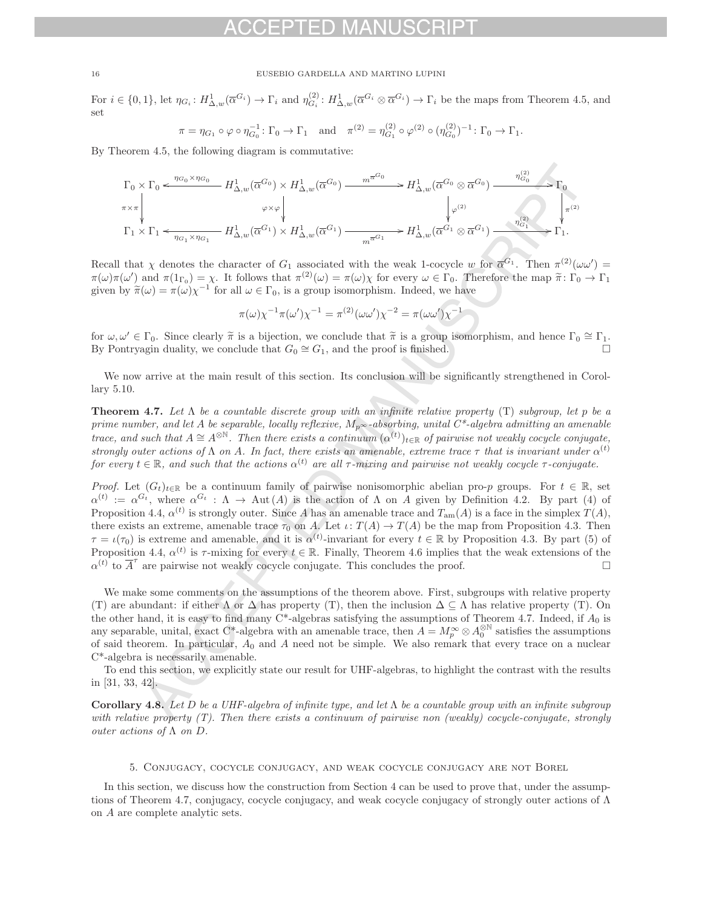For  $i \in \{0,1\}$ , let  $\eta_{G_i} : H^1_{\Delta,w}(\overline{\alpha}^{G_i}) \to \Gamma_i$  and  $\eta_{G_i}^{(2)} : H^1_{\Delta,w}(\overline{\alpha}^{G_i} \otimes \overline{\alpha}^{G_i}) \to \Gamma_i$  be the maps from Theorem 4.5, and set

$$
\pi = \eta_{G_1} \circ \varphi \circ \eta_{G_0}^{-1} \colon \Gamma_0 \to \Gamma_1 \quad \text{and} \quad \pi^{(2)} = \eta_{G_1}^{(2)} \circ \varphi^{(2)} \circ (\eta_{G_0}^{(2)})^{-1} \colon \Gamma_0 \to \Gamma_1.
$$

By Theorem 4.5, the following diagram is commutative:

$$
\Gamma_0 \times \Gamma_0 \xrightarrow{\eta_{G_0} \times \eta_{G_0}} H^1_{\Delta,w}(\overline{\alpha}^{G_0}) \times H^1_{\Delta,w}(\overline{\alpha}^{G_0}) \xrightarrow{m^{\overline{\alpha}^{G_0}}} H^1_{\Delta,w}(\overline{\alpha}^{G_0} \otimes \overline{\alpha}^{G_0}) \xrightarrow{\eta_{G_0}^{(2)}} \Gamma_0
$$
\n
$$
\pi \times \pi \downarrow \qquad \qquad \varphi \times \varphi \downarrow \qquad \qquad \downarrow \varphi^{(2)} \qquad \qquad \downarrow \varphi^{(2)} \qquad \qquad \downarrow \qquad \qquad \qquad \downarrow \varphi^{(2)} \qquad \qquad \downarrow \qquad \qquad \downarrow \qquad \qquad \downarrow \qquad \qquad \downarrow \qquad \qquad \downarrow \qquad \qquad \downarrow \qquad \qquad \downarrow \qquad \qquad \downarrow \qquad \qquad \downarrow \qquad \qquad \downarrow \qquad \qquad \downarrow \qquad \qquad \downarrow \qquad \qquad \downarrow \qquad \qquad \downarrow \qquad \qquad \downarrow \qquad \qquad \downarrow \qquad \qquad \downarrow \qquad \qquad \downarrow \qquad \qquad \downarrow \qquad \qquad \downarrow \qquad \qquad \downarrow \qquad \qquad \downarrow \qquad \qquad \downarrow \qquad \qquad \downarrow \qquad \qquad \downarrow \qquad \qquad \downarrow \qquad \qquad \downarrow \qquad \qquad \downarrow \qquad \qquad \downarrow \qquad \qquad \downarrow \qquad \qquad \downarrow \qquad \qquad \downarrow \qquad \qquad \downarrow \qquad \qquad \downarrow \qquad \qquad \downarrow \qquad \qquad \downarrow \qquad \qquad \downarrow \qquad \qquad \downarrow \qquad \qquad \downarrow \qquad \qquad \downarrow \qquad \qquad \downarrow \qquad \qquad \downarrow \qquad \qquad \downarrow \qquad \qquad \downarrow \qquad \qquad \downarrow \qquad \qquad \downarrow \qquad \qquad \downarrow \qquad \qquad \downarrow \qquad \qquad \downarrow \qquad \qquad \downarrow \qquad \qquad \downarrow \qquad \qquad \downarrow \qquad \qquad \downarrow \qquad \qquad \downarrow \qquad \qquad \downarrow \qquad \qquad \downarrow \qquad \qquad \downarrow \qquad \qquad \downarrow \qquad \qquad
$$

Recall that  $\chi$  denotes the character of  $G_1$  associated with the weak 1-cocycle w for  $\overline{\alpha}^{G_1}$ . Then  $\pi^{(2)}(\omega\omega')$  =  $\pi(\omega)\pi(\omega')$  and  $\pi(1_{\Gamma_0}) = \chi$ . It follows that  $\pi^{(2)}(\omega) = \pi(\omega)\chi$  for every  $\omega \in \Gamma_0$ . Therefore the map  $\tilde{\pi} \colon \Gamma_0 \to \Gamma_1$ <br>given by  $\tilde{\pi}(\omega) = \pi(\omega)\chi^{-1}$  for all  $\omega \in \Gamma_0$  is a group isomorphism. Indeed, we have given by  $\widetilde{\pi}(\omega) = \pi(\omega)\chi^{-1}$  for all  $\omega \in \Gamma_0$ , is a group isomorphism. Indeed, we have

$$
\pi(\omega)\chi^{-1}\pi(\omega')\chi^{-1} = \pi^{(2)}(\omega\omega')\chi^{-2} = \pi(\omega\omega')\chi^{-1}
$$

for  $\omega, \omega' \in \Gamma_0$ . Since clearly  $\widetilde{\pi}$  is a bijection, we conclude that  $\widetilde{\pi}$  is a group isomorphism, and hence  $\Gamma_0 \cong \Gamma_1$ . By Pontryagin duality, we conclude that  $G_0 \cong G_1$ , and the proof is finished.

We now arrive at the main result of this section. Its conclusion will be significantly strengthened in Corollary 5.10.

**Theorem 4.7.** Let  $\Lambda$  be a countable discrete group with an infinite relative property (T) subgroup, let p be a prime number, and let A be separable, locally reflexive,  $M_{p^{\infty}}$ -absorbing, unital  $C^*$ -algebra admitting an amenable trace, and such that  $A \cong A^{\otimes N}$ . Then there exists a continuum  $(\alpha^{(t)})_{t\in\mathbb{R}}$  of pairwise not weakly cocycle conjugate, strongly outer actions of  $\Lambda$  on A. In fact, there exists an amenable, extreme trace  $\tau$  that is invariant under  $\alpha^{(t)}$ for every  $t \in \mathbb{R}$ , and such that the actions  $\alpha^{(t)}$  are all  $\tau$ -mixing and pairwise not weakly cocycle  $\tau$ -conjugate.

*Proof.* Let  $(G_t)_{t\in\mathbb{R}}$  be a continuum family of pairwise nonisomorphic abelian pro-p groups. For  $t \in \mathbb{R}$ , set  $\alpha^{(t)} := \alpha^{G_t}$ , where  $\alpha^{G_t} : \Lambda \to \text{Aut}(\Lambda)$  is the action of  $\Lambda$  on A given by Definition 4.2. By part (4) of Proposition 4.4,  $\alpha^{(t)}$  is strongly outer. Since A has an amenable trace and  $T_{\rm am}(A)$  is a face in the simplex  $T(A)$ , there exists an extreme, amenable trace  $\tau_0$  on A. Let  $\iota: T(A) \to T(A)$  be the map from Proposition 4.3. Then  $\tau = \iota(\tau_0)$  is extreme and amenable, and it is  $\alpha^{(t)}$ -invariant for every  $t \in \mathbb{R}$  by Proposition 4.3. By part (5) of Proposition 4.4,  $\alpha^{(t)}$  is  $\tau$ -mixing for every  $t \in \mathbb{R}$ . Finally, Theorem 4.6 implies that the weak extensions of the  $\alpha^{(t)}$  to  $\overline{A}^{\tau}$  are pairwise not weakly cocycle conjugate. This concludes the proof.  $\alpha^{(t)}$  to  $\overline{A}^{\tau}$  are pairwise not weakly cocycle conjugate. This concludes the proof.

We make some comments on the assumptions of the theorem above. First, subgroups with relative property (T) are abundant: if either  $\Lambda$  or  $\Delta$  has property (T), then the inclusion  $\Delta \subseteq \Lambda$  has relative property (T). On the other hand, it is easy to find many  $C^*$ -algebras satisfying the assumptions of Theorem 4.7. Indeed, if  $A_0$  is any separable, unital, exact C<sup>\*</sup>-algebra with an amenable trace, then  $A = M_p^{\infty} \otimes A_0^{\otimes N}$  satisfies the assumptions of said theorem. In particular,  $A_2$  and A need not be simple. We also remark that every trace on a of said theorem. In particular,  $A_0$  and A need not be simple. We also remark that every trace on a nuclear C\*-algebra is necessarily amenable.

To end this section, we explicitly state our result for UHF-algebras, to highlight the contrast with the results in [31, 33, 42].

**Corollary 4.8.** Let D be a UHF-algebra of infinite type, and let  $\Lambda$  be a countable group with an infinite subgroup with relative property (T). Then there exists a continuum of pairwise non (weakly) cocycle-conjugate, strongly outer actions of  $\Lambda$  on  $D$ .

### 5. Conjugacy, cocycle conjugacy, and weak cocycle conjugacy are not Borel

In this section, we discuss how the construction from Section 4 can be used to prove that, under the assumptions of Theorem 4.7, conjugacy, cocycle conjugacy, and weak cocycle conjugacy of strongly outer actions of Λ on A are complete analytic sets.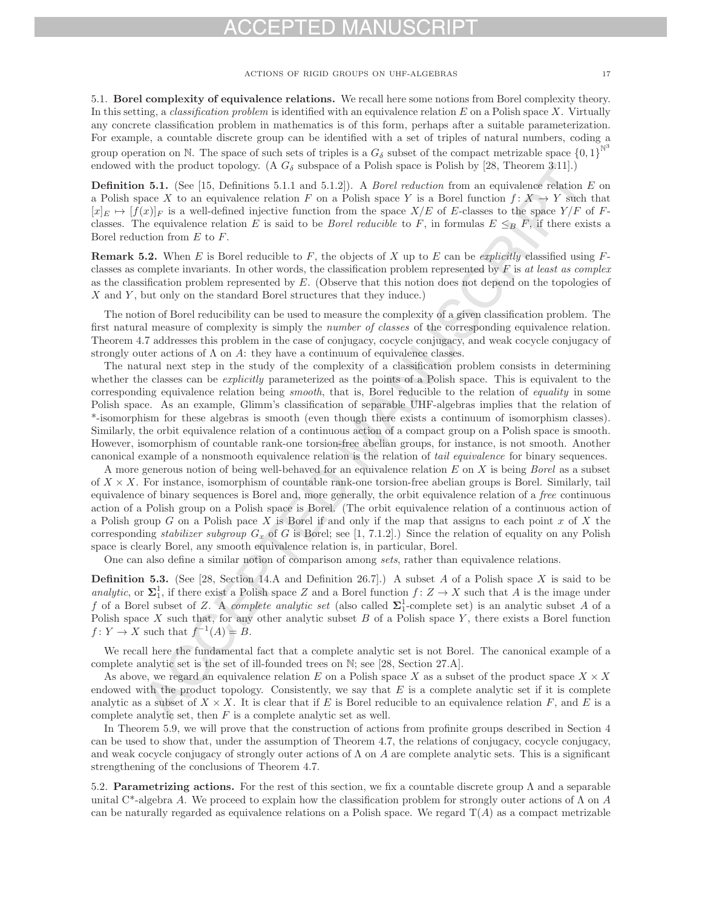5.1. **Borel complexity of equivalence relations.** We recall here some notions from Borel complexity theory. In this setting, a *classification problem* is identified with an equivalence relation  $E$  on a Polish space X. Virtually any concrete classification problem in mathematics is of this form, perhaps after a suitable parameterization. For example, a countable discrete group can be identified with a set of triples of natural numbers, coding a group operation on N. The space of such sets of triples is a  $G_{\delta}$  subset of the compact metrizable space  $\{0,1\}^{\mathbb{N}^3}$ endowed with the product topology. (A  $G_{\delta}$  subspace of a Polish space is Polish by [28, Theorem 3.11].)

**Definition 5.1.** (See [15, Definitions 5.1.1 and 5.1.2]). A *Borel reduction* from an equivalence relation E on a Polish space X to an equivalence relation F on a Polish space Y is a Borel function  $f: X \to Y$  such that  $[x]_E \mapsto [f(x)]_F$  is a well-defined injective function from the space  $X/E$  of E-classes to the space  $Y/F$  of Fclasses. The equivalence relation E is said to be *Borel reducible* to F, in formulas  $E \leq_B F$ , if there exists a Borel reduction from  $E$  to  $F$ .

**Remark 5.2.** When E is Borel reducible to F, the objects of X up to E can be explicitly classified using  $F$ classes as complete invariants. In other words, the classification problem represented by  $F$  is at least as complex as the classification problem represented by  $E$ . (Observe that this notion does not depend on the topologies of  $X$  and  $Y$ , but only on the standard Borel structures that they induce.)

The notion of Borel reducibility can be used to measure the complexity of a given classification problem. The first natural measure of complexity is simply the *number of classes* of the corresponding equivalence relation. Theorem 4.7 addresses this problem in the case of conjugacy, cocycle conjugacy, and weak cocycle conjugacy of strongly outer actions of  $\Lambda$  on  $A$ : they have a continuum of equivalence classes.

The natural next step in the study of the complexity of a classification problem consists in determining whether the classes can be *explicitly* parameterized as the points of a Polish space. This is equivalent to the corresponding equivalence relation being *smooth*, that is, Borel reducible to the relation of *equality* in some Polish space. As an example, Glimm's classification of separable UHF-algebras implies that the relation of \*-isomorphism for these algebras is smooth (even though there exists a continuum of isomorphism classes). Similarly, the orbit equivalence relation of a continuous action of a compact group on a Polish space is smooth. However, isomorphism of countable rank-one torsion-free abelian groups, for instance, is not smooth. Another canonical example of a nonsmooth equivalence relation is the relation of tail equivalence for binary sequences.

A more generous notion of being well-behaved for an equivalence relation  $E$  on  $X$  is being *Borel* as a subset of  $X \times X$ . For instance, isomorphism of countable rank-one torsion-free abelian groups is Borel. Similarly, tail equivalence of binary sequences is Borel and, more generally, the orbit equivalence relation of a free continuous action of a Polish group on a Polish space is Borel. (The orbit equivalence relation of a continuous action of a Polish group G on a Polish pace X is Borel if and only if the map that assigns to each point x of X the corresponding *stabilizer subgroup*  $G_x$  of G is Borel; see [1, 7.1.2].) Since the relation of equality on any Polish space is clearly Borel, any smooth equivalence relation is, in particular, Borel.

One can also define a similar notion of comparison among sets, rather than equivalence relations.

**Definition 5.3.** (See [28, Section 14.A and Definition 26.7].) A subset A of a Polish space X is said to be analytic, or  $\Sigma_1^1$ , if there exist a Polish space Z and a Borel function  $f: Z \to X$  such that A is the image under f of a Borel subset of Z. A complete analytic set (also called **Σ**<sup>1</sup> <sup>1</sup>-complete set) is an analytic subset A of a Polish space  $X$  such that, for any other analytic subset  $B$  of a Polish space  $Y$ , there exists a Borel function  $f: Y \to X$  such that  $f^{-1}(A) = B$ .

We recall here the fundamental fact that a complete analytic set is not Borel. The canonical example of a complete analytic set is the set of ill-founded trees on N; see [28, Section 27.A].

As above, we regard an equivalence relation E on a Polish space X as a subset of the product space  $X \times X$ endowed with the product topology. Consistently, we say that  $E$  is a complete analytic set if it is complete analytic as a subset of  $X \times X$ . It is clear that if E is Borel reducible to an equivalence relation F, and E is a complete analytic set, then  $F$  is a complete analytic set as well.

In Theorem 5.9, we will prove that the construction of actions from profinite groups described in Section 4 can be used to show that, under the assumption of Theorem 4.7, the relations of conjugacy, cocycle conjugacy, and weak cocycle conjugacy of strongly outer actions of  $\Lambda$  on A are complete analytic sets. This is a significant strengthening of the conclusions of Theorem 4.7.

5.2. **Parametrizing actions.** For the rest of this section, we fix a countable discrete group Λ and a separable unital C<sup>\*</sup>-algebra A. We proceed to explain how the classification problem for strongly outer actions of  $\Lambda$  on A can be naturally regarded as equivalence relations on a Polish space. We regard  $T(A)$  as a compact metrizable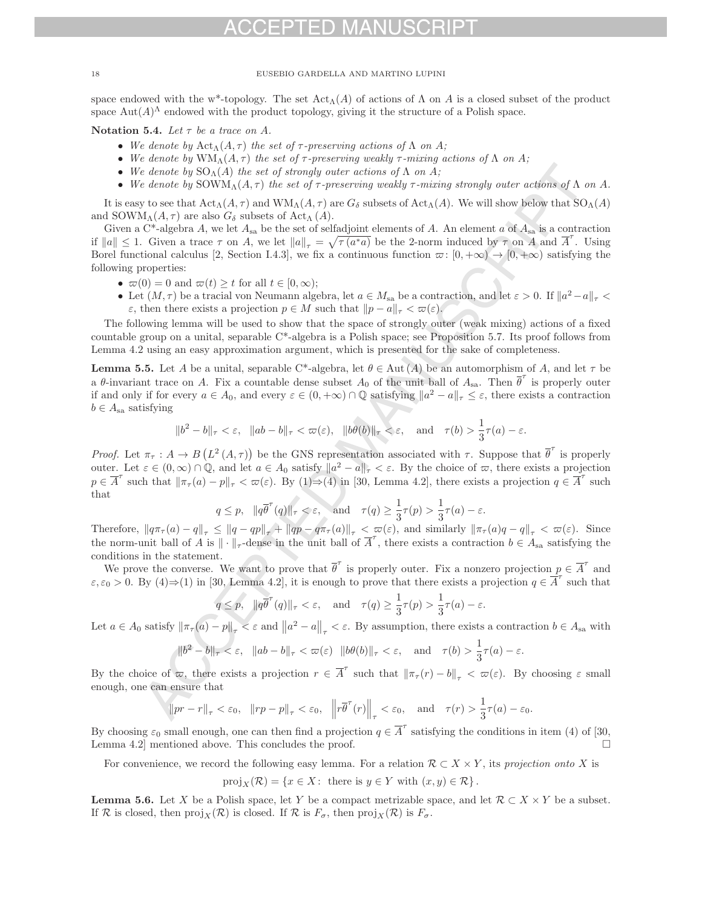space endowed with the w<sup>\*</sup>-topology. The set  $\text{Act}_{\Lambda}(A)$  of actions of  $\Lambda$  on A is a closed subset of the product space  $\text{Aut}(A)^{\Lambda}$  endowed with the product topology, giving it the structure of a Polish space.

**Notation 5.4.** Let  $\tau$  be a trace on A.

- We denote by  $\text{Act}_{\Lambda}(A, \tau)$  the set of  $\tau$ -preserving actions of  $\Lambda$  on  $A$ ;
- We denote by  $WM_\Lambda(A,\tau)$  the set of  $\tau$ -preserving weakly  $\tau$ -mixing actions of  $\Lambda$  on  $A$ ;
- We denote by  $SO_{\Lambda}(A)$  the set of strongly outer actions of  $\Lambda$  on  $A$ ;
- We denote by  $\text{SOWM}_{\Lambda}(A,\tau)$  the set of  $\tau$ -preserving weakly  $\tau$ -mixing strongly outer actions of  $\Lambda$  on  $A$ .

It is easy to see that  $\text{Act}_{\Lambda}(A, \tau)$  and  $\text{WM}_{\Lambda}(A, \tau)$  are  $G_{\delta}$  subsets of  $\text{Act}_{\Lambda}(A)$ . We will show below that  $\text{SO}_{\Lambda}(A)$ and SOWM<sub>Λ</sub> $(A, \tau)$  are also  $G_{\delta}$  subsets of Act<sub>Λ</sub> $(A)$ .

Given a C<sup>\*</sup>-algebra A, we let  $A_{sa}$  be the set of selfadjoint elements of A. An element a of  $A_{sa}$  is a contraction if  $||a|| \leq 1$ . Given a trace  $\tau$  on A, we let  $||a||_{\tau} = \sqrt{\tau(a^*a)}$  be the 2-norm induced by  $\tau$  on A and  $\overline{A}'$ . Using<br>Borel functional calculus [2] Section I 4.3], we fix a continuous function  $\pi: [0, +\infty) \to [0, +\infty)$  Borel functional calculus [2, Section I.4.3], we fix a continuous function  $\varpi : [0, +\infty) \to [0, +\infty)$  satisfying the following properties:

- $\varpi(0) = 0$  and  $\varpi(t) \geq t$  for all  $t \in [0, \infty);$
- Let  $(M, \tau)$  be a tracial von Neumann algebra, let  $a \in M_{sa}$  be a contraction, and let  $\varepsilon > 0$ . If  $||a^2 a||_{\tau} <$  $\varepsilon$ , then there exists a projection  $p \in M$  such that  $||p - a||_{\tau} < \varpi(\varepsilon)$ .

The following lemma will be used to show that the space of strongly outer (weak mixing) actions of a fixed countable group on a unital, separable C\*-algebra is a Polish space; see Proposition 5.7. Its proof follows from Lemma 4.2 using an easy approximation argument, which is presented for the sake of completeness.

**Lemma 5.5.** Let A be a unital, separable C\*-algebra, let  $\theta \in \text{Aut}(A)$  be an automorphism of A, and let  $\tau$  be a  $\theta$ -invariant trace on A. Fix a countable dense subset  $A_0$  of the unit ball of  $A_{sa}$ . Then  $\theta'$  is properly outer if and only if for every  $a \in A_0$ , and every  $\varepsilon \in (0, +\infty) \cap \mathbb{Q}$  satisfying  $||a^2 - a||_{\tau} \leq \varepsilon$ , there exists a contraction  $b \in A_{sa}$  satisfying

$$
\|b^2 - b\|_{\tau} < \varepsilon, \quad \|ab - b\|_{\tau} < \varpi(\varepsilon), \quad \|b\theta(b)\|_{\tau} < \varepsilon, \quad \text{and} \quad \tau(b) > \frac{1}{3}\tau(a) - \varepsilon.
$$

*Proof.* Let  $\pi_{\tau}: A \to B(L^2(A, \tau))$  be the GNS representation associated with  $\tau$ . Suppose that  $\overline{\theta}^{\tau}$  is properly outer. Let  $\varepsilon \in (0,\infty) \cap \mathbb{Q}$ , and let  $a \in A_0$  satisfy  $\|a^2 - a\|_{\tau} < \varepsilon$ . By the choice of  $\varpi$ , there exists a projection  $p \in \overline{A}^{\tau}$  such that  $\|\pi_{\tau}(a) - p\|_{\tau} < \varpi(\varepsilon)$ . By  $(1) \rightarrow (4)$  in [30, Lemma 4.2], there exists a projection  $q \in \overline{A}^{\tau}$  such that

$$
q \leq p
$$
,  $||q\overline{\theta}^{\tau}(q)||_{\tau} < \varepsilon$ , and  $\tau(q) \geq \frac{1}{3}\tau(p) > \frac{1}{3}\tau(a) - \varepsilon$ .

Therefore,  $\|q\pi_{\tau}(a) - q\|_{\tau} \le \|q - qp\|_{\tau} + \|qp - q\pi_{\tau}(a)\|_{\tau} < \varpi(\varepsilon)$ , and similarly  $\|\pi_{\tau}(a)q - q\|_{\tau} < \varpi(\varepsilon)$ . Since the norm-unit ball of A is  $\|\cdot\|_{\tau}$ -dense in the unit ball of  $\overline{A}'$ , there exists a contraction  $b \in A_{sa}$  satisfying the conditions in the statement.

We prove the converse. We want to prove that  $\theta'$  is properly outer. Fix a nonzero projection  $p \in \overline{A}'$  and  $\varepsilon, \varepsilon_0 > 0$ . By  $(4) \Rightarrow (1)$  in [30, Lemma 4.2], it is enough to prove that there exists a projection  $q \in \overline{A}^t$  such that

$$
q \le p
$$
,  $||q\overline{\theta}^{\tau}(q)||_{\tau} < \varepsilon$ , and  $\tau(q) \ge \frac{1}{3}\tau(p) > \frac{1}{3}\tau(a) - \varepsilon$ .

Let  $a \in A_0$  satisfy  $\|\pi_\tau(a) - p\|_\tau < \varepsilon$  and  $\|a^2 - a\|_\tau < \varepsilon$ . By assumption, there exists a contraction  $b \in A_{sa}$  with

$$
\|b^2 - b\|_{\tau} < \varepsilon, \quad \|ab - b\|_{\tau} < \varpi(\varepsilon) \quad \|b\theta(b)\|_{\tau} < \varepsilon, \quad \text{and} \quad \tau(b) > \frac{1}{3}\tau(a) - \varepsilon.
$$

By the choice of  $\varpi$ , there exists a projection  $r \in \overline{A}^{\tau}$  such that  $\|\pi_\tau(r) - b\|_{\tau} < \varpi(\varepsilon)$ . By choosing  $\varepsilon$  small enough, one can ensure that

$$
||pr - r||_{\tau} < \varepsilon_0
$$
,  $||rp - p||_{\tau} < \varepsilon_0$ ,  $||r\overline{\theta}^{\tau}(r)||_{\tau} < \varepsilon_0$ , and  $\tau(r) > \frac{1}{3}\tau(a) - \varepsilon_0$ .

By choosing  $\varepsilon_0$  small enough, one can then find a projection  $q \in \overline{A}^{\tau}$  satisfying the conditions in item (4) of [30, Lemma 4.2] mentioned above. This concludes the proof.

For convenience, we record the following easy lemma. For a relation  $\mathcal{R} \subset X \times Y$ , its projection onto X is

$$
\text{proj}_X(\mathcal{R}) = \{ x \in X : \text{ there is } y \in Y \text{ with } (x, y) \in \mathcal{R} \}.
$$

**Lemma 5.6.** Let X be a Polish space, let Y be a compact metrizable space, and let  $\mathcal{R} \subset X \times Y$  be a subset. If R is closed, then  $\text{proj}_X(\mathcal{R})$  is closed. If R is  $F_\sigma$ , then  $\text{proj}_X(\mathcal{R})$  is  $F_\sigma$ .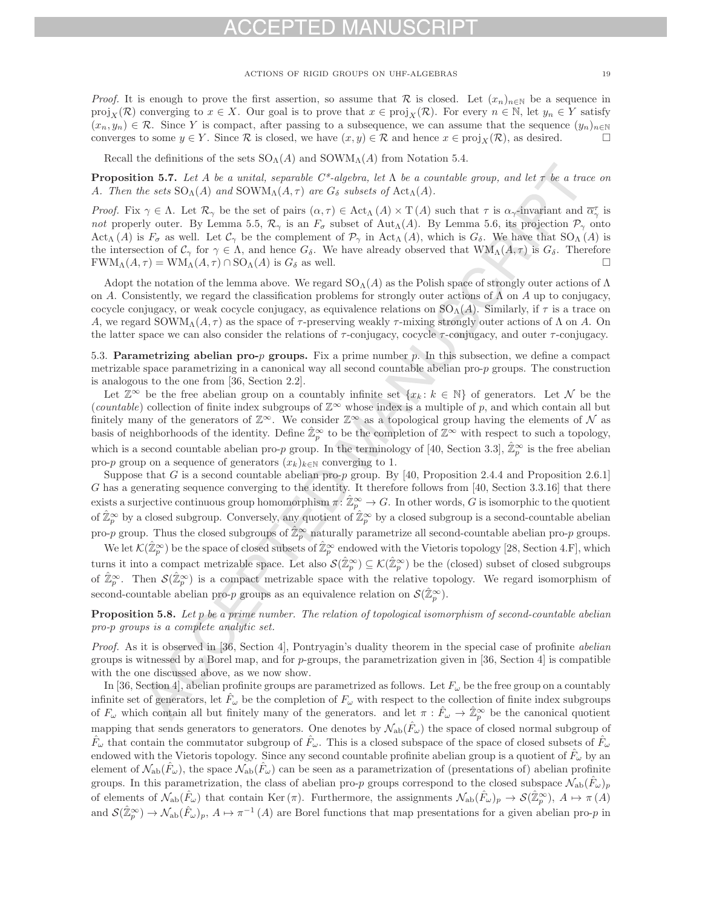Recall the definitions of the sets  $SO_\Lambda(A)$  and  $SOWM_\Lambda(A)$  from Notation 5.4.

**Proposition 5.7.** Let A be a unital, separable  $C^*$ -algebra, let  $\Lambda$  be a countable group, and let  $\tau$  be a trace on A. Then the sets  $SO_{\Lambda}(A)$  and  $SOWM_{\Lambda}(A, \tau)$  are  $G_{\delta}$  subsets of Act<sub>Λ</sub>(A).

Proof. Fix  $\gamma \in \Lambda$ . Let  $\mathcal{R}_{\gamma}$  be the set of pairs  $(\alpha, \tau) \in \text{Act}_{\Lambda}(A) \times \text{T}(A)$  such that  $\tau$  is  $\alpha_{\gamma}$ -invariant and  $\overline{\alpha}_{\gamma}^{\tau}$  is not properly outer. By Lemma 5.5,  $\mathcal{R}_{\gamma}$  is an  $F_{\sigma}$  subset of Aut<sub>Λ</sub>(A). By Lemma 5.6, its projection  $\mathcal{P}_{\gamma}$  onto Act<sub>Λ</sub> (A) is  $F_{\sigma}$  as well. Let  $\mathcal{C}_{\gamma}$  be the complement of  $\mathcal{P}_{\gamma}$  in Act<sub>Λ</sub> (A), which is  $G_{\delta}$ . We have that SO<sub>Λ</sub> (A) is the intersection of  $C_\gamma$  for  $\gamma \in \Lambda$ , and hence  $G_\delta$ . We have already observed that  $WM_\Lambda(A, \tau)$  is  $G_\delta$ . Therefore  $FWM_\Lambda(A, \tau) = WM_\Lambda(A, \tau) \cap SO_\Lambda(A)$  is  $G_\delta$  as well.  $FWM_A(A, \tau) = WM_A(A, \tau) \cap SO_A(A)$  is  $G_{\delta}$  as well.

Adopt the notation of the lemma above. We regard  $SO_\Lambda(A)$  as the Polish space of strongly outer actions of  $\Lambda$ on A. Consistently, we regard the classification problems for strongly outer actions of  $\Lambda$  on A up to conjugacy, cocycle conjugacy, or weak cocycle conjugacy, as equivalence relations on  $SO_A(A)$ . Similarly, if  $\tau$  is a trace on A, we regard SOWM<sub>Λ</sub>(A,  $\tau$ ) as the space of  $\tau$ -preserving weakly  $\tau$ -mixing strongly outer actions of  $\Lambda$  on A. On the latter space we can also consider the relations of  $\tau$ -conjugacy, cocycle  $\tau$ -conjugacy, and outer  $\tau$ -conjugacy.

5.3. **Parametrizing abelian pro-**p **groups.** Fix a prime number p. In this subsection, we define a compact metrizable space parametrizing in a canonical way all second countable abelian pro- $p$  groups. The construction is analogous to the one from [36, Section 2.2].

Let  $\mathbb{Z}^{\infty}$  be the free abelian group on a countably infinite set  $\{x_k : k \in \mathbb{N}\}\$  of generators. Let N be the (countable) collection of finite index subgroups of  $\mathbb{Z}^{\infty}$  whose index is a multiple of p, and which contain all but finitely many of the generators of  $\mathbb{Z}^{\infty}$ . We consider  $\mathbb{Z}^{\infty}$  as a topological group having the elements of N as basis of neighborhoods of the identity. Define  $\hat{\mathbb{Z}}_p^{\infty}$  to be the completion of  $\mathbb{Z}^{\infty}$  with respect to such a topology, which is a second countable abelian pro-p group. In the terminology of [40, Section 3.3],  $\hat{\mathbb{Z}}_p^{\infty}$  is the free abelian pro-p group on a sequence of generators  $(x_k)_{k\in\mathbb{N}}$  converging to 1.

Suppose that G is a second countable abelian pro-p group. By [40, Proposition 2.4.4 and Proposition 2.6.1] G has a generating sequence converging to the identity. It therefore follows from [40, Section 3.3.16] that there exists a surjective continuous group homomorphism  $\pi : \hat{\mathbb{Z}}_p^{\infty} \to G$ . In other words, G is isomorphic to the quotient of  $\hat{\mathbb{Z}}_p^{\infty}$  by a closed subgroup. Conversely, any quotient of  $\hat{\mathbb{Z}}_p^{\infty}$  by a closed subgroup is a second-countable abelian pro-p group. Thus the closed subgroups of  $\hat{\mathbb{Z}}_p^{\infty}$  naturally parametrize all second-countable abelian pro-p groups.

We let  $\mathcal{K}(\hat{\mathbb{Z}}_p^{\infty})$  be the space of closed subsets of  $\hat{\mathbb{Z}}_p^{\infty}$  endowed with the Vietoris topology [28, Section 4.F], which turns it into a compact metrizable space. Let also  $\mathcal{S}(\hat{\mathbb{Z}}_p^{\infty}) \subseteq \mathcal{K}(\hat{\mathbb{Z}}_p^{\infty})$  be the (closed) subset of closed subgroups of  $\hat{\mathbb{Z}}_p^{\infty}$ . Then  $\mathcal{S}(\hat{\mathbb{Z}}_p^{\infty})$  is a compact metrizable space with the relative topology. We regard isomorphism of second-countable abelian pro-p groups as an equivalence relation on  $\mathcal{S}(\hat{\mathbb{Z}}_p^{\infty})$ .

**Proposition 5.8.** Let p be a prime number. The relation of topological isomorphism of second-countable abelian pro-p groups is a complete analytic set.

Proof. As it is observed in [36, Section 4], Pontryagin's duality theorem in the special case of profinite abelian groups is witnessed by a Borel map, and for  $p$ -groups, the parametrization given in [36, Section 4] is compatible with the one discussed above, as we now show.

In [36, Section 4], abelian profinite groups are parametrized as follows. Let  $F_\omega$  be the free group on a countably infinite set of generators, let  $F_{\omega}$  be the completion of  $F_{\omega}$  with respect to the collection of finite index subgroups of  $F_{\omega}$  which contain all but finitely many of the generators. and let  $\pi : \hat{F}_{\omega} \to \hat{\mathbb{Z}}_p^{\infty}$  be the canonical quotient mapping that sends generators to generators. One denotes by  $\mathcal{N}_{ab}(\hat{F}_{\omega})$  the space of closed normal subgroup of  $\hat{F}_\omega$  that contain the commutator subgroup of  $\hat{F}_\omega$ . This is a closed subspace of the space of closed subsets of  $\hat{F}_\omega$ endowed with the Vietoris topology. Since any second countable profinite abelian group is a quotient of  $\hat{F}_\omega$  by an element of  $\mathcal{N}_{ab}(\hat{F}_{\omega})$ , the space  $\mathcal{N}_{ab}(\hat{F}_{\omega})$  can be seen as a parametrization of (presentations of) abelian profinite groups. In this parametrization, the class of abelian pro-p groups correspond to the closed subspace  $N_{ab}(\tilde{F}_{\omega})_p$ of elements of  $\mathcal{N}_{ab}(\hat{F}_{\omega})$  that contain Ker  $(\pi)$ . Furthermore, the assignments  $\mathcal{N}_{ab}(\hat{F}_{\omega})_p \to \mathcal{S}(\hat{\mathbb{Z}}_p^{\infty})$ ,  $A \mapsto \pi(A)$ and  $\mathcal{S}(\hat{\mathbb{Z}}_p^{\infty}) \to \mathcal{N}_{ab}(\hat{F}_{\omega})_p$ ,  $A \mapsto \pi^{-1}(A)$  are Borel functions that map presentations for a given abelian pro-p in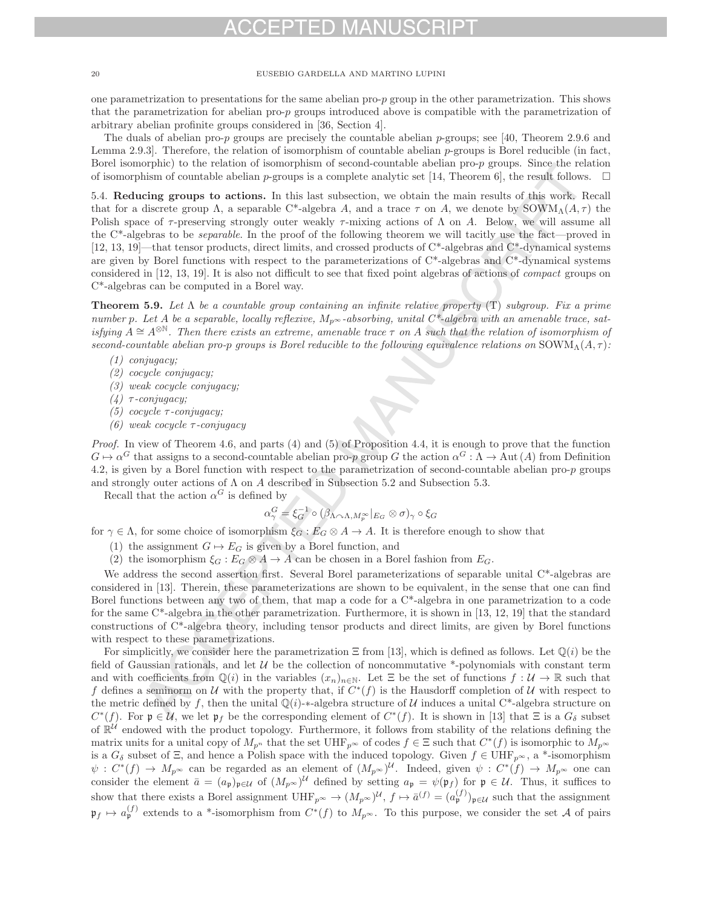one parametrization to presentations for the same abelian pro-p group in the other parametrization. This shows that the parametrization for abelian pro-p groups introduced above is compatible with the parametrization of arbitrary abelian profinite groups considered in [36, Section 4].

The duals of abelian pro-p groups are precisely the countable abelian p-groups; see [40, Theorem 2.9.6 and Lemma 2.9.3]. Therefore, the relation of isomorphism of countable abelian  $p$ -groups is Borel reducible (in fact, Borel isomorphic) to the relation of isomorphism of second-countable abelian pro-p groups. Since the relation of isomorphism of countable abelian p-groups is a complete analytic set [14, Theorem 6], the result follows.  $\Box$ 

5.4. **Reducing groups to actions.** In this last subsection, we obtain the main results of this work. Recall that for a discrete group  $\Lambda$ , a separable C\*-algebra A, and a trace  $\tau$  on A, we denote by SOWM<sub>Λ</sub>(A,  $\tau$ ) the Polish space of  $\tau$ -preserving strongly outer weakly  $\tau$ -mixing actions of  $\Lambda$  on A. Below, we will assume all the C<sup>\*</sup>-algebras to be *separable*. In the proof of the following theorem we will tacitly use the fact—proved in [12, 13, 19]—that tensor products, direct limits, and crossed products of C\*-algebras and C\*-dynamical systems are given by Borel functions with respect to the parameterizations of C\*-algebras and C\*-dynamical systems considered in [12, 13, 19]. It is also not difficult to see that fixed point algebras of actions of compact groups on C\*-algebras can be computed in a Borel way.

**Theorem 5.9.** Let  $\Lambda$  be a countable group containing an infinite relative property  $(T)$  subgroup. Fix a prime number p. Let A be a separable, locally reflexive,  $M_{p^{\infty}}$ -absorbing, unital  $C^*$ -algebra with an amenable trace, satisfying  $A \cong A^{\otimes N}$ . Then there exists an extreme, amenable trace  $\tau$  on A such that the relation of isomorphism of second-countable abelian pro-p groups is Borel reducible to the following equivalence relations on  $\text{SOWM}_{\Lambda}(A, \tau)$ :

- (1) conjugacy;
- (2) cocycle conjugacy;
- (3) weak cocycle conjugacy;
- (4)  $τ$ -conjugacy;
- (5) cocycle  $\tau$ -conjugacy;
- (6) weak cocycle  $\tau$ -conjugacy

*Proof.* In view of Theorem 4.6, and parts (4) and (5) of Proposition 4.4, it is enough to prove that the function  $G \mapsto \alpha^G$  that assigns to a second-countable abelian pro-p group G the action  $\alpha^G : \Lambda \to \text{Aut}(A)$  from Definition 4.2, is given by a Borel function with respect to the parametrization of second-countable abelian pro-p groups and strongly outer actions of  $\Lambda$  on  $A$  described in Subsection 5.2 and Subsection 5.3.

Recall that the action  $\alpha^G$  is defined by

$$
\alpha_{\gamma}^{G} = \xi_{G}^{-1} \circ (\beta_{\Lambda \cap \Lambda, M_{p}^{\infty}}|_{E_{G}} \otimes \sigma)_{\gamma} \circ \xi_{G}
$$

for  $\gamma \in \Lambda$ , for some choice of isomorphism  $\xi_G : E_G \otimes A \to A$ . It is therefore enough to show that

- (1) the assignment  $G \mapsto E_G$  is given by a Borel function, and
- (2) the isomorphism  $\xi_G : E_G \otimes A \to A$  can be chosen in a Borel fashion from  $E_G$ .

We address the second assertion first. Several Borel parameterizations of separable unital C<sup>\*</sup>-algebras are considered in [13]. Therein, these parameterizations are shown to be equivalent, in the sense that one can find Borel functions between any two of them, that map a code for a C\*-algebra in one parametrization to a code for the same C\*-algebra in the other parametrization. Furthermore, it is shown in [13, 12, 19] that the standard constructions of C\*-algebra theory, including tensor products and direct limits, are given by Borel functions with respect to these parametrizations.

For simplicitly, we consider here the parametrization  $\Xi$  from [13], which is defined as follows. Let  $\mathbb{O}(i)$  be the field of Gaussian rationals, and let  $U$  be the collection of noncommutative  $*$ -polynomials with constant term and with coefficients from  $\mathbb{Q}(i)$  in the variables  $(x_n)_{n\in\mathbb{N}}$ . Let  $\Xi$  be the set of functions  $f: \mathcal{U} \to \mathbb{R}$  such that f defines a seminorm on U with the property that, if  $C^*(f)$  is the Hausdorff completion of U with respect to the metric defined by f, then the unital  $\mathbb{Q}(i)$ -\*-algebra structure of U induces a unital C<sup>\*</sup>-algebra structure on  $C^*(f)$ . For  $\mathfrak{p} \in \mathcal{U}$ , we let  $\mathfrak{p}_f$  be the corresponding element of  $C^*(f)$ . It is shown in [13] that  $\Xi$  is a  $G_\delta$  subset of  $\mathbb{R}^{\mathcal{U}}$  endowed with the product topology. Furthermore, it follows from stability of the relations defining the matrix units for a unital copy of  $M_{p^n}$  that the set UHF<sub>p</sub>∞ of codes  $f \in \Xi$  such that  $C^*(f)$  is isomorphic to  $M_{p^{\infty}}$ is a  $G_{\delta}$  subset of  $\Xi$ , and hence a Polish space with the induced topology. Given  $f \in \text{UHF}_{p^{\infty}}$ , a \*-isomorphism  $\psi : C^*(f) \to M_{p^{\infty}}$  can be regarded as an element of  $(M_{p^{\infty}})^{\mathcal{U}}$ . Indeed, given  $\psi : C^*(f) \to M_{p^{\infty}}$  one can consider the element  $\bar{a} = (a_{\mathfrak{p}})_{\mathfrak{p} \in \mathcal{U}}$  of  $(M_{p^{\infty}})^{\mathcal{U}}$  defined by setting  $a_{\mathfrak{p}} = \psi(\mathfrak{p}_f)$  for  $\mathfrak{p} \in \mathcal{U}$ . Thus, it suffices to show that there exists a Borel assignment  $UHF_{p^{\infty}} \to (M_{p^{\infty}})^{\mathcal{U}}, f \mapsto \bar{a}^{(f)} = (a_p^{(f)})_{\mathfrak{p} \in \mathcal{U}}$  such that the assignment  $\mathfrak{p}_f \mapsto a_{\mathfrak{p}}^{(f)}$  extends to a \*-isomorphism from  $C^*(f)$  to  $M_{p^{\infty}}$ . To this purpose, we consider the set A of pairs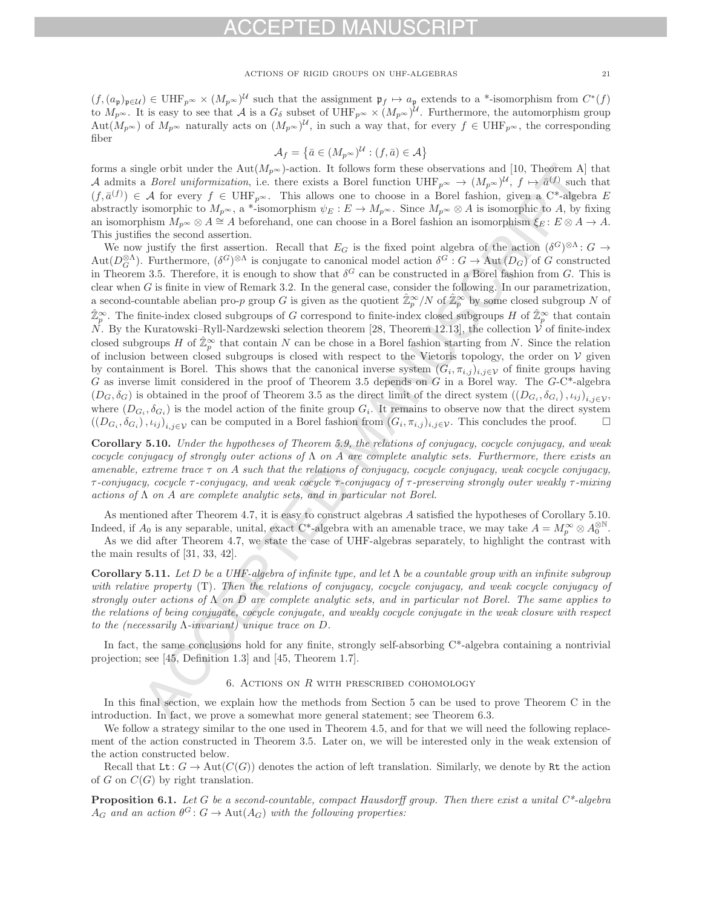$(f,(a_{\mathfrak{p}})_{\mathfrak{p}\in\mathcal{U}})\in\mathrm{UHF}_{p^{\infty}}\times(M_{p^{\infty}})^{\mathcal{U}}$  such that the assignment  $\mathfrak{p}_f\mapsto a_{\mathfrak{p}}$  extends to a \*-isomorphism from  $C^*(f)$ to  $M_{p^{\infty}}$ . It is easy to see that A is a  $G_{\delta}$  subset of UHF<sub>p</sub> $\infty \times (M_{p^{\infty}})^{\mathcal{U}}$ . Furthermore, the automorphism group Aut $(M_{p^{\infty}})$  of  $M_{p^{\infty}}$  naturally acts on  $(M_{p^{\infty}})^{\mathcal{U}}$ , in such a way that, for every  $f \in \mathrm{UHF}_{p^{\infty}}$ , the corresponding fiber

$$
\mathcal{A}_f = \left\{ \bar{a} \in (M_{p^{\infty}})^{\mathcal{U}} : (f, \bar{a}) \in \mathcal{A} \right\}
$$

forms a single orbit under the Aut $(M_{p^{\infty}})$ -action. It follows form these observations and [10, Theorem A] that A admits a *Borel uniformization*, i.e. there exists a Borel function  $UHF_{p^{\infty}} \to (M_{p^{\infty}})^{\mathcal{U}}$ ,  $f \mapsto \bar{a}^{(f)}$  such that  $(f, \bar{a}^{(f)}) \in \mathcal{A}$  for every  $f \in \mathrm{UHF}_{p^{\infty}}$ . This allows one to choose in a Borel fashion, given a C\*-algebra E abstractly isomorphic to  $M_{p^{\infty}}$ , a \*-isomorphism  $\psi_E : E \to M_{p^{\infty}}$ . Since  $M_{p^{\infty}} \otimes A$  is isomorphic to A, by fixing an isomorphism  $M_{p^{\infty}} \otimes A \cong A$  beforehand, one can choose in a Borel fashion an isomorphism  $\xi_E : E \otimes A \to A$ . This justifies the second assertion.

We now justify the first assertion. Recall that  $E_G$  is the fixed point algebra of the action  $(\delta^G)^{\otimes \Lambda}$ :  $G \to$  $\text{Aut}(D^{\otimes \Lambda}_{G})$ . Furthermore,  $(\delta^{G})^{\otimes \Lambda}$  is conjugate to canonical model action  $\delta^{G}: G \to \text{Aut}(D_{G})$  of G constructed<br>in Theorem 3.5. Therefore, it is enough to show that  $\delta^{G}$  can be constructed in a Borel fashion in Theorem 3.5. Therefore, it is enough to show that  $\delta^G$  can be constructed in a Borel fashion from G. This is clear when  $G$  is finite in view of Remark 3.2. In the general case, consider the following. In our parametrization, a second-countable abelian pro-p group G is given as the quotient  $\hat{\mathbb{Z}}_p^{\infty}/N$  of  $\hat{\mathbb{Z}}_p^{\infty}$  by some closed subgroup N of  $\hat{\mathbb{Z}}_p^{\infty}$  $\hat{\mathbb{Z}}_p^{\infty}$ . The finite-index closed subgroups of G correspond to finite-index closed subgroups H of  $\hat{\mathbb{Z}}_p^{\infty}$  that contain  $N$ . By the Kurstoweki Byll Newley which is election theorem [28]. Theorem 12.12],  $N$ . By the Kuratowski–Ryll-Nardzewski selection theorem [28, Theorem 12.13], the collection  $\check{V}$  of finite-index closed subgroups H of  $\hat{\mathbb{Z}}_p^{\infty}$  that contain N can be chose in a Borel fashion starting from N. Since the relation of inclusion between closed subgroups is closed with respect to the Victoria topology the order on of inclusion between closed subgroups is closed with respect to the Vietoris topology, the order on  $V$  given by containment is Borel. This shows that the canonical inverse system  $(G_i, \pi_{i,j})_{i,j\in\mathcal{V}}$  of finite groups having G as inverse limit considered in the proof of Theorem 3.5 depends on G in a Borel way. The  $G-C^*$ -algebra  $(D_G, \delta_G)$  is obtained in the proof of Theorem 3.5 as the direct limit of the direct system  $((D_{G_i}, \delta_{G_i}), \iota_{ij})_{i,j\in\mathcal{V}}$ where  $(D_{G_i}, \delta_{G_i})$  is the model action of the finite group  $G_i$ . It remains to observe now that the direct system  $((D_{G_i}, \delta_{G_i}), \iota_{ij})_{i,j\in\mathcal{V}}$  can be computed in a Borel fashion from  $(G_i, \pi_{i,j})_{i,j\in\mathcal{V}}$ . This concludes the proof.  $\Box$ 

**Corollary 5.10.** Under the hypotheses of Theorem 5.9, the relations of conjugacy, cocycle conjugacy, and weak cocycle conjugacy of strongly outer actions of  $\Lambda$  on A are complete analytic sets. Furthermore, there exists an amenable, extreme trace  $\tau$  on A such that the relations of conjugacy, cocycle conjugacy, weak cocycle conjugacy,  $τ$ -conjugacy, cocycle  $τ$ -conjugacy, and weak cocycle  $τ$ -conjugacy of  $τ$ -preserving strongly outer weakly  $τ$ -mixing actions of  $\Lambda$  on  $A$  are complete analytic sets, and in particular not Borel.

As mentioned after Theorem 4.7, it is easy to construct algebras A satisfied the hypotheses of Corollary 5.10. Indeed, if  $A_0$  is any separable, unital, exact C\*-algebra with an amenable trace, we may take  $A = M_P^{\infty} \otimes A_0^{\otimes N}$ .

As we did after Theorem 4.7, we state the case of UHF-algebras separately, to highlight the contrast with the main results of [31, 33, 42].

**Corollary 5.11.** Let D be a UHF-algebra of infinite type, and let Λ be a countable group with an infinite subgroup with relative property (T). Then the relations of conjugacy, cocycle conjugacy, and weak cocycle conjugacy of strongly outer actions of  $\Lambda$  on D are complete analytic sets, and in particular not Borel. The same applies to the relations of being conjugate, cocycle conjugate, and weakly cocycle conjugate in the weak closure with respect to the (necessarily Λ-invariant) unique trace on D.

In fact, the same conclusions hold for any finite, strongly self-absorbing C\*-algebra containing a nontrivial projection; see [45, Definition 1.3] and [45, Theorem 1.7].

### 6. ACTIONS ON  $R$  with prescribed cohomology

In this final section, we explain how the methods from Section 5 can be used to prove Theorem C in the introduction. In fact, we prove a somewhat more general statement; see Theorem 6.3.

We follow a strategy similar to the one used in Theorem 4.5, and for that we will need the following replacement of the action constructed in Theorem 3.5. Later on, we will be interested only in the weak extension of the action constructed below.

Recall that Lt:  $G \to \text{Aut}(C(G))$  denotes the action of left translation. Similarly, we denote by Rt the action of G on  $C(G)$  by right translation.

**Proposition 6.1.** Let G be a second-countable, compact Hausdorff group. Then there exist a unital  $C^*$ -algebra  $A_G$  and an action  $\theta^G: G \to \text{Aut}(A_G)$  with the following properties: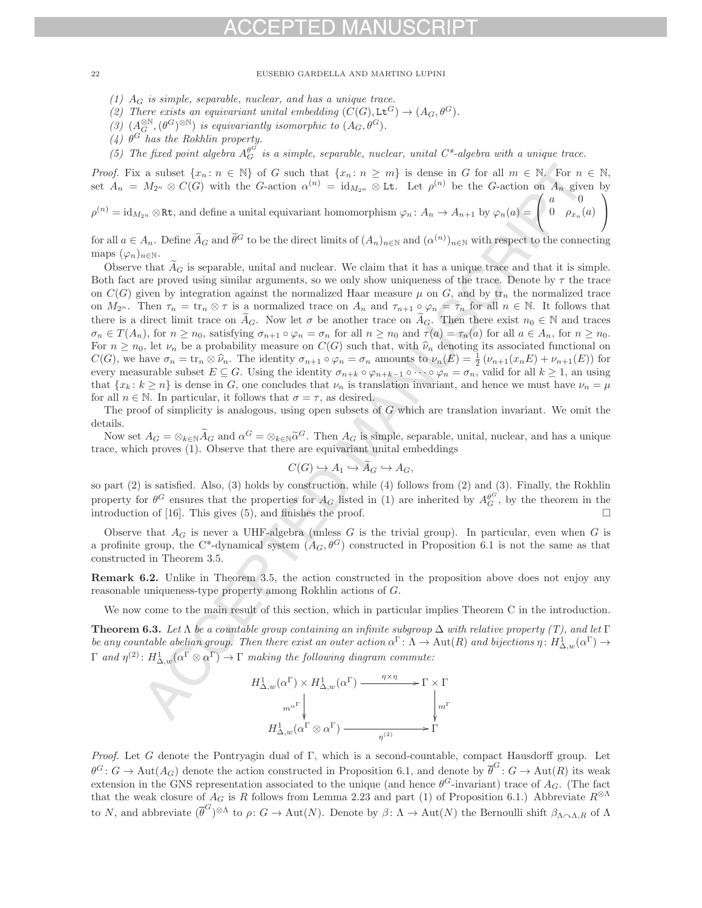(1)  $A_G$  is simple, separable, nuclear, and has a unique trace.

(2) There exists an equivariant unital embedding  $(C(G), L\mathbf{t}^G) \to (A_G, \theta^G)$ .

- (3)  $(A_G^{\otimes \mathbb{N}}, (\theta^G)^{\otimes \mathbb{N}})$  is equivariantly isomorphic to  $(A_G, \theta^G)$ .<br>(4)  $\theta^G$  has the Rokhlin property.
- 
- (5) The fixed point algebra  $A_G^{\rho G}$  is a simple, separable, nuclear, unital  $C^*$ -algebra with a unique trace.

*Proof.* Fix a subset  $\{x_n : n \in \mathbb{N}\}\$  of G such that  $\{x_n : n \geq m\}$  is dense in G for all  $m \in \mathbb{N}$ . For  $n \in \mathbb{N}$ , set  $A_n = M_{2^n} \otimes C(G)$  with the G-action  $\alpha^{(n)} = \mathrm{id}_{M_{2^n}} \otimes \mathbb{L}$ t. Let  $\rho^{(n)}$  be the G-action on  $A_n$  given by  $\sqrt{2}$  $a \sim 0$ ⎞

 $\rho^{(n)} = \text{id}_{M_{2^n}} \otimes \text{Rt}$ , and define a unital equivariant homomorphism  $\varphi_n \colon A_n \to A_{n+1}$  by  $\varphi_n(a) =$  $\Gamma$  $0 \quad \rho_{x_n}(a)$ 

for all  $a \in A_n$ . Define  $\tilde{A}_G$  and  $\tilde{\theta}^G$  to be the direct limits of  $(A_n)_{n \in \mathbb{N}}$  and  $(\alpha^{(n)})_{n \in \mathbb{N}}$  with respect to the connecting maps  $(\varphi_n)_{n\in\mathbb{N}}$ .

 $\overline{I}$ 

Observe that  $\tilde{A}_G$  is separable, unital and nuclear. We claim that it has a unique trace and that it is simple. Both fact are proved using similar arguments, so we only show uniqueness of the trace. Denote by  $\tau$  the trace on  $C(G)$  given by integration against the normalized Haar measure  $\mu$  on G, and by  $\text{tr}_n$  the normalized trace on  $M_{2^n}$ . Then  $\tau_n = \text{tr}_n \otimes \tau$  is a normalized trace on  $A_n$  and  $\tau_{n+1} \circ \varphi_n = \tau_n$  for all  $n \in \mathbb{N}$ . It follows that there is a direct limit trace on  $\tilde{A}_G$ . Now let  $\sigma$  be another trace on  $\tilde{A}_G$ . Then there exist  $n_0 \in \mathbb{N}$  and traces  $\sigma_n \in T(A_n)$ , for  $n \geq n_0$ , satisfying  $\sigma_{n+1} \circ \varphi_n = \sigma_n$  for all  $n \geq n_0$  and  $\tau(a) = \tau_n(a)$  for all  $a \in A_n$ , for  $n \geq n_0$ . For  $n \geq n_0$ , let  $\nu_n$  be a probability measure on  $C(G)$  such that, with  $\widehat{\nu}_n$  denoting its associated functional on  $C(G)$ , we have  $\sigma_n = \text{tr}_n \otimes \hat{\nu}_n$ . The identity  $\sigma_{n+1} \circ \varphi_n = \sigma_n$  amounts to  $\nu_n(E) = \frac{1}{2} (\nu_{n+1}(x_n E) + \nu_{n+1}(E))$  for every measurable subset  $E \subseteq G$ . Using the identity  $\sigma_{n+k} \circ \varphi_{n+k-1} \circ \cdots \circ \varphi_n = \sigma_n$ , valid for all  $k \geq 1$ , an using that  $\{x_k : k \geq n\}$  is dense in G, one concludes that  $\nu_n$  is translation invariant, and hence we must have  $\nu_n = \mu$ for all  $n \in \mathbb{N}$ . In particular, it follows that  $\sigma = \tau$ , as desired.

The proof of simplicity is analogous, using open subsets of  $G$  which are translation invariant. We omit the details.

Now set  $A_G = \otimes_{k \in \mathbb{N}} \widetilde{A}_G$  and  $\alpha^G = \otimes_{k \in \mathbb{N}} \widetilde{\alpha}^G$ . Then  $A_G$  is simple, separable, unital, nuclear, and has a unique trace, which proves (1). Observe that there are equivariant unital embeddings

$$
C(G) \hookrightarrow A_1 \hookrightarrow A_G \hookrightarrow A_G,
$$

so part (2) is satisfied. Also, (3) holds by construction, while (4) follows from (2) and (3). Finally, the Rokhlin property for  $\theta^G$  ensures that the properties for  $A_G$  listed in (1) are inherited by  $A_G^{\theta^G}$ , by the theorem in the introduction of [16]. This gives (5) and finishes the proof introduction of  $[16]$ . This gives  $(5)$ , and finishes the proof.  $\Box$ 

Observe that  $A_G$  is never a UHF-algebra (unless G is the trivial group). In particular, even when G is a profinite group, the C<sup>\*</sup>-dynamical system  $(A_G, \theta^G)$  constructed in Proposition 6.1 is not the same as that constructed in Theorem 3.5.

**Remark 6.2.** Unlike in Theorem 3.5, the action constructed in the proposition above does not enjoy any reasonable uniqueness-type property among Rokhlin actions of G.

We now come to the main result of this section, which in particular implies Theorem C in the introduction.

**Theorem 6.3.** Let  $\Lambda$  be a countable group containing an infinite subgroup  $\Delta$  with relative property (T), and let  $\Gamma$ be any countable abelian group. Then there exist an outer action  $\alpha^{\Gamma} \colon \Lambda \to \text{Aut}(R)$  and bijections  $\eta \colon H^1_{\Delta,w}(\alpha^{\Gamma}) \to \Gamma$  $\Gamma$  and  $\eta^{(2)}$ :  $H^1_{\Delta,w}(\alpha^{\Gamma} \otimes \alpha^{\Gamma}) \to \Gamma$  making the following diagram commute:

> $H^1_{\Delta,w}(\alpha^{\Gamma}) \times H^1_{\Delta,w}(\alpha^{\Gamma})$  $m^{\alpha^{\Gamma}}\Big\}$ -- $\frac{\eta \times \eta}{\eta} \to \Gamma \times \Gamma$  $H^1_{\Delta,w}(\alpha^{\Gamma} \otimes \alpha^{\Gamma}) \longrightarrow \Gamma^{\eta^{\Gamma}}$ --

Proof. Let G denote the Pontryagin dual of Γ, which is a second-countable, compact Hausdorff group. Let  $\theta^G: G \to \text{Aut}(A_G)$  denote the action constructed in Proposition 6.1, and denote by  $\theta^G: G \to \text{Aut}(R)$  its weak<br>extension in the GNS parameterism exercisted to the unique (and have  $\theta^G$  investigat) trace of  $A$ . (The fact extension in the GNS representation associated to the unique (and hence  $\theta^G$ -invariant) trace of  $A_G$ . (The fact that the weak closure of  $A_G$  is R follows from Lemma 2.23 and part (1) of Proposition 6.1.) Abbreviate  $R^{\otimes\Lambda}$ to N, and abbreviate  $(\overline{\theta}^G)^{\otimes \Lambda}$  to  $\rho: G \to \text{Aut}(N)$ . Denote by  $\beta: \Lambda \to \text{Aut}(N)$  the Bernoulli shift  $\beta_{\Lambda \cap \Lambda, R}$  of  $\Lambda$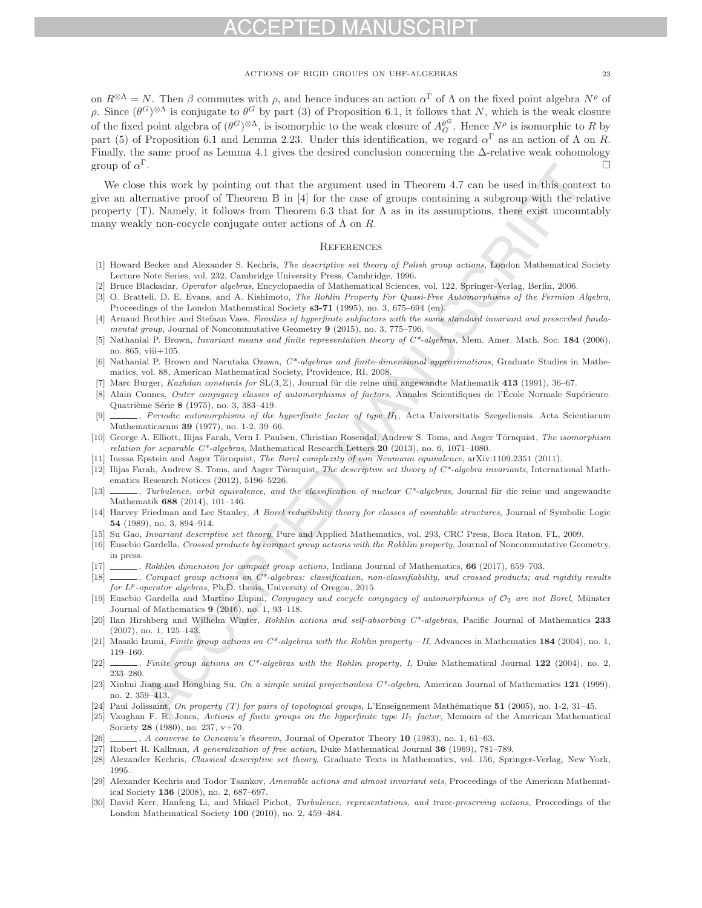# $\blacksquare$

## ACTIONS OF RIGID GROUPS ON UHF-ALGEBRAS 23

on  $R^{\otimes\Lambda} = N$ . Then  $\beta$  commutes with  $\rho$ , and hence induces an action  $\alpha^{\Gamma}$  of  $\Lambda$  on the fixed point algebra  $N^{\rho}$  of ρ. Since  $(\theta^G)$ <sup>⊗Λ</sup> is conjugate to  $\theta^G$  by part (3) of Proposition 6.1, it follows that N, which is the weak closure of the fixed point algebra of  $(\theta^G)^{\otimes \Lambda}$ , is isomorphic to the weak closure of  $A_{\mathcal{G}}^{\theta^G}$ . Hence  $N^{\rho}$  is isomorphic to R by<br>part (5) of Proposition 6.1 and Lappa 2.23. Under this identification, we pereod of a part (5) of Proposition 6.1 and Lemma 2.23. Under this identification, we regard  $\alpha^{\Gamma}$  as an action of  $\Lambda$  on  $R$ . Finally, the same proof as Lemma 4.1 gives the desired conclusion concerning the  $\Delta$ -relative weak cohomology group of  $\alpha^{\Gamma}$ .

We close this work by pointing out that the argument used in Theorem 4.7 can be used in this context to give an alternative proof of Theorem B in [4] for the case of groups containing a subgroup with the relative property (T). Namely, it follows from Theorem 6.3 that for  $\Lambda$  as in its assumptions, there exist uncountably many weakly non-cocycle conjugate outer actions of  $\Lambda$  on  $R$ .

### **REFERENCES**

- [1] Howard Becker and Alexander S. Kechris, *The descriptive set theory of Polish group actions*, London Mathematical Society Lecture Note Series, vol. 232, Cambridge University Press, Cambridge, 1996.
- [2] Bruce Blackadar, *Operator algebras*, Encyclopaedia of Mathematical Sciences, vol. 122, Springer-Verlag, Berlin, 2006.
- [3] O. Bratteli, D. E. Evans, and A. Kishimoto, *The Rohlin Property For Quasi-Free Automorphisms of the Fermion Algebra*, Proceedings of the London Mathematical Society **s3-71** (1995), no. 3, 675–694 (en).
- [4] Arnaud Brothier and Stefaan Vaes, *Families of hyperfinite subfactors with the same standard invariant and prescribed fundamental group*, Journal of Noncommutative Geometry **9** (2015), no. 3, 775–796.
- [5] Nathanial P. Brown, *Invariant means and finite representation theory of C\*-algebras*, Mem. Amer. Math. Soc. **184** (2006), no. 865, viii+105.
- [6] Nathanial P. Brown and Narutaka Ozawa, *C\*-algebras and finite-dimensional approximations*, Graduate Studies in Mathematics, vol. 88, American Mathematical Society, Providence, RI, 2008.
- [7] Marc Burger, *Kazhdan constants for* SL(3, Z), Journal für die reine und angewandte Mathematik **413** (1991), 36–67.
- [8] Alain Connes, *Outer conjugacy classes of automorphisms of factors*, Annales Scientifiques de l'École Normale Supérieure. Quatrième Série **8** (1975), no. 3, 383-419.
- [9] , *Periodic automorphisms of the hyperfinite factor of type II*1, Acta Universitatis Szegediensis. Acta Scientiarum Mathematicarum **39** (1977), no. 1-2, 39–66.
- [10] George A. Elliott, Ilijas Farah, Vern I. Paulsen, Christian Rosendal, Andrew S. Toms, and Asger Törnquist, *The isomorphism relation for separable C\*-algebras*, Mathematical Research Letters **20** (2013), no. 6, 1071–1080.
- [11] Inessa Epstein and Asger Törnquist, *The Borel complexity of von Neumann equivalence*, arXiv:1109.2351 (2011).
- [12] Ilijas Farah, Andrew S. Toms, and Asger Törnquist, *The descriptive set theory of C\*-algebra invariants*, International Mathematics Research Notices (2012), 5196–5226.
- [13] , *Turbulence, orbit equivalence, and the classification of nuclear C\*-algebras*, Journal für die reine und angewandte Mathematik **688** (2014), 101–146.
- [14] Harvey Friedman and Lee Stanley, *A Borel reducibility theory for classes of countable structures*, Journal of Symbolic Logic **54** (1989), no. 3, 894–914.
- [15] Su Gao, *Invariant descriptive set theory*, Pure and Applied Mathematics, vol. 293, CRC Press, Boca Raton, FL, 2009.
- [16] Eusebio Gardella, *Crossed products by compact group actions with the Rokhlin property*, Journal of Noncommutative Geometry, in press.
- [17] , *Rokhlin dimension for compact group actions*, Indiana Journal of Mathematics, **66** (2017), 659–703.
- [18] , *Compact group actions on C\*-algebras: classification, non-classifiability, and crossed products; and rigidity results* for L<sup>p</sup>-operator algebras, Ph.D. thesis, University of Oregon, 2015.
- [19] Eusebio Gardella and Martino Lupini, *Conjugacy and cocycle conjugacy of automorphisms of*  $\mathcal{O}_2$  *are not Borel*, Münster Journal of Mathematics **9** (2016), no. 1, 93–118.
- [20] Ilan Hirshberg and Wilhelm Winter, *Rokhlin actions and self-absorbing C\*-algebras*, Pacific Journal of Mathematics **233** (2007), no. 1, 125–143.
- [21] Masaki Izumi, *Finite group actions on C\*-algebras with the Rohlin property—II*, Advances in Mathematics **184** (2004), no. 1, 119–160.
- [22]  $\qquad \qquad$ , *Finite group actions on C\*-algebras with the Rohlin property, I*, Duke Mathematical Journal **122** (2004), no. 2, 233–280.
- [23] Xinhui Jiang and Hongbing Su, *On a simple unital projectionless C\*-algebra*, American Journal of Mathematics **121** (1999), no. 2, 359–413.
- [24] Paul Jolissaint, *On property (T) for pairs of topological groups*, L'Enseignement Mathématique **51** (2005), no. 1-2, 31-45.
- [25] Vaughan F. R. Jones, *Actions of finite groups on the hyperfinite type II*<sup>1</sup> *factor*, Memoirs of the American Mathematical Society **28** (1980), no. 237, v+70.
- [26] , *A converse to Ocneanu's theorem*, Journal of Operator Theory **10** (1983), no. 1, 61–63.
- [27] Robert R. Kallman, *A generalization of free action*, Duke Mathematical Journal **36** (1969), 781–789.
- [28] Alexander Kechris, *Classical descriptive set theory*, Graduate Texts in Mathematics, vol. 156, Springer-Verlag, New York, 1995.
- [29] Alexander Kechris and Todor Tsankov, *Amenable actions and almost invariant sets*, Proceedings of the American Mathematical Society **136** (2008), no. 2, 687–697.
- [30] David Kerr, Hanfeng Li, and Mikaël Pichot, *Turbulence, representations, and trace-preserving actions*, Proceedings of the London Mathematical Society **100** (2010), no. 2, 459–484.